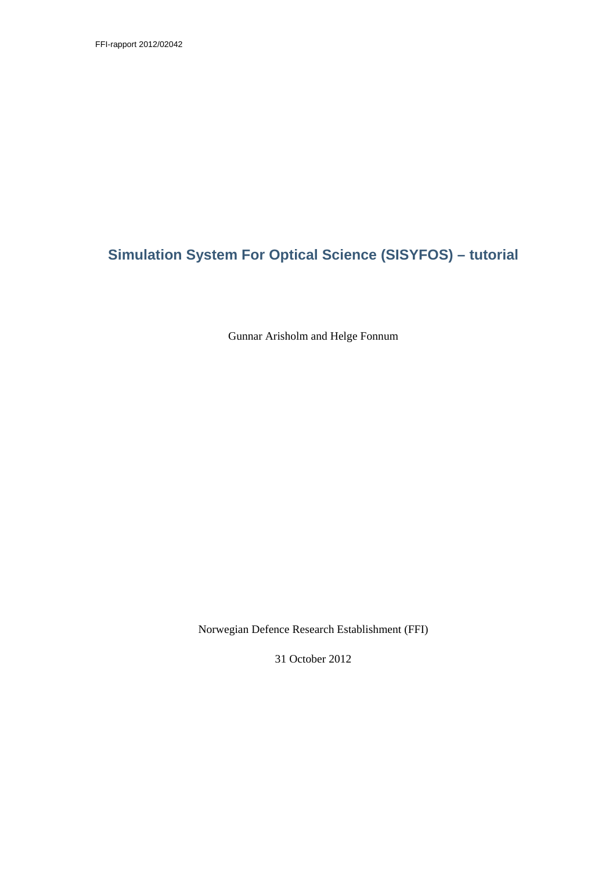# **Simulation System For Optical Science (SISYFOS) – tutorial**

Gunnar Arisholm and Helge Fonnum

Norwegian Defence Research Establishment (FFI)

31 October 2012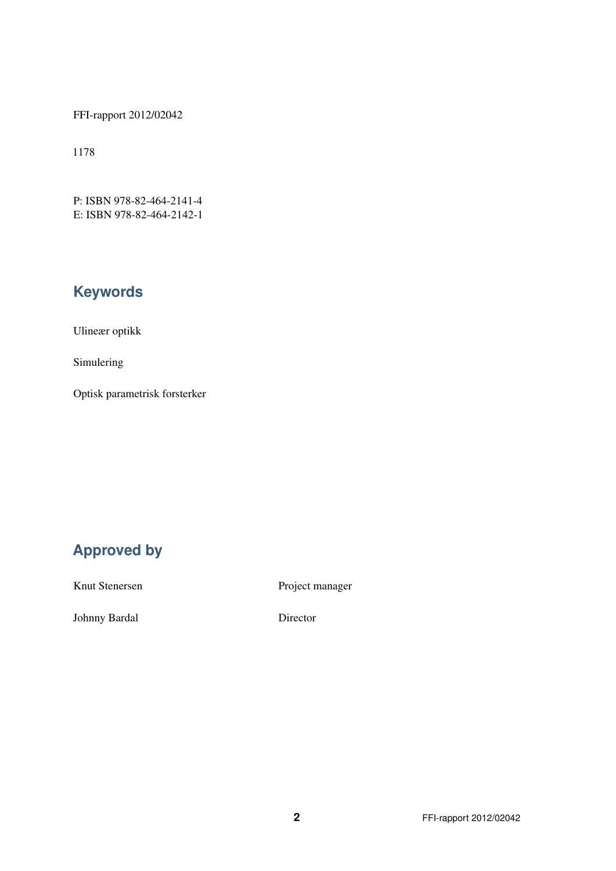FFI-rapport 2012/02042

1178

P: ISBN 978-82-464-2141-4 E: ISBN 978-82-464-2142-1

# **Keywords**

Ulineær optikk

Simulering

Optisk parametrisk forsterker

# **Approved by**

Knut Stenersen

Project manager

Johnny Bardal

Director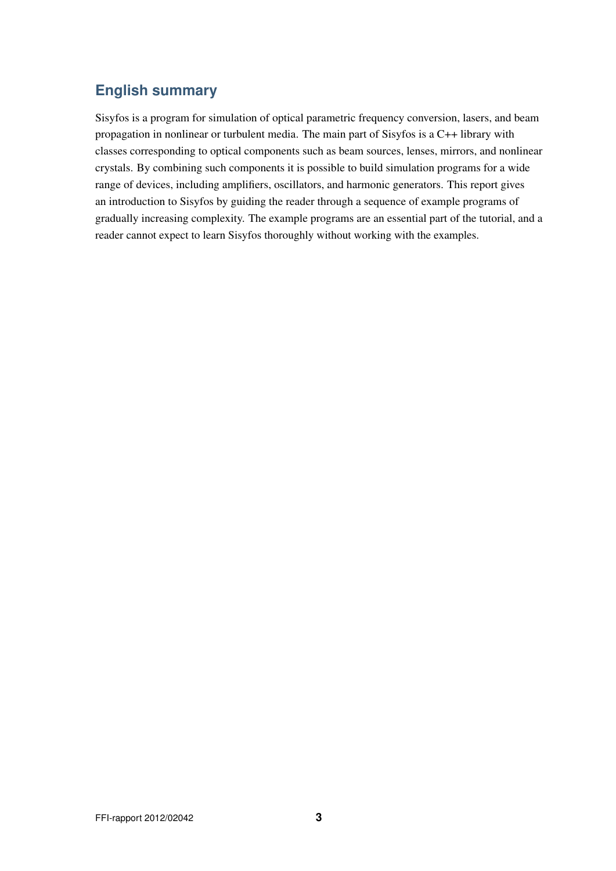# **English summary**

Sisyfos is a program for simulation of optical parametric frequency conversion, lasers, and beam propagation in nonlinear or turbulent media. The main part of Sisyfos is a C++ library with classes corresponding to optical components such as beam sources, lenses, mirrors, and nonlinear crystals. By combining such components it is possible to build simulation programs for a wide range of devices, including amplifiers, oscillators, and harmonic generators. This report gives an introduction to Sisyfos by guiding the reader through a sequence of example programs of gradually increasing complexity. The example programs are an essential part of the tutorial, and a reader cannot expect to learn Sisyfos thoroughly without working with the examples.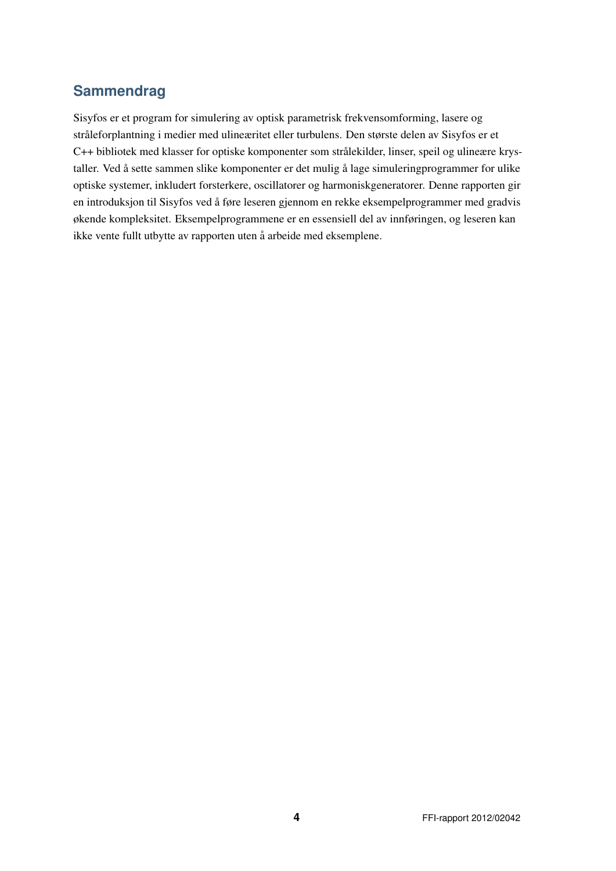# **Sammendrag**

Sisyfos er et program for simulering av optisk parametrisk frekvensomforming, lasere og stråleforplantning i medier med ulineæritet eller turbulens. Den største delen av Sisyfos er et C++ bibliotek med klasser for optiske komponenter som strålekilder, linser, speil og ulineære krystaller. Ved å sette sammen slike komponenter er det mulig å lage simuleringprogrammer for ulike optiske systemer, inkludert forsterkere, oscillatorer og harmoniskgeneratorer. Denne rapporten gir en introduksjon til Sisyfos ved å føre leseren gjennom en rekke eksempelprogrammer med gradvis økende kompleksitet. Eksempelprogrammene er en essensiell del av innføringen, og leseren kan ikke vente fullt utbytte av rapporten uten å arbeide med eksemplene.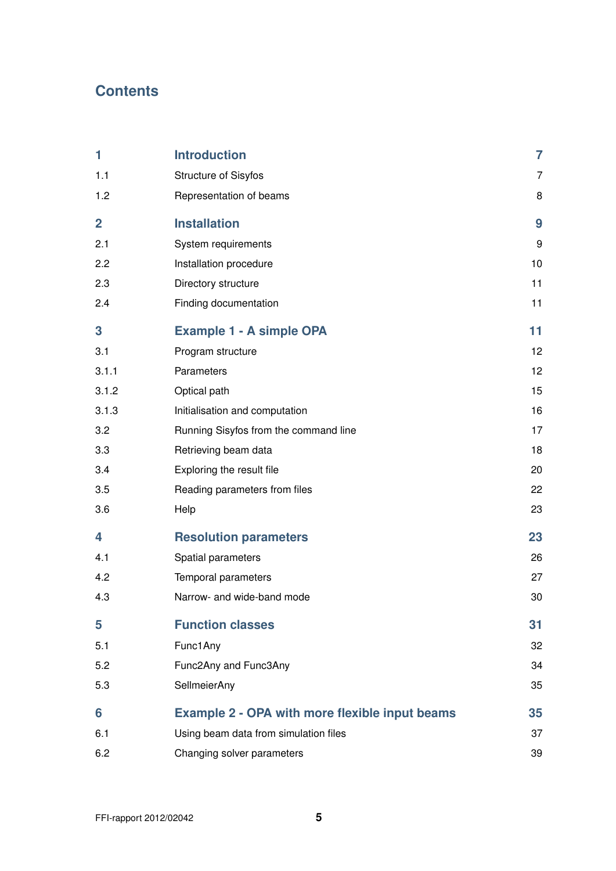# **Contents**

| 1              | <b>Introduction</b>                                   | $\overline{7}$  |
|----------------|-------------------------------------------------------|-----------------|
| 1.1            | <b>Structure of Sisyfos</b>                           | 7               |
| 1.2            | Representation of beams                               | 8               |
| $\overline{2}$ | <b>Installation</b>                                   | 9               |
| 2.1            | System requirements                                   | 9               |
| 2.2            | Installation procedure                                | 10              |
| 2.3            | Directory structure                                   | 11              |
| 2.4            | Finding documentation                                 | 11              |
| 3              | <b>Example 1 - A simple OPA</b>                       | 11              |
| 3.1            | Program structure                                     | 12 <sup>°</sup> |
| 3.1.1          | Parameters                                            | 12              |
| 3.1.2          | Optical path                                          | 15              |
| 3.1.3          | Initialisation and computation                        | 16              |
| 3.2            | Running Sisyfos from the command line                 | 17              |
| 3.3            | Retrieving beam data                                  | 18              |
| 3.4            | Exploring the result file                             | 20              |
| 3.5            | Reading parameters from files                         | 22              |
| 3.6            | Help                                                  | 23              |
| 4              | <b>Resolution parameters</b>                          | 23              |
| 4.1            | Spatial parameters                                    | 26              |
| 4.2            | Temporal parameters                                   | 27              |
| 4.3            | Narrow- and wide-band mode                            | 30              |
| 5              | <b>Function classes</b>                               | 31              |
| 5.1            | Func1Any                                              | 32              |
| 5.2            | Func2Any and Func3Any                                 | 34              |
| 5.3            | SellmeierAny                                          | 35              |
| 6              | <b>Example 2 - OPA with more flexible input beams</b> | 35              |
| 6.1            | Using beam data from simulation files                 | 37              |
| 6.2            | Changing solver parameters                            | 39              |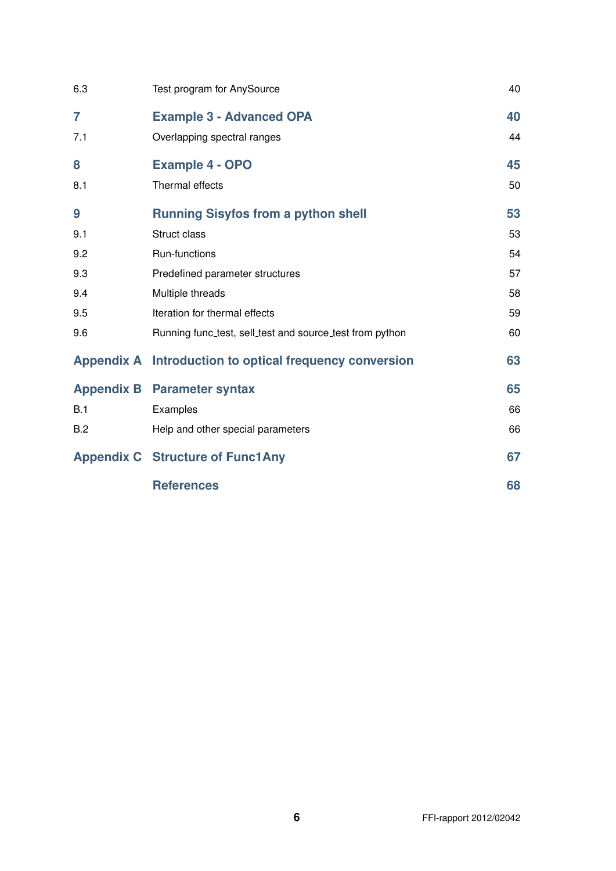| 6.3            | Test program for AnySource                               | 40 |
|----------------|----------------------------------------------------------|----|
| $\overline{7}$ | <b>Example 3 - Advanced OPA</b>                          | 40 |
| 7.1            | Overlapping spectral ranges                              | 44 |
| 8              | <b>Example 4 - OPO</b>                                   | 45 |
| 8.1            | Thermal effects                                          | 50 |
| 9              | <b>Running Sisyfos from a python shell</b>               | 53 |
| 9.1            | Struct class                                             | 53 |
| 9.2            | Run-functions                                            | 54 |
| 9.3            | Predefined parameter structures                          | 57 |
| 9.4            | Multiple threads                                         | 58 |
| 9.5            | Iteration for thermal effects                            | 59 |
| 9.6            | Running func_test, sell_test and source_test from python | 60 |
|                | Appendix A Introduction to optical frequency conversion  | 63 |
|                | <b>Appendix B</b> Parameter syntax                       | 65 |
| B.1            | Examples                                                 | 66 |
| B.2            | Help and other special parameters                        | 66 |
|                | <b>Appendix C Structure of Func1Any</b>                  | 67 |
|                | <b>References</b>                                        | 68 |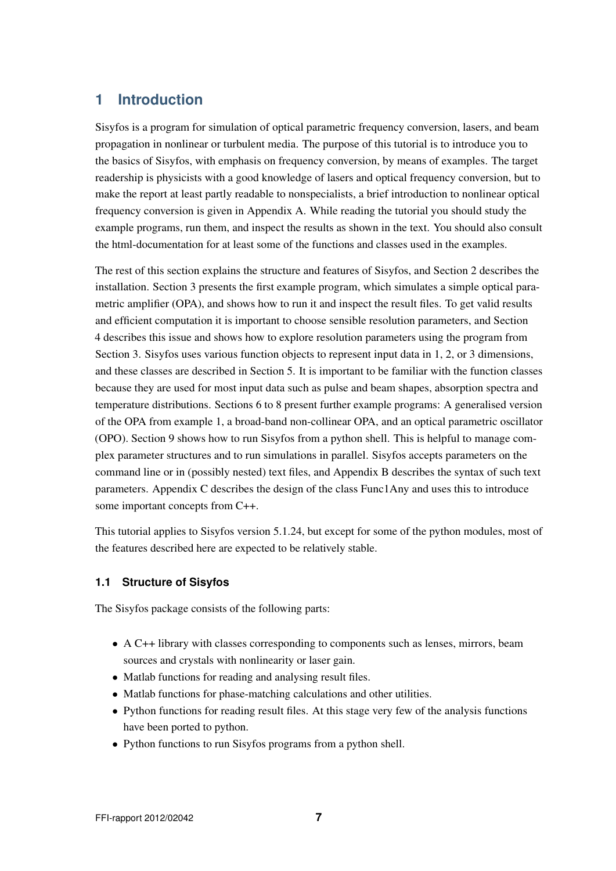# **1 Introduction**

Sisyfos is a program for simulation of optical parametric frequency conversion, lasers, and beam propagation in nonlinear or turbulent media. The purpose of this tutorial is to introduce you to the basics of Sisyfos, with emphasis on frequency conversion, by means of examples. The target readership is physicists with a good knowledge of lasers and optical frequency conversion, but to make the report at least partly readable to nonspecialists, a brief introduction to nonlinear optical frequency conversion is given in Appendix A. While reading the tutorial you should study the example programs, run them, and inspect the results as shown in the text. You should also consult the html-documentation for at least some of the functions and classes used in the examples.

The rest of this section explains the structure and features of Sisyfos, and Section 2 describes the installation. Section 3 presents the first example program, which simulates a simple optical parametric amplifier (OPA), and shows how to run it and inspect the result files. To get valid results and efficient computation it is important to choose sensible resolution parameters, and Section 4 describes this issue and shows how to explore resolution parameters using the program from Section 3. Sisyfos uses various function objects to represent input data in 1, 2, or 3 dimensions, and these classes are described in Section 5. It is important to be familiar with the function classes because they are used for most input data such as pulse and beam shapes, absorption spectra and temperature distributions. Sections 6 to 8 present further example programs: A generalised version of the OPA from example 1, a broad-band non-collinear OPA, and an optical parametric oscillator (OPO). Section 9 shows how to run Sisyfos from a python shell. This is helpful to manage complex parameter structures and to run simulations in parallel. Sisyfos accepts parameters on the command line or in (possibly nested) text files, and Appendix B describes the syntax of such text parameters. Appendix C describes the design of the class Func1Any and uses this to introduce some important concepts from C++.

This tutorial applies to Sisyfos version 5.1.24, but except for some of the python modules, most of the features described here are expected to be relatively stable.

## **1.1 Structure of Sisyfos**

The Sisyfos package consists of the following parts:

- A C++ library with classes corresponding to components such as lenses, mirrors, beam sources and crystals with nonlinearity or laser gain.
- Matlab functions for reading and analysing result files.
- Matlab functions for phase-matching calculations and other utilities.
- Python functions for reading result files. At this stage very few of the analysis functions have been ported to python.
- Python functions to run Sisyfos programs from a python shell.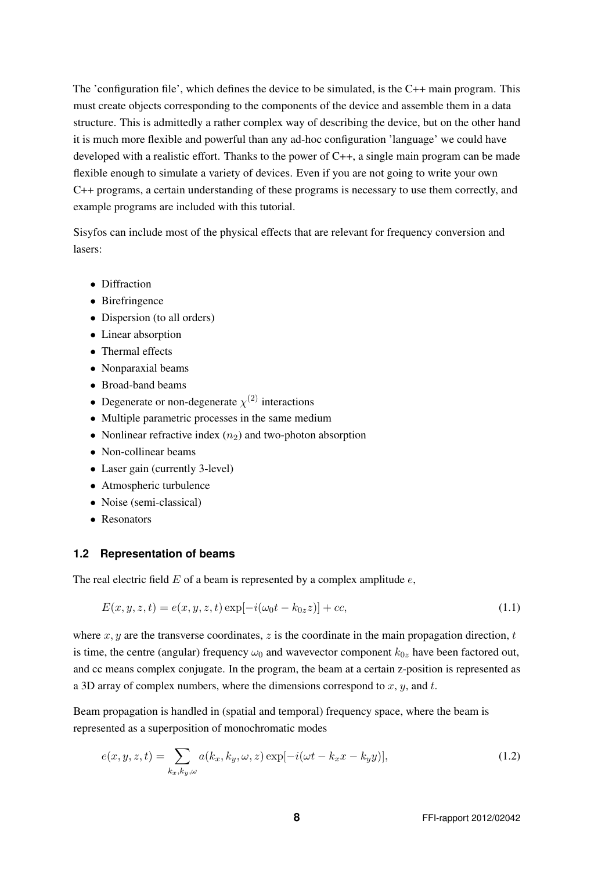The 'configuration file', which defines the device to be simulated, is the C++ main program. This must create objects corresponding to the components of the device and assemble them in a data structure. This is admittedly a rather complex way of describing the device, but on the other hand it is much more flexible and powerful than any ad-hoc configuration 'language' we could have developed with a realistic effort. Thanks to the power of C++, a single main program can be made flexible enough to simulate a variety of devices. Even if you are not going to write your own C++ programs, a certain understanding of these programs is necessary to use them correctly, and example programs are included with this tutorial.

Sisyfos can include most of the physical effects that are relevant for frequency conversion and lasers:

- Diffraction
- Birefringence
- Dispersion (to all orders)
- Linear absorption
- Thermal effects
- Nonparaxial beams
- Broad-band beams
- Degenerate or non-degenerate  $\chi^{(2)}$  interactions
- Multiple parametric processes in the same medium
- Nonlinear refractive index  $(n_2)$  and two-photon absorption
- Non-collinear beams
- Laser gain (currently 3-level)
- Atmospheric turbulence
- Noise (semi-classical)
- Resonators

#### **1.2 Representation of beams**

The real electric field  $E$  of a beam is represented by a complex amplitude  $e$ ,

$$
E(x, y, z, t) = e(x, y, z, t) \exp[-i(\omega_0 t - k_{0z} z)] + cc,
$$
\n(1.1)

where  $x, y$  are the transverse coordinates, z is the coordinate in the main propagation direction, t is time, the centre (angular) frequency  $\omega_0$  and wavevector component  $k_{0z}$  have been factored out, and cc means complex conjugate. In the program, the beam at a certain z-position is represented as a 3D array of complex numbers, where the dimensions correspond to  $x, y$ , and  $t$ .

Beam propagation is handled in (spatial and temporal) frequency space, where the beam is represented as a superposition of monochromatic modes

$$
e(x,y,z,t) = \sum_{k_x,k_y,\omega} a(k_x,k_y,\omega,z) \exp[-i(\omega t - k_x x - k_y y)],\tag{1.2}
$$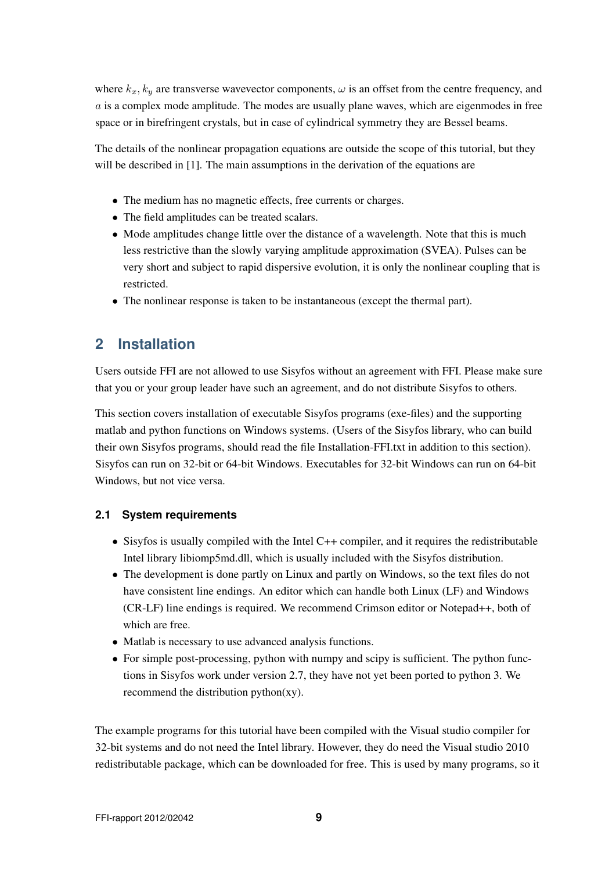where  $k_x, k_y$  are transverse wavevector components,  $\omega$  is an offset from the centre frequency, and  $a$  is a complex mode amplitude. The modes are usually plane waves, which are eigenmodes in free space or in birefringent crystals, but in case of cylindrical symmetry they are Bessel beams.

The details of the nonlinear propagation equations are outside the scope of this tutorial, but they will be described in [1]. The main assumptions in the derivation of the equations are

- The medium has no magnetic effects, free currents or charges.
- The field amplitudes can be treated scalars.
- Mode amplitudes change little over the distance of a wavelength. Note that this is much less restrictive than the slowly varying amplitude approximation (SVEA). Pulses can be very short and subject to rapid dispersive evolution, it is only the nonlinear coupling that is restricted.
- The nonlinear response is taken to be instantaneous (except the thermal part).

# **2 Installation**

Users outside FFI are not allowed to use Sisyfos without an agreement with FFI. Please make sure that you or your group leader have such an agreement, and do not distribute Sisyfos to others.

This section covers installation of executable Sisyfos programs (exe-files) and the supporting matlab and python functions on Windows systems. (Users of the Sisyfos library, who can build their own Sisyfos programs, should read the file Installation-FFI.txt in addition to this section). Sisyfos can run on 32-bit or 64-bit Windows. Executables for 32-bit Windows can run on 64-bit Windows, but not vice versa.

## **2.1 System requirements**

- Sisyfos is usually compiled with the Intel C++ compiler, and it requires the redistributable Intel library libiomp5md.dll, which is usually included with the Sisyfos distribution.
- The development is done partly on Linux and partly on Windows, so the text files do not have consistent line endings. An editor which can handle both Linux (LF) and Windows (CR-LF) line endings is required. We recommend Crimson editor or Notepad++, both of which are free.
- Matlab is necessary to use advanced analysis functions.
- For simple post-processing, python with numpy and scipy is sufficient. The python functions in Sisyfos work under version 2.7, they have not yet been ported to python 3. We recommend the distribution python(xy).

The example programs for this tutorial have been compiled with the Visual studio compiler for 32-bit systems and do not need the Intel library. However, they do need the Visual studio 2010 redistributable package, which can be downloaded for free. This is used by many programs, so it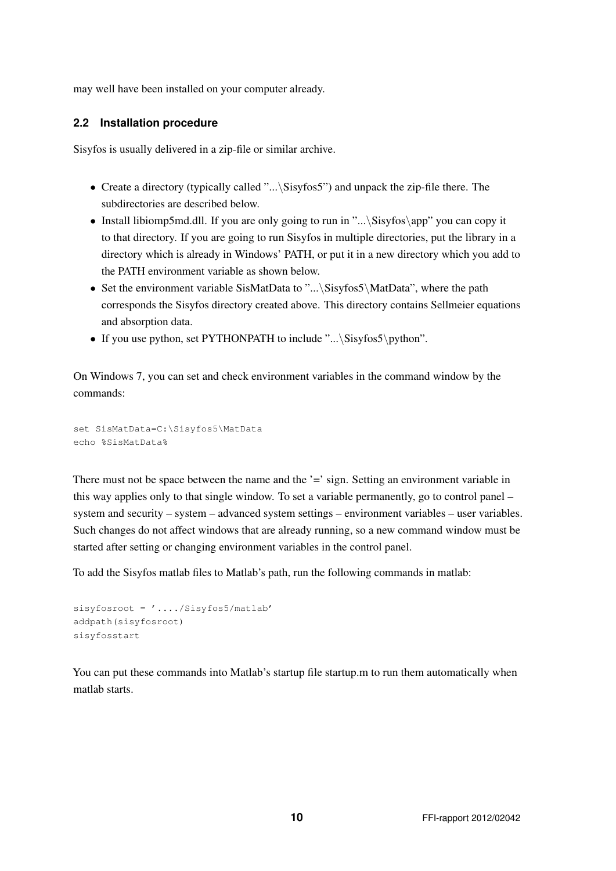may well have been installed on your computer already.

### **2.2 Installation procedure**

Sisyfos is usually delivered in a zip-file or similar archive.

- Create a directory (typically called "...\Sisyfos5") and unpack the zip-file there. The subdirectories are described below.
- Install libiomp5md.dll. If you are only going to run in "...\Sisyfos\app" you can copy it to that directory. If you are going to run Sisyfos in multiple directories, put the library in a directory which is already in Windows' PATH, or put it in a new directory which you add to the PATH environment variable as shown below.
- Set the environment variable SisMatData to "...\Sisyfos5\MatData", where the path corresponds the Sisyfos directory created above. This directory contains Sellmeier equations and absorption data.
- If you use python, set PYTHONPATH to include "...\Sisyfos5\python".

On Windows 7, you can set and check environment variables in the command window by the commands:

```
set SisMatData=C:\Sisyfos5\MatData
echo %SisMatData%
```
There must not be space between the name and the '=' sign. Setting an environment variable in this way applies only to that single window. To set a variable permanently, go to control panel – system and security – system – advanced system settings – environment variables – user variables. Such changes do not affect windows that are already running, so a new command window must be started after setting or changing environment variables in the control panel.

To add the Sisyfos matlab files to Matlab's path, run the following commands in matlab:

```
sisyfosroot = '..../Sisyfos5/matlab'
addpath(sisyfosroot)
sisyfosstart
```
You can put these commands into Matlab's startup file startup.m to run them automatically when matlab starts.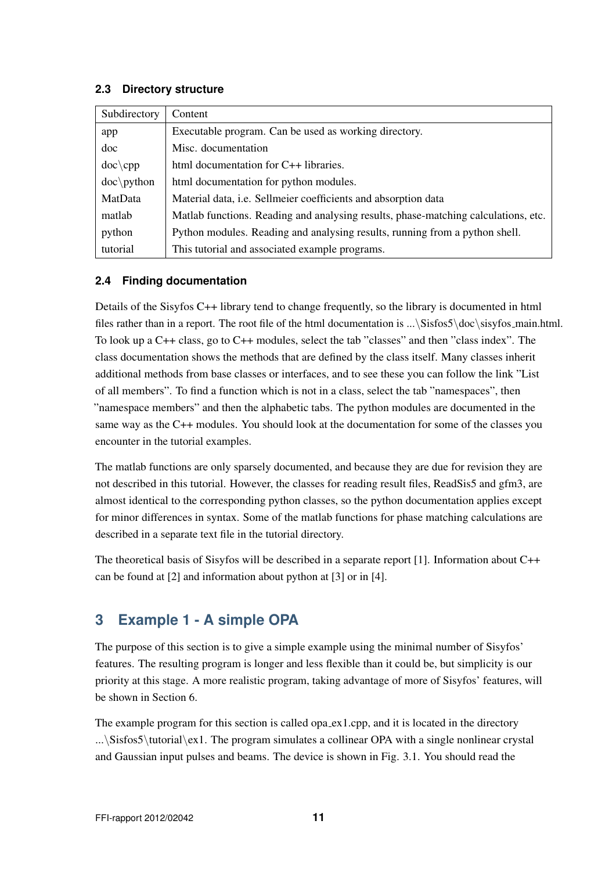### **2.3 Directory structure**

| Subdirectory  | Content                                                                            |  |
|---------------|------------------------------------------------------------------------------------|--|
| app           | Executable program. Can be used as working directory.                              |  |
| doc           | Misc. documentation                                                                |  |
| $doc\$        | html documentation for C++ libraries.                                              |  |
| $doc\$ python | html documentation for python modules.                                             |  |
| MatData       | Material data, i.e. Sellmeier coefficients and absorption data                     |  |
| matlab        | Matlab functions. Reading and analysing results, phase-matching calculations, etc. |  |
| python        | Python modules. Reading and analysing results, running from a python shell.        |  |
| tutorial      | This tutorial and associated example programs.                                     |  |

# **2.4 Finding documentation**

Details of the Sisyfos C++ library tend to change frequently, so the library is documented in html files rather than in a report. The root file of the html documentation is ...\Sisfos5\doc\sisyfos main.html. To look up a C++ class, go to C++ modules, select the tab "classes" and then "class index". The class documentation shows the methods that are defined by the class itself. Many classes inherit additional methods from base classes or interfaces, and to see these you can follow the link "List of all members". To find a function which is not in a class, select the tab "namespaces", then "namespace members" and then the alphabetic tabs. The python modules are documented in the same way as the C++ modules. You should look at the documentation for some of the classes you encounter in the tutorial examples.

The matlab functions are only sparsely documented, and because they are due for revision they are not described in this tutorial. However, the classes for reading result files, ReadSis5 and gfm3, are almost identical to the corresponding python classes, so the python documentation applies except for minor differences in syntax. Some of the matlab functions for phase matching calculations are described in a separate text file in the tutorial directory.

The theoretical basis of Sisyfos will be described in a separate report [1]. Information about C++ can be found at [2] and information about python at [3] or in [4].

# **3 Example 1 - A simple OPA**

The purpose of this section is to give a simple example using the minimal number of Sisyfos' features. The resulting program is longer and less flexible than it could be, but simplicity is our priority at this stage. A more realistic program, taking advantage of more of Sisyfos' features, will be shown in Section 6.

The example program for this section is called opa  $ex1.cpp$ , and it is located in the directory ...\Sisfos5\tutorial\ex1. The program simulates a collinear OPA with a single nonlinear crystal and Gaussian input pulses and beams. The device is shown in Fig. 3.1. You should read the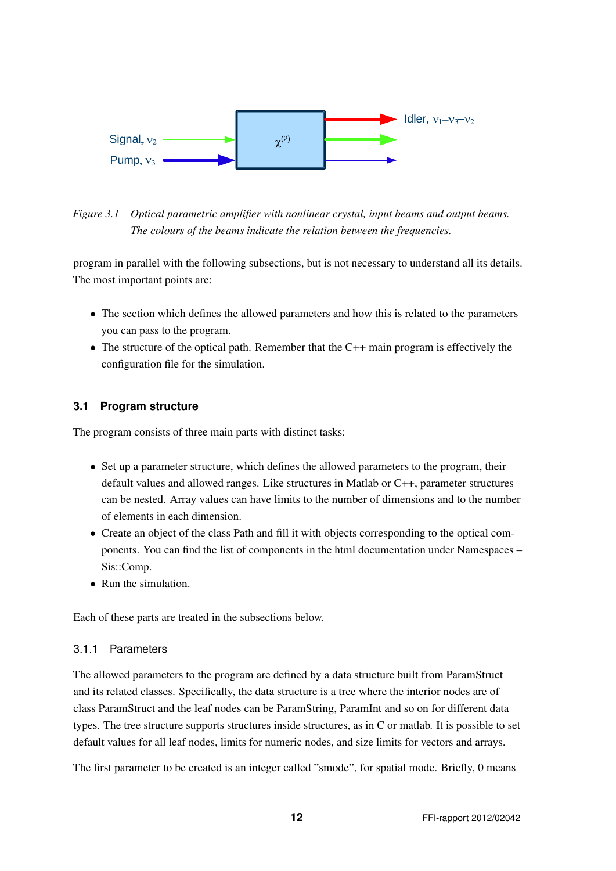

*Figure 3.1 Optical parametric amplifier with nonlinear crystal, input beams and output beams. The colours of the beams indicate the relation between the frequencies.*

program in parallel with the following subsections, but is not necessary to understand all its details. The most important points are:

- The section which defines the allowed parameters and how this is related to the parameters you can pass to the program.
- The structure of the optical path. Remember that the C++ main program is effectively the configuration file for the simulation.

# **3.1 Program structure**

The program consists of three main parts with distinct tasks:

- Set up a parameter structure, which defines the allowed parameters to the program, their default values and allowed ranges. Like structures in Matlab or C++, parameter structures can be nested. Array values can have limits to the number of dimensions and to the number of elements in each dimension.
- Create an object of the class Path and fill it with objects corresponding to the optical components. You can find the list of components in the html documentation under Namespaces – Sis::Comp.
- Run the simulation.

Each of these parts are treated in the subsections below.

## 3.1.1 Parameters

The allowed parameters to the program are defined by a data structure built from ParamStruct and its related classes. Specifically, the data structure is a tree where the interior nodes are of class ParamStruct and the leaf nodes can be ParamString, ParamInt and so on for different data types. The tree structure supports structures inside structures, as in C or matlab. It is possible to set default values for all leaf nodes, limits for numeric nodes, and size limits for vectors and arrays.

The first parameter to be created is an integer called "smode", for spatial mode. Briefly, 0 means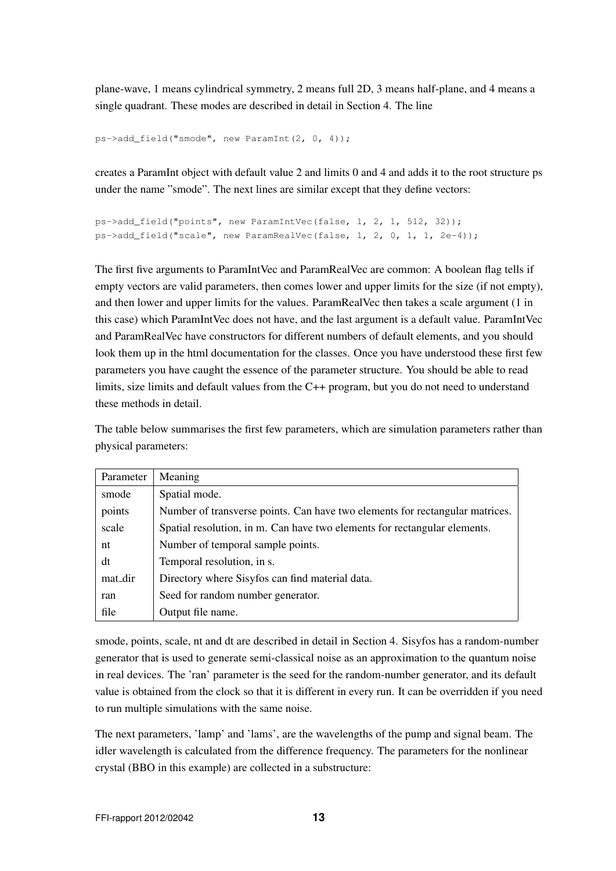plane-wave, 1 means cylindrical symmetry, 2 means full 2D, 3 means half-plane, and 4 means a single quadrant. These modes are described in detail in Section 4. The line

```
ps->add_field("smode", new ParamInt(2, 0, 4));
```
creates a ParamInt object with default value 2 and limits 0 and 4 and adds it to the root structure ps under the name "smode". The next lines are similar except that they define vectors:

```
ps->add_field("points", new ParamIntVec(false, 1, 2, 1, 512, 32));
p s->add field("scale", new ParamRealVec(false, 1, 2, 0, 1, 1, 2e-4));
```
The first five arguments to ParamIntVec and ParamRealVec are common: A boolean flag tells if empty vectors are valid parameters, then comes lower and upper limits for the size (if not empty), and then lower and upper limits for the values. ParamRealVec then takes a scale argument (1 in this case) which ParamIntVec does not have, and the last argument is a default value. ParamIntVec and ParamRealVec have constructors for different numbers of default elements, and you should look them up in the html documentation for the classes. Once you have understood these first few parameters you have caught the essence of the parameter structure. You should be able to read limits, size limits and default values from the C++ program, but you do not need to understand these methods in detail.

The table below summarises the first few parameters, which are simulation parameters rather than physical parameters:

| Parameter | Meaning                                                                      |
|-----------|------------------------------------------------------------------------------|
| smode     | Spatial mode.                                                                |
| points    | Number of transverse points. Can have two elements for rectangular matrices. |
| scale     | Spatial resolution, in m. Can have two elements for rectangular elements.    |
| nt        | Number of temporal sample points.                                            |
| dt        | Temporal resolution, in s.                                                   |
| mat_dir   | Directory where Sisyfos can find material data.                              |
| ran       | Seed for random number generator.                                            |
| file      | Output file name.                                                            |

smode, points, scale, nt and dt are described in detail in Section 4. Sisyfos has a random-number generator that is used to generate semi-classical noise as an approximation to the quantum noise in real devices. The 'ran' parameter is the seed for the random-number generator, and its default value is obtained from the clock so that it is different in every run. It can be overridden if you need to run multiple simulations with the same noise.

The next parameters, 'lamp' and 'lams', are the wavelengths of the pump and signal beam. The idler wavelength is calculated from the difference frequency. The parameters for the nonlinear crystal (BBO in this example) are collected in a substructure: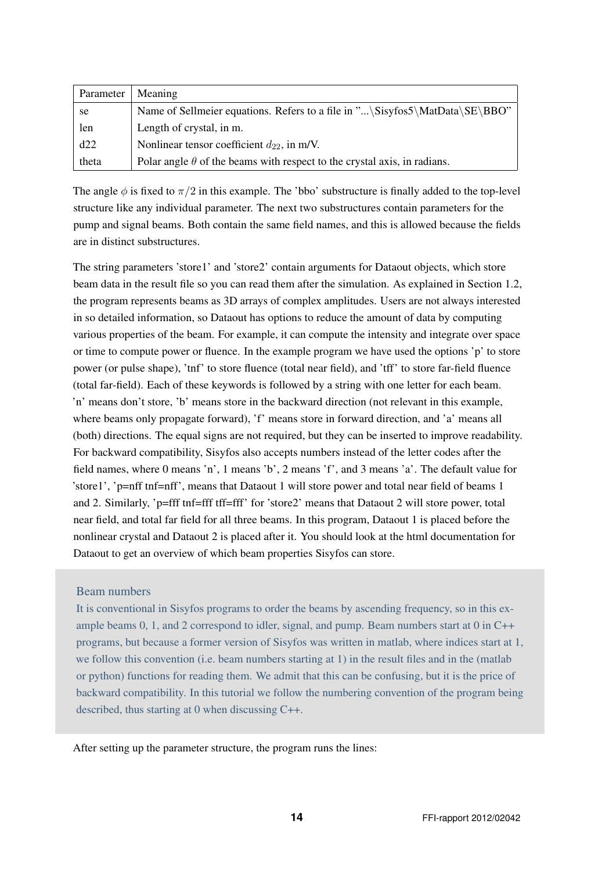| Parameter | Meaning                                                                         |
|-----------|---------------------------------------------------------------------------------|
| se        | Name of Sellmeier equations. Refers to a file in "\Sisyfos5\MatData\SE\BBO"     |
| len       | Length of crystal, in m.                                                        |
| d22       | Nonlinear tensor coefficient $d_{22}$ , in m/V.                                 |
| theta     | Polar angle $\theta$ of the beams with respect to the crystal axis, in radians. |

The angle  $\phi$  is fixed to  $\pi/2$  in this example. The 'bbo' substructure is finally added to the top-level structure like any individual parameter. The next two substructures contain parameters for the pump and signal beams. Both contain the same field names, and this is allowed because the fields are in distinct substructures.

The string parameters 'store1' and 'store2' contain arguments for Dataout objects, which store beam data in the result file so you can read them after the simulation. As explained in Section 1.2, the program represents beams as 3D arrays of complex amplitudes. Users are not always interested in so detailed information, so Dataout has options to reduce the amount of data by computing various properties of the beam. For example, it can compute the intensity and integrate over space or time to compute power or fluence. In the example program we have used the options 'p' to store power (or pulse shape), 'tnf' to store fluence (total near field), and 'tff' to store far-field fluence (total far-field). Each of these keywords is followed by a string with one letter for each beam. 'n' means don't store, 'b' means store in the backward direction (not relevant in this example, where beams only propagate forward), 'f' means store in forward direction, and 'a' means all (both) directions. The equal signs are not required, but they can be inserted to improve readability. For backward compatibility, Sisyfos also accepts numbers instead of the letter codes after the field names, where 0 means 'n', 1 means 'b', 2 means 'f', and 3 means 'a'. The default value for 'store1', 'p=nff tnf=nff', means that Dataout 1 will store power and total near field of beams 1 and 2. Similarly, 'p=fff tnf=fff tff=fff' for 'store2' means that Dataout 2 will store power, total near field, and total far field for all three beams. In this program, Dataout 1 is placed before the nonlinear crystal and Dataout 2 is placed after it. You should look at the html documentation for Dataout to get an overview of which beam properties Sisyfos can store.

### Beam numbers

It is conventional in Sisyfos programs to order the beams by ascending frequency, so in this example beams 0, 1, and 2 correspond to idler, signal, and pump. Beam numbers start at 0 in C++ programs, but because a former version of Sisyfos was written in matlab, where indices start at 1, we follow this convention (i.e. beam numbers starting at 1) in the result files and in the (matlab or python) functions for reading them. We admit that this can be confusing, but it is the price of backward compatibility. In this tutorial we follow the numbering convention of the program being described, thus starting at 0 when discussing C++.

After setting up the parameter structure, the program runs the lines: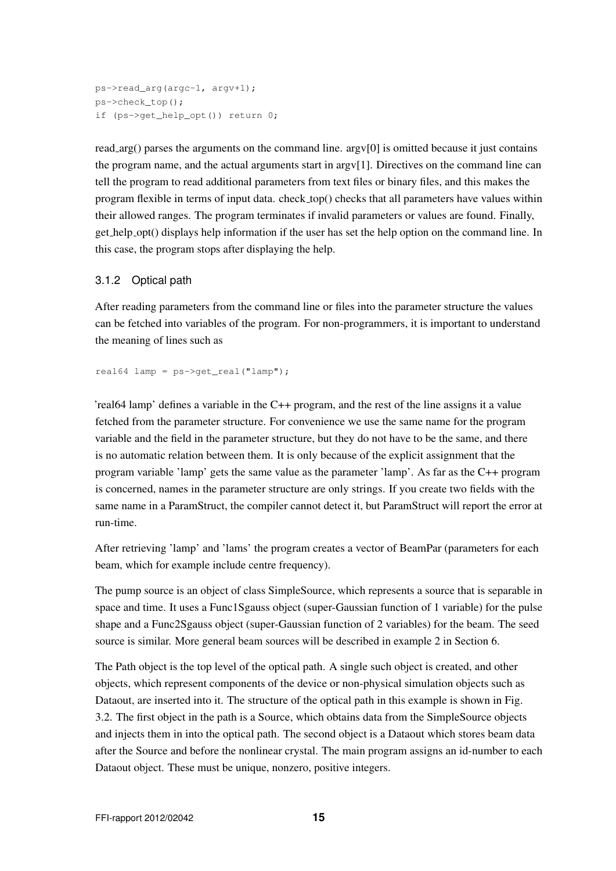```
ps->read_arg(argc-1, argv+1);
ps->check_top();
if (ps->get_help_opt()) return 0;
```
read  $arg()$  parses the arguments on the command line.  $argv[0]$  is omitted because it just contains the program name, and the actual arguments start in argv[1]. Directives on the command line can tell the program to read additional parameters from text files or binary files, and this makes the program flexible in terms of input data. check top() checks that all parameters have values within their allowed ranges. The program terminates if invalid parameters or values are found. Finally, get help opt() displays help information if the user has set the help option on the command line. In this case, the program stops after displaying the help.

### 3.1.2 Optical path

After reading parameters from the command line or files into the parameter structure the values can be fetched into variables of the program. For non-programmers, it is important to understand the meaning of lines such as

```
real64 lamp = ps \rightarrow qet real("lamp");
```
'real64 lamp' defines a variable in the C++ program, and the rest of the line assigns it a value fetched from the parameter structure. For convenience we use the same name for the program variable and the field in the parameter structure, but they do not have to be the same, and there is no automatic relation between them. It is only because of the explicit assignment that the program variable 'lamp' gets the same value as the parameter 'lamp'. As far as the C++ program is concerned, names in the parameter structure are only strings. If you create two fields with the same name in a ParamStruct, the compiler cannot detect it, but ParamStruct will report the error at run-time.

After retrieving 'lamp' and 'lams' the program creates a vector of BeamPar (parameters for each beam, which for example include centre frequency).

The pump source is an object of class SimpleSource, which represents a source that is separable in space and time. It uses a Func1Sgauss object (super-Gaussian function of 1 variable) for the pulse shape and a Func2Sgauss object (super-Gaussian function of 2 variables) for the beam. The seed source is similar. More general beam sources will be described in example 2 in Section 6.

The Path object is the top level of the optical path. A single such object is created, and other objects, which represent components of the device or non-physical simulation objects such as Dataout, are inserted into it. The structure of the optical path in this example is shown in Fig. 3.2. The first object in the path is a Source, which obtains data from the SimpleSource objects and injects them in into the optical path. The second object is a Dataout which stores beam data after the Source and before the nonlinear crystal. The main program assigns an id-number to each Dataout object. These must be unique, nonzero, positive integers.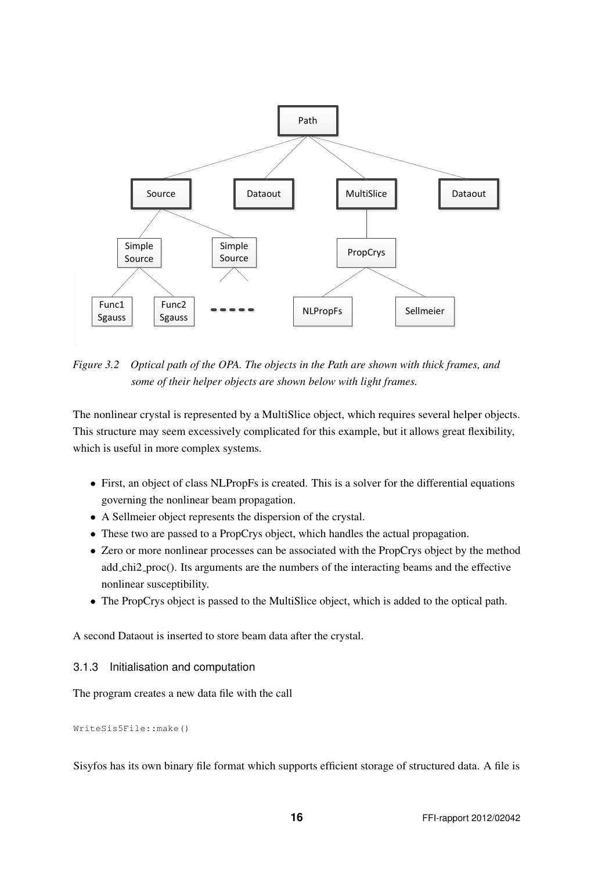

*Figure 3.2 Optical path of the OPA. The objects in the Path are shown with thick frames, and some of their helper objects are shown below with light frames.*

The nonlinear crystal is represented by a MultiSlice object, which requires several helper objects. This structure may seem excessively complicated for this example, but it allows great flexibility, which is useful in more complex systems.

- First, an object of class NLPropFs is created. This is a solver for the differential equations governing the nonlinear beam propagation.
- A Sellmeier object represents the dispersion of the crystal.
- These two are passed to a PropCrys object, which handles the actual propagation.
- Zero or more nonlinear processes can be associated with the PropCrys object by the method add chi2 proc(). Its arguments are the numbers of the interacting beams and the effective nonlinear susceptibility.
- The PropCrys object is passed to the MultiSlice object, which is added to the optical path.

A second Dataout is inserted to store beam data after the crystal.

## 3.1.3 Initialisation and computation

The program creates a new data file with the call

WriteSis5File::make()

Sisyfos has its own binary file format which supports efficient storage of structured data. A file is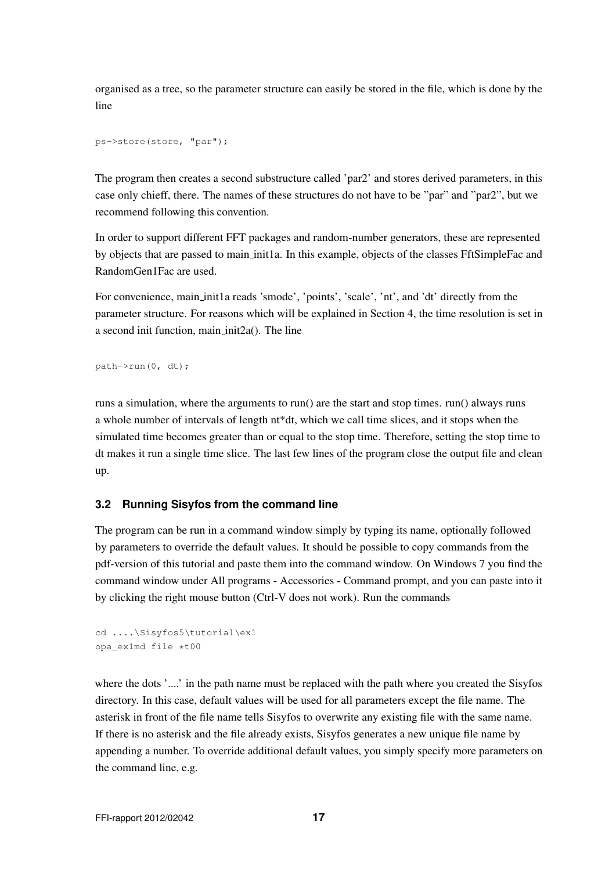organised as a tree, so the parameter structure can easily be stored in the file, which is done by the line

```
ps->store(store, "par");
```
The program then creates a second substructure called 'par2' and stores derived parameters, in this case only chieff, there. The names of these structures do not have to be "par" and "par2", but we recommend following this convention.

In order to support different FFT packages and random-number generators, these are represented by objects that are passed to main init1a. In this example, objects of the classes FftSimpleFac and RandomGen1Fac are used.

For convenience, main init1a reads 'smode', 'points', 'scale', 'nt', and 'dt' directly from the parameter structure. For reasons which will be explained in Section 4, the time resolution is set in a second init function, main init2a(). The line

```
path->run(0, dt);
```
runs a simulation, where the arguments to run() are the start and stop times. run() always runs a whole number of intervals of length nt\*dt, which we call time slices, and it stops when the simulated time becomes greater than or equal to the stop time. Therefore, setting the stop time to dt makes it run a single time slice. The last few lines of the program close the output file and clean up.

## **3.2 Running Sisyfos from the command line**

The program can be run in a command window simply by typing its name, optionally followed by parameters to override the default values. It should be possible to copy commands from the pdf-version of this tutorial and paste them into the command window. On Windows 7 you find the command window under All programs - Accessories - Command prompt, and you can paste into it by clicking the right mouse button (Ctrl-V does not work). Run the commands

```
cd ....\Sisyfos5\tutorial\ex1
opa_ex1md file *t00
```
where the dots '....' in the path name must be replaced with the path where you created the Sisyfos directory. In this case, default values will be used for all parameters except the file name. The asterisk in front of the file name tells Sisyfos to overwrite any existing file with the same name. If there is no asterisk and the file already exists, Sisyfos generates a new unique file name by appending a number. To override additional default values, you simply specify more parameters on the command line, e.g.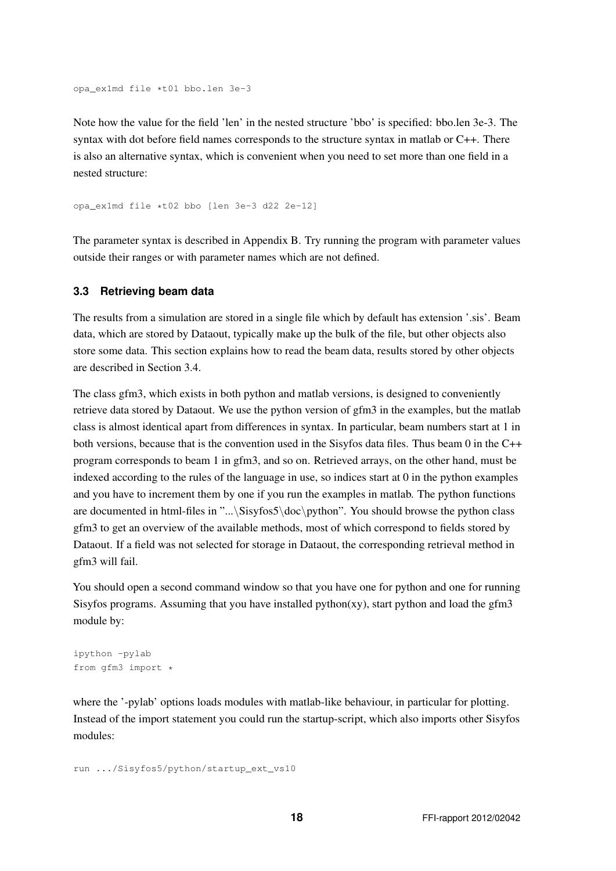```
opa_ex1md file *t01 bbo.len 3e-3
```
Note how the value for the field 'len' in the nested structure 'bbo' is specified: bbo.len 3e-3. The syntax with dot before field names corresponds to the structure syntax in matlab or C++. There is also an alternative syntax, which is convenient when you need to set more than one field in a nested structure:

opa\_ex1md file \*t02 bbo [len 3e-3 d22 2e-12]

The parameter syntax is described in Appendix B. Try running the program with parameter values outside their ranges or with parameter names which are not defined.

#### **3.3 Retrieving beam data**

The results from a simulation are stored in a single file which by default has extension '.sis'. Beam data, which are stored by Dataout, typically make up the bulk of the file, but other objects also store some data. This section explains how to read the beam data, results stored by other objects are described in Section 3.4.

The class gfm3, which exists in both python and matlab versions, is designed to conveniently retrieve data stored by Dataout. We use the python version of gfm3 in the examples, but the matlab class is almost identical apart from differences in syntax. In particular, beam numbers start at 1 in both versions, because that is the convention used in the Sisyfos data files. Thus beam 0 in the C++ program corresponds to beam 1 in gfm3, and so on. Retrieved arrays, on the other hand, must be indexed according to the rules of the language in use, so indices start at 0 in the python examples and you have to increment them by one if you run the examples in matlab. The python functions are documented in html-files in "...\Sisyfos5\doc\python". You should browse the python class gfm3 to get an overview of the available methods, most of which correspond to fields stored by Dataout. If a field was not selected for storage in Dataout, the corresponding retrieval method in gfm3 will fail.

You should open a second command window so that you have one for python and one for running Sisyfos programs. Assuming that you have installed python(xy), start python and load the gfm3 module by:

```
ipython -pylab
from gfm3 import *
```
where the '-pylab' options loads modules with matlab-like behaviour, in particular for plotting. Instead of the import statement you could run the startup-script, which also imports other Sisyfos modules:

```
run .../Sisyfos5/python/startup_ext_vs10
```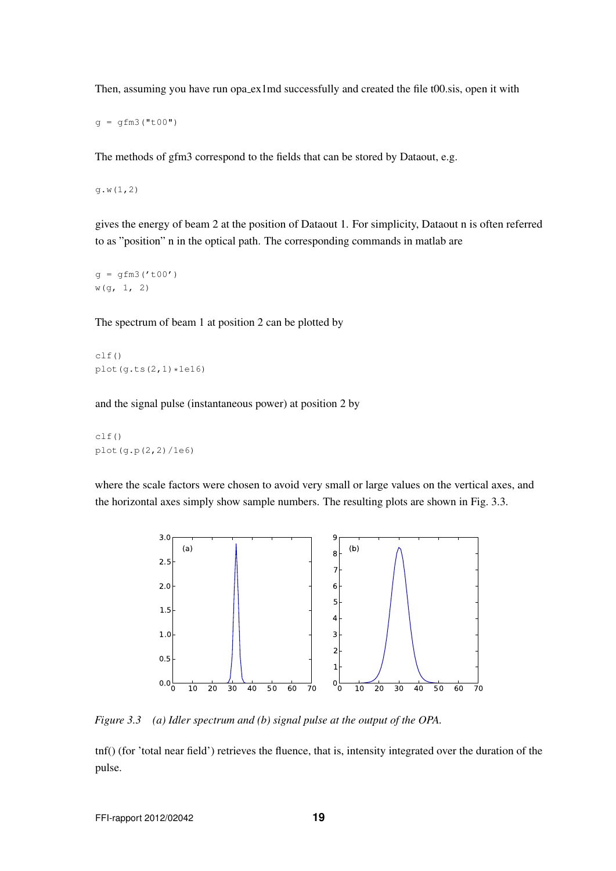Then, assuming you have run opa\_ex1md successfully and created the file t00.sis, open it with

 $q = qfm3("t00")$ 

The methods of gfm3 correspond to the fields that can be stored by Dataout, e.g.

g.w(1,2)

gives the energy of beam 2 at the position of Dataout 1. For simplicity, Dataout n is often referred to as "position" n in the optical path. The corresponding commands in matlab are

 $g = gfm3('t00')$ w(g, 1, 2)

The spectrum of beam 1 at position 2 can be plotted by

clf() plot $(q.ts(2,1) *1e16)$ 

and the signal pulse (instantaneous power) at position 2 by

clf() plot(g.p(2,2)/1e6)

where the scale factors were chosen to avoid very small or large values on the vertical axes, and the horizontal axes simply show sample numbers. The resulting plots are shown in Fig. 3.3.



*Figure 3.3 (a) Idler spectrum and (b) signal pulse at the output of the OPA.*

tnf() (for 'total near field') retrieves the fluence, that is, intensity integrated over the duration of the pulse.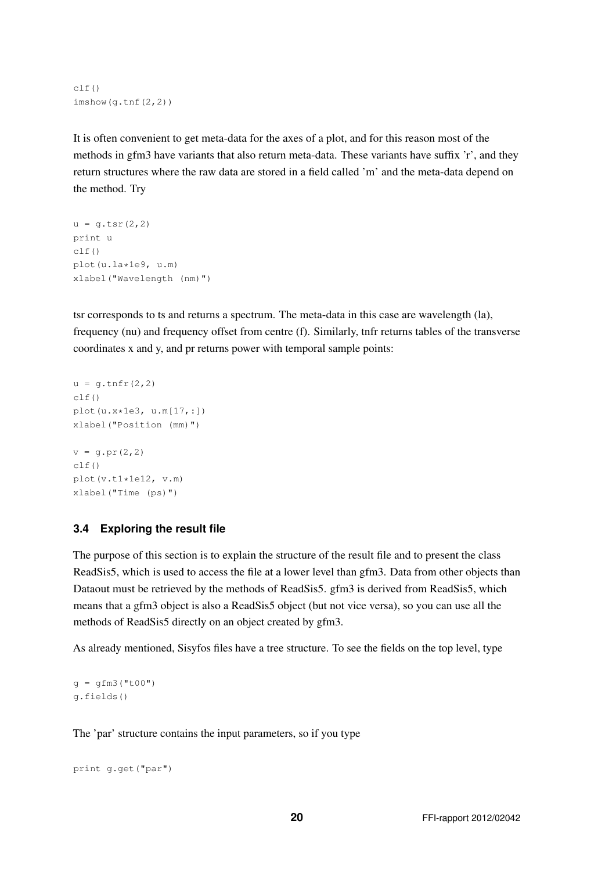```
c1f()imshow(g.tnf(2,2))
```
It is often convenient to get meta-data for the axes of a plot, and for this reason most of the methods in gfm3 have variants that also return meta-data. These variants have suffix 'r', and they return structures where the raw data are stored in a field called 'm' and the meta-data depend on the method. Try

```
u = \alpha \text{.tsr}(2,2)print u
clf()
plot(u.la*1e9, u.m)
xlabel("Wavelength (nm)")
```
tsr corresponds to ts and returns a spectrum. The meta-data in this case are wavelength (la), frequency (nu) and frequency offset from centre (f). Similarly, tnfr returns tables of the transverse coordinates x and y, and pr returns power with temporal sample points:

```
u = g.tnfr(2,2)clf()
plot(u.x*1e3, u.m[17,:])
xlabel("Position (mm)")
v = q.pr(2, 2)c]f()plot(v.t1*1e12, v.m)
xlabel("Time (ps)")
```
## **3.4 Exploring the result file**

The purpose of this section is to explain the structure of the result file and to present the class ReadSis5, which is used to access the file at a lower level than gfm3. Data from other objects than Dataout must be retrieved by the methods of ReadSis5. gfm3 is derived from ReadSis5, which means that a gfm3 object is also a ReadSis5 object (but not vice versa), so you can use all the methods of ReadSis5 directly on an object created by gfm3.

As already mentioned, Sisyfos files have a tree structure. To see the fields on the top level, type

```
q = qfm3("t00")g.fields()
```
The 'par' structure contains the input parameters, so if you type

```
print g.get("par")
```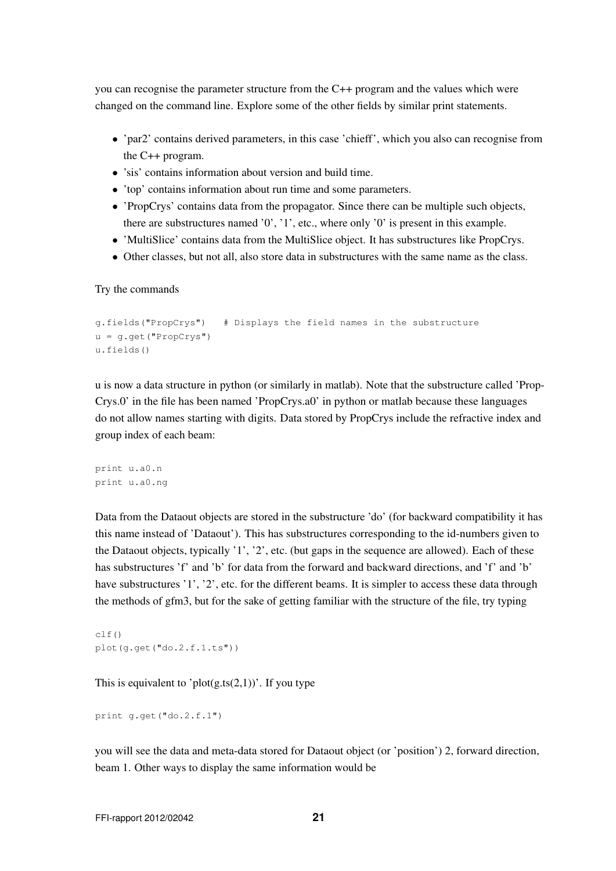you can recognise the parameter structure from the C++ program and the values which were changed on the command line. Explore some of the other fields by similar print statements.

- 'par2' contains derived parameters, in this case 'chieff', which you also can recognise from the C++ program.
- 'sis' contains information about version and build time.
- 'top' contains information about run time and some parameters.
- 'PropCrys' contains data from the propagator. Since there can be multiple such objects, there are substructures named '0', '1', etc., where only '0' is present in this example.
- 'MultiSlice' contains data from the MultiSlice object. It has substructures like PropCrys.
- Other classes, but not all, also store data in substructures with the same name as the class.

Try the commands

```
g.fields("PropCrys") # Displays the field names in the substructure
u = g.get("PropCrys")
u.fields()
```
u is now a data structure in python (or similarly in matlab). Note that the substructure called 'Prop-Crys.0' in the file has been named 'PropCrys.a0' in python or matlab because these languages do not allow names starting with digits. Data stored by PropCrys include the refractive index and group index of each beam:

print u.a0.n print u.a0.ng

Data from the Dataout objects are stored in the substructure 'do' (for backward compatibility it has this name instead of 'Dataout'). This has substructures corresponding to the id-numbers given to the Dataout objects, typically '1', '2', etc. (but gaps in the sequence are allowed). Each of these has substructures 'f' and 'b' for data from the forward and backward directions, and 'f' and 'b' have substructures '1', '2', etc. for the different beams. It is simpler to access these data through the methods of gfm3, but for the sake of getting familiar with the structure of the file, try typing

```
c1f()plot(g.get("do.2.f.1.ts"))
```
This is equivalent to 'plot $(g, ts(2,1))$ '. If you type

```
print g.get("do.2.f.1")
```
you will see the data and meta-data stored for Dataout object (or 'position') 2, forward direction, beam 1. Other ways to display the same information would be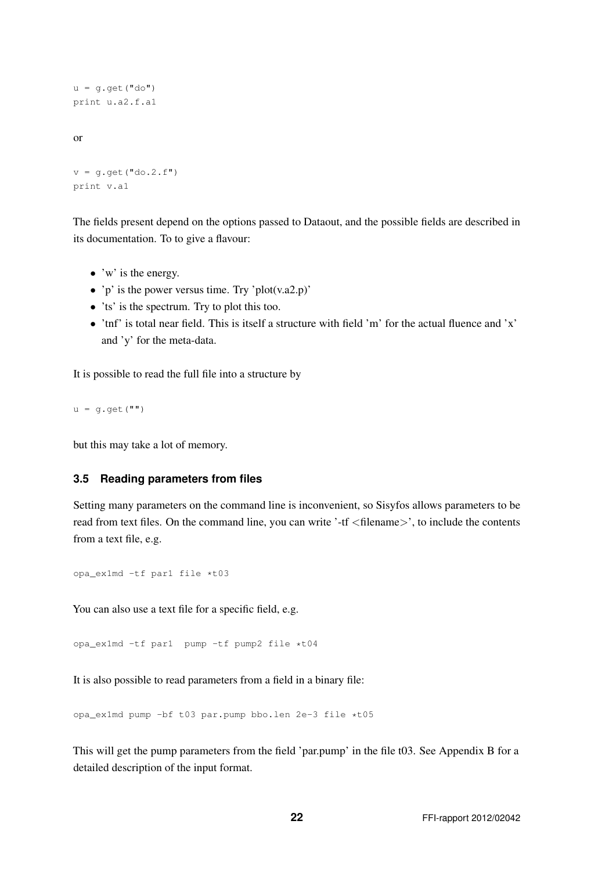```
u = q \cdot qet("do")print u.a2.f.a1
or
```

```
v = g.get("do.2.f")print v.a1
```
The fields present depend on the options passed to Dataout, and the possible fields are described in its documentation. To to give a flavour:

- $\bullet$  'w' is the energy.
- 'p' is the power versus time. Try 'plot(v.a2.p)'
- 'ts' is the spectrum. Try to plot this too.
- $\bullet$  'tnf' is total near field. This is itself a structure with field 'm' for the actual fluence and 'x' and 'y' for the meta-data.

It is possible to read the full file into a structure by

 $u = q.get("")$ 

but this may take a lot of memory.

### **3.5 Reading parameters from files**

Setting many parameters on the command line is inconvenient, so Sisyfos allows parameters to be read from text files. On the command line, you can write '-tf <filename>', to include the contents from a text file, e.g.

opa\_ex1md -tf par1 file \*t03

You can also use a text file for a specific field, e.g.

opa\_ex1md -tf par1 pump -tf pump2 file \*t04

It is also possible to read parameters from a field in a binary file:

opa\_ex1md pump -bf t03 par.pump bbo.len 2e-3 file \*t05

This will get the pump parameters from the field 'par.pump' in the file t03. See Appendix B for a detailed description of the input format.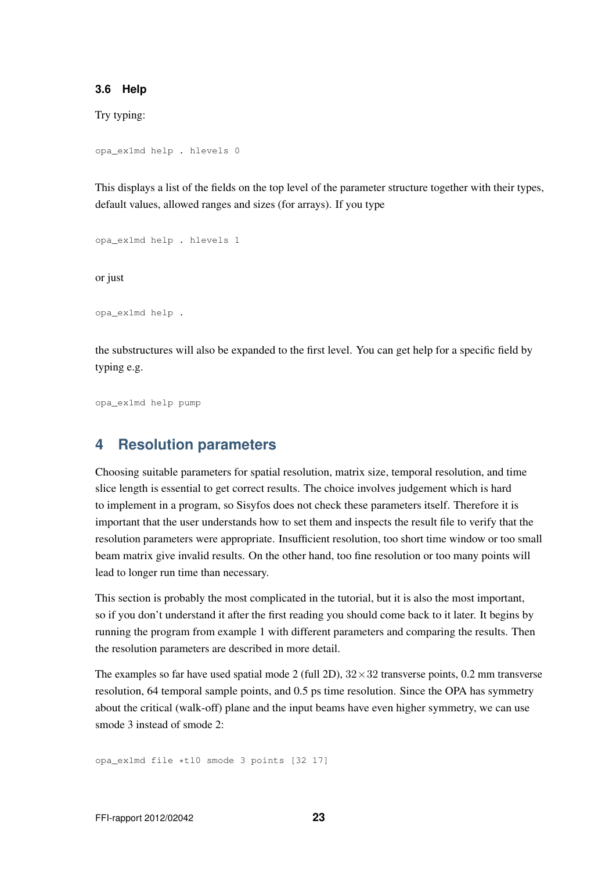#### **3.6 Help**

Try typing:

```
opa_ex1md help . hlevels 0
```
This displays a list of the fields on the top level of the parameter structure together with their types, default values, allowed ranges and sizes (for arrays). If you type

opa\_ex1md help . hlevels 1

or just

opa\_ex1md help .

the substructures will also be expanded to the first level. You can get help for a specific field by typing e.g.

opa\_ex1md help pump

# **4 Resolution parameters**

Choosing suitable parameters for spatial resolution, matrix size, temporal resolution, and time slice length is essential to get correct results. The choice involves judgement which is hard to implement in a program, so Sisyfos does not check these parameters itself. Therefore it is important that the user understands how to set them and inspects the result file to verify that the resolution parameters were appropriate. Insufficient resolution, too short time window or too small beam matrix give invalid results. On the other hand, too fine resolution or too many points will lead to longer run time than necessary.

This section is probably the most complicated in the tutorial, but it is also the most important, so if you don't understand it after the first reading you should come back to it later. It begins by running the program from example 1 with different parameters and comparing the results. Then the resolution parameters are described in more detail.

The examples so far have used spatial mode 2 (full 2D),  $32 \times 32$  transverse points, 0.2 mm transverse resolution, 64 temporal sample points, and 0.5 ps time resolution. Since the OPA has symmetry about the critical (walk-off) plane and the input beams have even higher symmetry, we can use smode 3 instead of smode 2:

opa\_ex1md file \*t10 smode 3 points [32 17]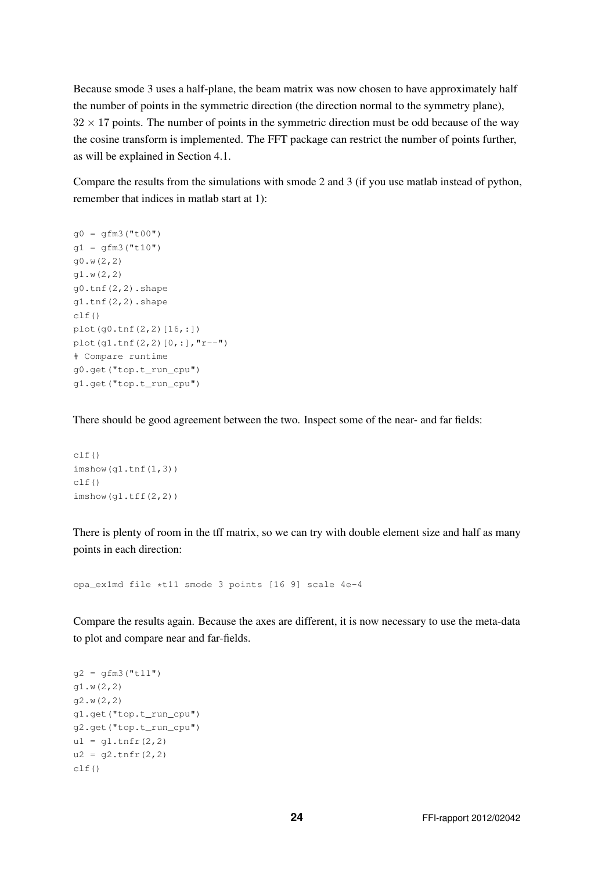Because smode 3 uses a half-plane, the beam matrix was now chosen to have approximately half the number of points in the symmetric direction (the direction normal to the symmetry plane),  $32 \times 17$  points. The number of points in the symmetric direction must be odd because of the way the cosine transform is implemented. The FFT package can restrict the number of points further, as will be explained in Section 4.1.

Compare the results from the simulations with smode 2 and 3 (if you use matlab instead of python, remember that indices in matlab start at 1):

```
q0 = qfm3("t00")q1 = qfm3('t10")g0.w(2,2)
g1.w(2,2)
g0.tnf(2,2).shape
g1.tnf(2,2).shape
clf()plot(g0.tnf(2,2)[16,:])
plot(g1.tnf(2,2)[0,:],"r--")
# Compare runtime
g0.get("top.t_run_cpu")
g1.get("top.t_run_cpu")
```
There should be good agreement between the two. Inspect some of the near- and far fields:

```
clf()imshow(g1.tnf(1,3))
clf()
imshow(q1.tff(2,2))
```
There is plenty of room in the tff matrix, so we can try with double element size and half as many points in each direction:

opa\_ex1md file \*t11 smode 3 points [16 9] scale 4e-4

Compare the results again. Because the axes are different, it is now necessary to use the meta-data to plot and compare near and far-fields.

```
g2 = gfm3("t11")g1.w(2,2)
g2.w(2,2)
g1.get("top.t_run_cpu")
g2.get("top.t_run_cpu")
ul = q1.tnfr(2,2)u2 = q2.tnfr(2,2)clf()
```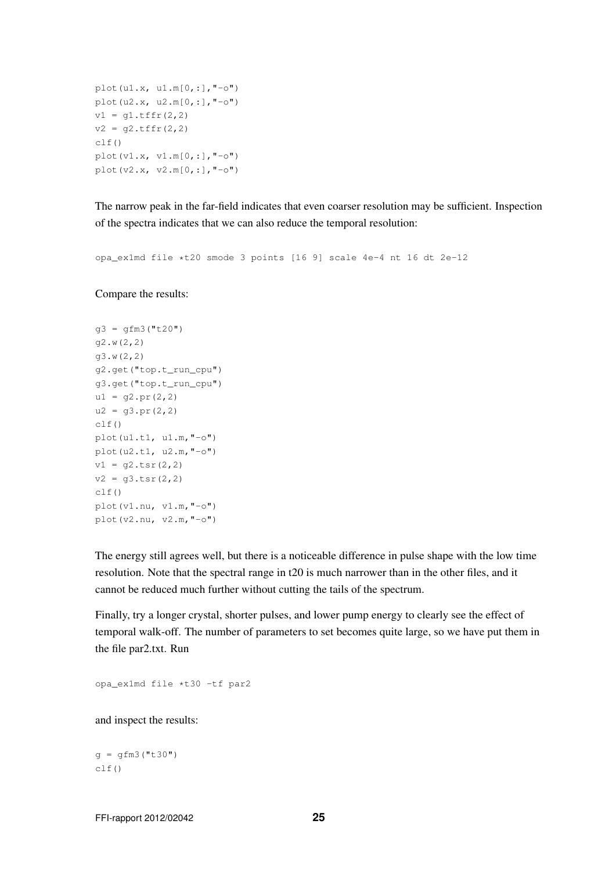```
plot(u1.x, u1.m[0,:],"-o")
plot(u2.x, u2.m[0,:], "–o")v1 = q1.tffr(2,2)v2 = g2.tffr(2,2)clf()plot(v1.x, v1.m[0,:], "-o")plot(v2.x, v2.m[0,:], "-0")
```
The narrow peak in the far-field indicates that even coarser resolution may be sufficient. Inspection of the spectra indicates that we can also reduce the temporal resolution:

opa\_ex1md file \*t20 smode 3 points [16 9] scale 4e-4 nt 16 dt 2e-12

Compare the results:

```
q3 = qfm3("t20")g2.w(2,2)
g3.w(2,2)
g2.get("top.t_run_cpu")
g3.get("top.t_run_cpu")
ul = g2.pr(2, 2)u2 = g3.pr(2, 2)clf()plot(u1.t1, u1.m,"-o")
plot(u2.t1, u2.m,"-o")
v1 = q2.tsr(2, 2)v2 = q3.tsr(2,2)clf()
plot(v1.nu, v1.m, "-o")plot(v2.nu, v2.m,"-o")
```
The energy still agrees well, but there is a noticeable difference in pulse shape with the low time resolution. Note that the spectral range in t20 is much narrower than in the other files, and it cannot be reduced much further without cutting the tails of the spectrum.

Finally, try a longer crystal, shorter pulses, and lower pump energy to clearly see the effect of temporal walk-off. The number of parameters to set becomes quite large, so we have put them in the file par2.txt. Run

opa\_ex1md file \*t30 -tf par2

and inspect the results:

 $q = qfm3("t30")$  $clf()$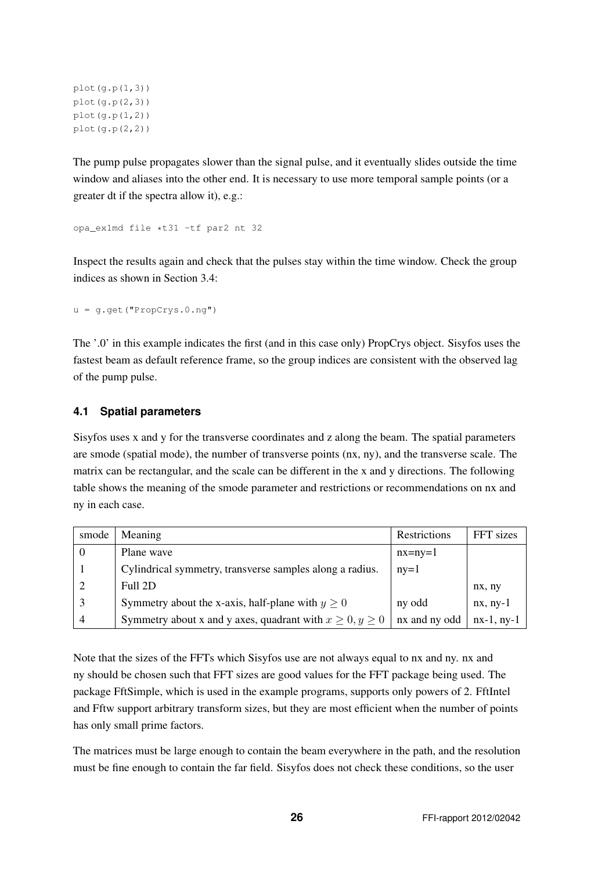```
plot(q.p(1,3))plot(g.p(2,3))
plot(g.p(1,2))
plot(g.p(2,2))
```
The pump pulse propagates slower than the signal pulse, and it eventually slides outside the time window and aliases into the other end. It is necessary to use more temporal sample points (or a greater dt if the spectra allow it), e.g.:

opa\_ex1md file \*t31 -tf par2 nt 32

Inspect the results again and check that the pulses stay within the time window. Check the group indices as shown in Section 3.4:

 $u = q.get("PropCrys.0.nq")$ 

The '.0' in this example indicates the first (and in this case only) PropCrys object. Sisyfos uses the fastest beam as default reference frame, so the group indices are consistent with the observed lag of the pump pulse.

### **4.1 Spatial parameters**

Sisyfos uses x and y for the transverse coordinates and z along the beam. The spatial parameters are smode (spatial mode), the number of transverse points (nx, ny), and the transverse scale. The matrix can be rectangular, and the scale can be different in the x and y directions. The following table shows the meaning of the smode parameter and restrictions or recommendations on nx and ny in each case.

| smode    | Meaning                                                       | Restrictions  | FFT sizes    |
|----------|---------------------------------------------------------------|---------------|--------------|
|          | Plane wave                                                    | $nx = ny = 1$ |              |
|          | Cylindrical symmetry, transverse samples along a radius.      | $ny=1$        |              |
| $\gamma$ | Full 2D                                                       |               | nx, ny       |
| 3        | Symmetry about the x-axis, half-plane with $y \ge 0$          | ny odd        | $nx, ny-1$   |
| 4        | Symmetry about x and y axes, quadrant with $x \ge 0, y \ge 0$ | nx and ny odd | $nx-1, ny-1$ |

Note that the sizes of the FFTs which Sisyfos use are not always equal to nx and ny. nx and ny should be chosen such that FFT sizes are good values for the FFT package being used. The package FftSimple, which is used in the example programs, supports only powers of 2. FftIntel and Fftw support arbitrary transform sizes, but they are most efficient when the number of points has only small prime factors.

The matrices must be large enough to contain the beam everywhere in the path, and the resolution must be fine enough to contain the far field. Sisyfos does not check these conditions, so the user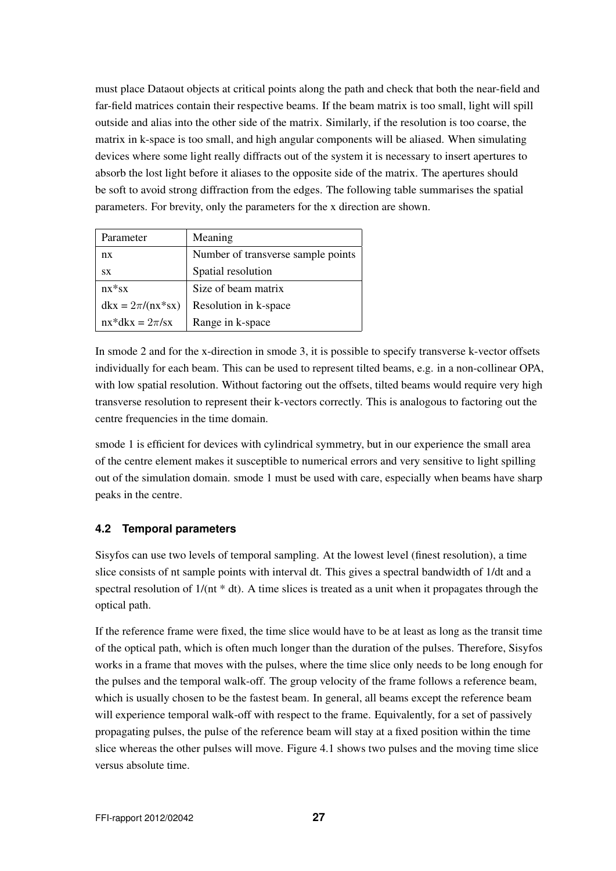must place Dataout objects at critical points along the path and check that both the near-field and far-field matrices contain their respective beams. If the beam matrix is too small, light will spill outside and alias into the other side of the matrix. Similarly, if the resolution is too coarse, the matrix in k-space is too small, and high angular components will be aliased. When simulating devices where some light really diffracts out of the system it is necessary to insert apertures to absorb the lost light before it aliases to the opposite side of the matrix. The apertures should be soft to avoid strong diffraction from the edges. The following table summarises the spatial parameters. For brevity, only the parameters for the x direction are shown.

| Parameter                                | Meaning                            |
|------------------------------------------|------------------------------------|
| nx                                       | Number of transverse sample points |
| <b>SX</b>                                | Spatial resolution                 |
| $nx * sx$                                | Size of beam matrix                |
| $d\mathbf{k}x = 2\pi/(\mathbf{n}x^*s x)$ | Resolution in k-space              |
| $nx * d k x = 2\pi/sx$                   | Range in k-space                   |

In smode 2 and for the x-direction in smode 3, it is possible to specify transverse k-vector offsets individually for each beam. This can be used to represent tilted beams, e.g. in a non-collinear OPA, with low spatial resolution. Without factoring out the offsets, tilted beams would require very high transverse resolution to represent their k-vectors correctly. This is analogous to factoring out the centre frequencies in the time domain.

smode 1 is efficient for devices with cylindrical symmetry, but in our experience the small area of the centre element makes it susceptible to numerical errors and very sensitive to light spilling out of the simulation domain. smode 1 must be used with care, especially when beams have sharp peaks in the centre.

# **4.2 Temporal parameters**

Sisyfos can use two levels of temporal sampling. At the lowest level (finest resolution), a time slice consists of nt sample points with interval dt. This gives a spectral bandwidth of 1/dt and a spectral resolution of  $1/(nt * dt)$ . A time slices is treated as a unit when it propagates through the optical path.

If the reference frame were fixed, the time slice would have to be at least as long as the transit time of the optical path, which is often much longer than the duration of the pulses. Therefore, Sisyfos works in a frame that moves with the pulses, where the time slice only needs to be long enough for the pulses and the temporal walk-off. The group velocity of the frame follows a reference beam, which is usually chosen to be the fastest beam. In general, all beams except the reference beam will experience temporal walk-off with respect to the frame. Equivalently, for a set of passively propagating pulses, the pulse of the reference beam will stay at a fixed position within the time slice whereas the other pulses will move. Figure 4.1 shows two pulses and the moving time slice versus absolute time.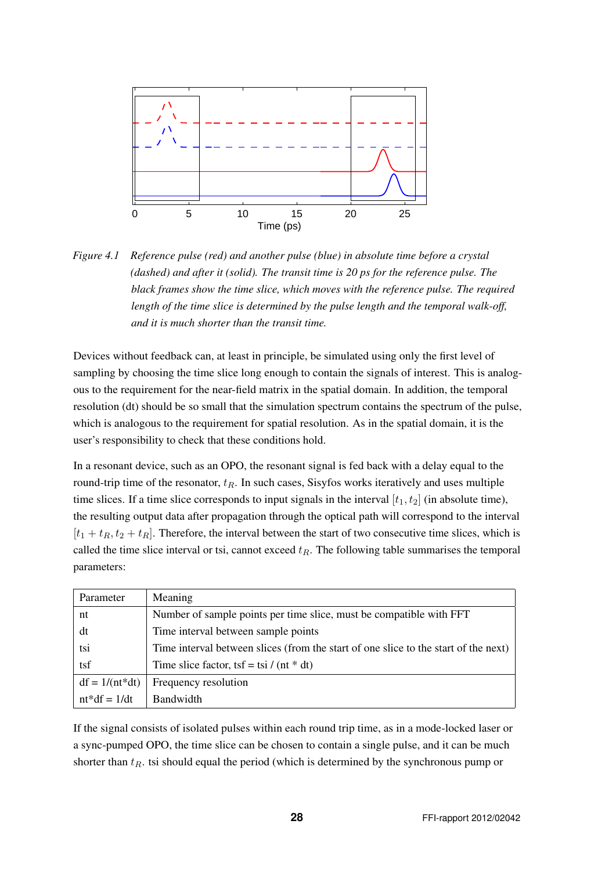

*Figure 4.1 Reference pulse (red) and another pulse (blue) in absolute time before a crystal (dashed) and after it (solid). The transit time is 20 ps for the reference pulse. The black frames show the time slice, which moves with the reference pulse. The required length of the time slice is determined by the pulse length and the temporal walk-off, and it is much shorter than the transit time.*

Devices without feedback can, at least in principle, be simulated using only the first level of sampling by choosing the time slice long enough to contain the signals of interest. This is analogous to the requirement for the near-field matrix in the spatial domain. In addition, the temporal resolution (dt) should be so small that the simulation spectrum contains the spectrum of the pulse, which is analogous to the requirement for spatial resolution. As in the spatial domain, it is the user's responsibility to check that these conditions hold.

In a resonant device, such as an OPO, the resonant signal is fed back with a delay equal to the round-trip time of the resonator,  $t_R$ . In such cases, Sisyfos works iteratively and uses multiple time slices. If a time slice corresponds to input signals in the interval  $[t_1, t_2]$  (in absolute time), the resulting output data after propagation through the optical path will correspond to the interval  $[t_1 + t_R, t_2 + t_R]$ . Therefore, the interval between the start of two consecutive time slices, which is called the time slice interval or tsi, cannot exceed  $t_R$ . The following table summarises the temporal parameters:

| Parameter        | Meaning                                                                             |  |
|------------------|-------------------------------------------------------------------------------------|--|
| nt               | Number of sample points per time slice, must be compatible with FFT                 |  |
| dt               | Time interval between sample points                                                 |  |
| tsi              | Time interval between slices (from the start of one slice to the start of the next) |  |
| tsf              | Time slice factor, tsf = tsi / (nt $*$ dt)                                          |  |
| $df = 1/(nt*dt)$ | Frequency resolution                                                                |  |
| $nt*df = 1/dt$   | Bandwidth                                                                           |  |

If the signal consists of isolated pulses within each round trip time, as in a mode-locked laser or a sync-pumped OPO, the time slice can be chosen to contain a single pulse, and it can be much shorter than  $t_R$ . tsi should equal the period (which is determined by the synchronous pump or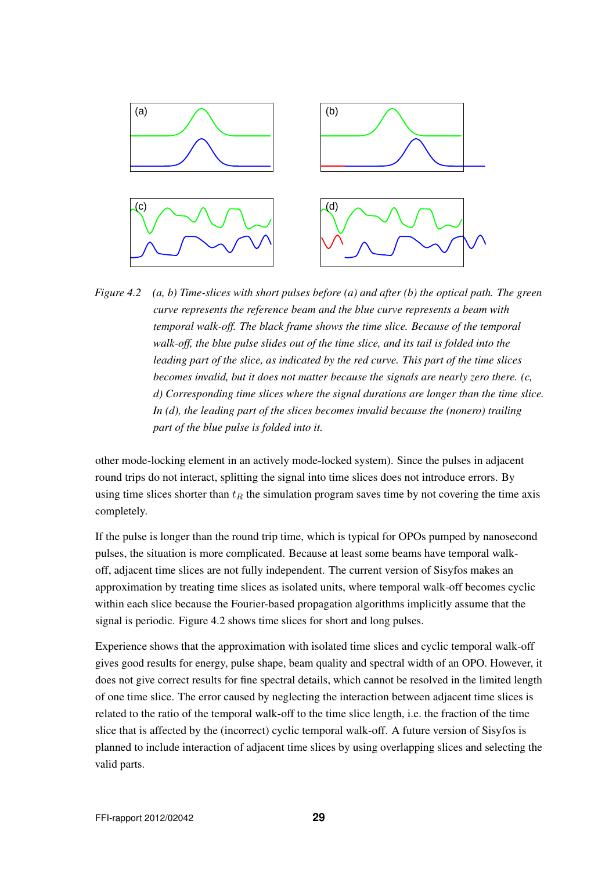

*Figure 4.2 (a, b) Time-slices with short pulses before (a) and after (b) the optical path. The green curve represents the reference beam and the blue curve represents a beam with temporal walk-off. The black frame shows the time slice. Because of the temporal walk-off, the blue pulse slides out of the time slice, and its tail is folded into the leading part of the slice, as indicated by the red curve. This part of the time slices becomes invalid, but it does not matter because the signals are nearly zero there. (c, d) Corresponding time slices where the signal durations are longer than the time slice. In (d), the leading part of the slices becomes invalid because the (nonero) trailing part of the blue pulse is folded into it.*

other mode-locking element in an actively mode-locked system). Since the pulses in adjacent round trips do not interact, splitting the signal into time slices does not introduce errors. By using time slices shorter than  $t_R$  the simulation program saves time by not covering the time axis completely.

If the pulse is longer than the round trip time, which is typical for OPOs pumped by nanosecond pulses, the situation is more complicated. Because at least some beams have temporal walkoff, adjacent time slices are not fully independent. The current version of Sisyfos makes an approximation by treating time slices as isolated units, where temporal walk-off becomes cyclic within each slice because the Fourier-based propagation algorithms implicitly assume that the signal is periodic. Figure 4.2 shows time slices for short and long pulses.

Experience shows that the approximation with isolated time slices and cyclic temporal walk-off gives good results for energy, pulse shape, beam quality and spectral width of an OPO. However, it does not give correct results for fine spectral details, which cannot be resolved in the limited length of one time slice. The error caused by neglecting the interaction between adjacent time slices is related to the ratio of the temporal walk-off to the time slice length, i.e. the fraction of the time slice that is affected by the (incorrect) cyclic temporal walk-off. A future version of Sisyfos is planned to include interaction of adjacent time slices by using overlapping slices and selecting the valid parts.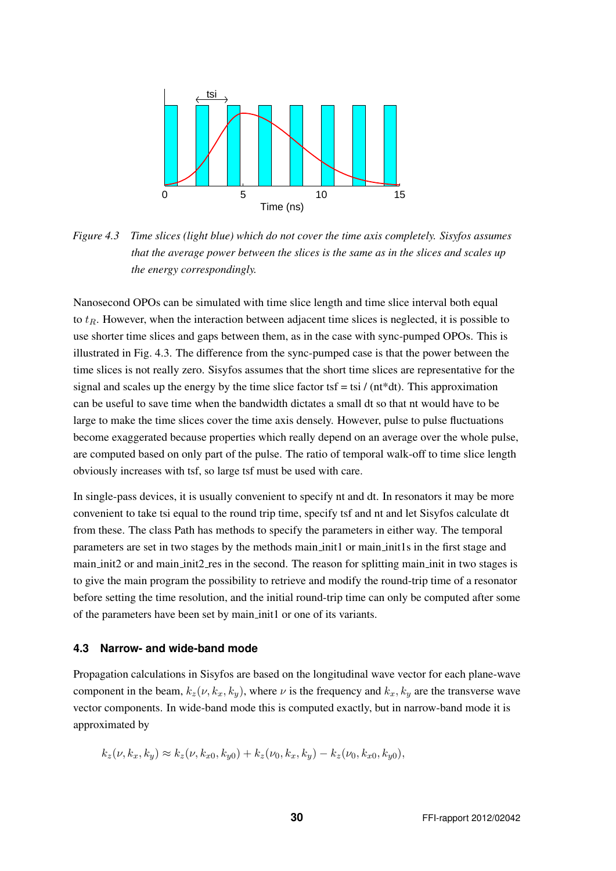

*Figure 4.3 Time slices (light blue) which do not cover the time axis completely. Sisyfos assumes that the average power between the slices is the same as in the slices and scales up the energy correspondingly.*

Nanosecond OPOs can be simulated with time slice length and time slice interval both equal to  $t_R$ . However, when the interaction between adjacent time slices is neglected, it is possible to use shorter time slices and gaps between them, as in the case with sync-pumped OPOs. This is illustrated in Fig. 4.3. The difference from the sync-pumped case is that the power between the time slices is not really zero. Sisyfos assumes that the short time slices are representative for the signal and scales up the energy by the time slice factor tsf = tsi / (nt\*dt). This approximation can be useful to save time when the bandwidth dictates a small dt so that nt would have to be large to make the time slices cover the time axis densely. However, pulse to pulse fluctuations become exaggerated because properties which really depend on an average over the whole pulse, are computed based on only part of the pulse. The ratio of temporal walk-off to time slice length obviously increases with tsf, so large tsf must be used with care.

In single-pass devices, it is usually convenient to specify nt and dt. In resonators it may be more convenient to take tsi equal to the round trip time, specify tsf and nt and let Sisyfos calculate dt from these. The class Path has methods to specify the parameters in either way. The temporal parameters are set in two stages by the methods main init1 or main init1s in the first stage and main init2 or and main init2 res in the second. The reason for splitting main init in two stages is to give the main program the possibility to retrieve and modify the round-trip time of a resonator before setting the time resolution, and the initial round-trip time can only be computed after some of the parameters have been set by main init1 or one of its variants.

#### **4.3 Narrow- and wide-band mode**

Propagation calculations in Sisyfos are based on the longitudinal wave vector for each plane-wave component in the beam,  $k_z(\nu, k_x, k_y)$ , where  $\nu$  is the frequency and  $k_x, k_y$  are the transverse wave vector components. In wide-band mode this is computed exactly, but in narrow-band mode it is approximated by

$$
k_z(\nu, k_x, k_y) \approx k_z(\nu, k_{x0}, k_{y0}) + k_z(\nu_0, k_x, k_y) - k_z(\nu_0, k_{x0}, k_{y0}),
$$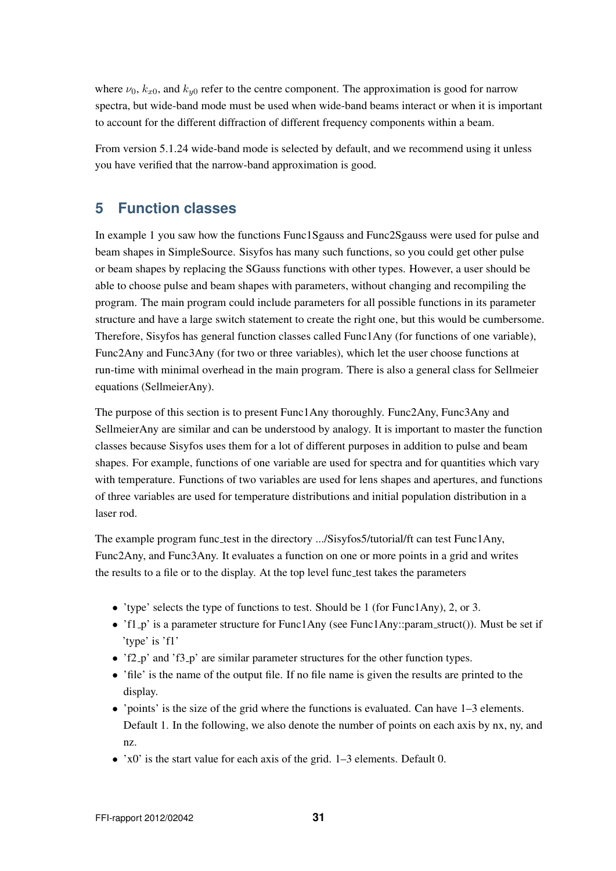where  $\nu_0$ ,  $k_{x0}$ , and  $k_{y0}$  refer to the centre component. The approximation is good for narrow spectra, but wide-band mode must be used when wide-band beams interact or when it is important to account for the different diffraction of different frequency components within a beam.

From version 5.1.24 wide-band mode is selected by default, and we recommend using it unless you have verified that the narrow-band approximation is good.

# **5 Function classes**

In example 1 you saw how the functions Func1Sgauss and Func2Sgauss were used for pulse and beam shapes in SimpleSource. Sisyfos has many such functions, so you could get other pulse or beam shapes by replacing the SGauss functions with other types. However, a user should be able to choose pulse and beam shapes with parameters, without changing and recompiling the program. The main program could include parameters for all possible functions in its parameter structure and have a large switch statement to create the right one, but this would be cumbersome. Therefore, Sisyfos has general function classes called Func1Any (for functions of one variable), Func2Any and Func3Any (for two or three variables), which let the user choose functions at run-time with minimal overhead in the main program. There is also a general class for Sellmeier equations (SellmeierAny).

The purpose of this section is to present Func1Any thoroughly. Func2Any, Func3Any and SellmeierAny are similar and can be understood by analogy. It is important to master the function classes because Sisyfos uses them for a lot of different purposes in addition to pulse and beam shapes. For example, functions of one variable are used for spectra and for quantities which vary with temperature. Functions of two variables are used for lens shapes and apertures, and functions of three variables are used for temperature distributions and initial population distribution in a laser rod.

The example program func\_test in the directory .../Sisyfos5/tutorial/ft can test Func1Any, Func2Any, and Func3Any. It evaluates a function on one or more points in a grid and writes the results to a file or to the display. At the top level func\_test takes the parameters

- 'type' selects the type of functions to test. Should be 1 (for Func1Any), 2, or 3.
- 'f1<sub>-p</sub>' is a parameter structure for Func1Any (see Func1Any::param\_struct()). Must be set if 'type' is 'f1'
- 'f2 p' and 'f3 p' are similar parameter structures for the other function types.
- 'file' is the name of the output file. If no file name is given the results are printed to the display.
- $\bullet$  'points' is the size of the grid where the functions is evaluated. Can have  $1-3$  elements. Default 1. In the following, we also denote the number of points on each axis by nx, ny, and nz.
- 'x0' is the start value for each axis of the grid. 1–3 elements. Default 0.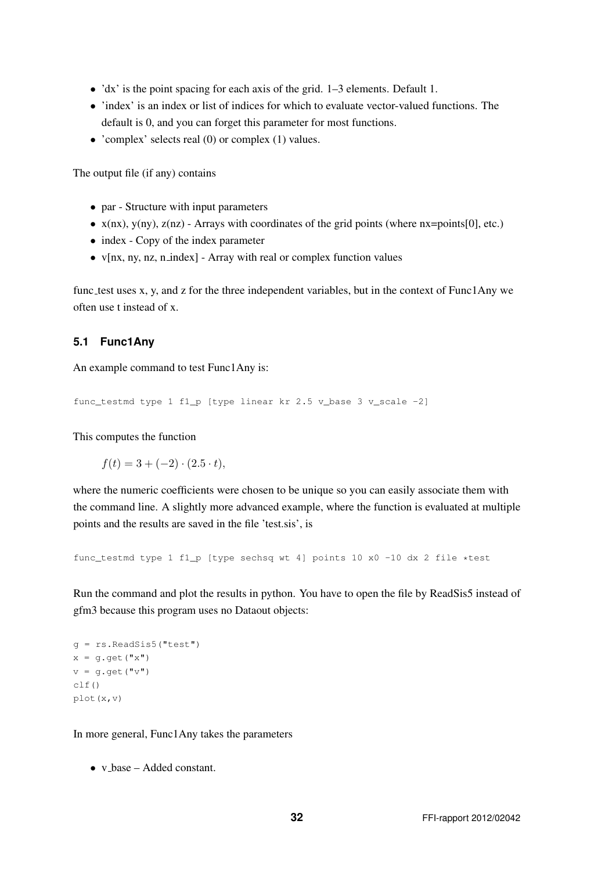- 'dx' is the point spacing for each axis of the grid. 1–3 elements. Default 1.
- 'index' is an index or list of indices for which to evaluate vector-valued functions. The default is 0, and you can forget this parameter for most functions.
- 'complex' selects real (0) or complex (1) values.

The output file (if any) contains

- par Structure with input parameters
- $x(nx)$ ,  $y(ny)$ ,  $z(nz)$  Arrays with coordinates of the grid points (where  $nx = points[0]$ , etc.)
- index Copy of the index parameter
- $v[nx, ny, nz, n_index]$  Array with real or complex function values

func test uses x, y, and z for the three independent variables, but in the context of Func1Any we often use t instead of x.

#### **5.1 Func1Any**

An example command to test Func1Any is:

```
func_testmd type 1 f1_p [type linear kr 2.5 v_base 3 v_scale -2]
```
This computes the function

 $f(t) = 3 + (-2) \cdot (2.5 \cdot t),$ 

where the numeric coefficients were chosen to be unique so you can easily associate them with the command line. A slightly more advanced example, where the function is evaluated at multiple points and the results are saved in the file 'test.sis', is

func\_testmd type 1 f1\_p [type sechsq wt 4] points 10 x0 -10 dx 2 file \*test

Run the command and plot the results in python. You have to open the file by ReadSis5 instead of gfm3 because this program uses no Dataout objects:

```
g = rs.ReadSis5("test")
x = g.get("x")v = q.get("v")clf()plot(x,v)
```
In more general, Func1Any takes the parameters

• v\_base – Added constant.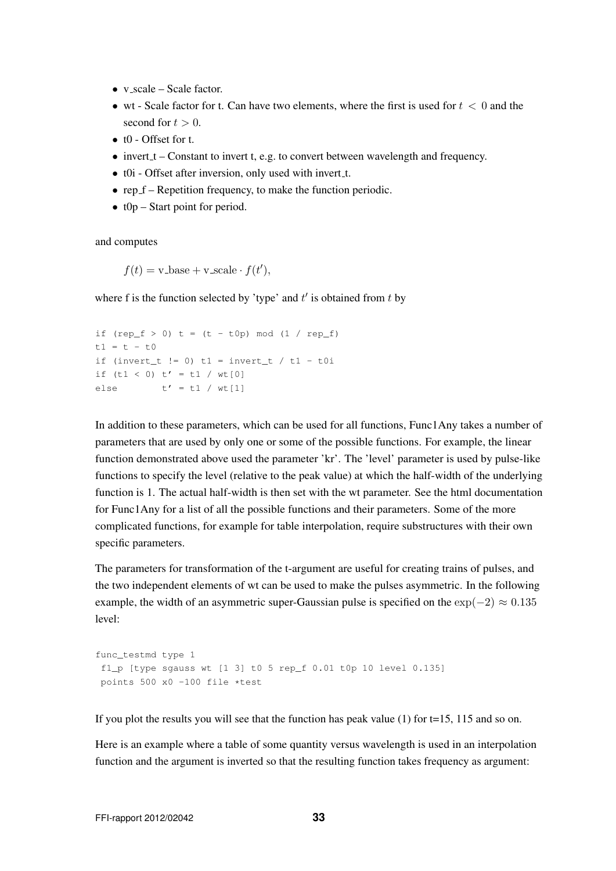- v\_scale Scale factor.
- wt Scale factor for t. Can have two elements, where the first is used for  $t < 0$  and the second for  $t > 0$ .
- t0 Offset for t.
- $\bullet$  invert  $t -$  Constant to invert t, e.g. to convert between wavelength and frequency.
- t0i Offset after inversion, only used with invert\_t.
- rep  $f$  Repetition frequency, to make the function periodic.
- $t0p Start point for period.$

and computes

 $f(t) = \text{v}$ -base +  $\text{v}$ -scale ·  $f(t')$ ,

where f is the function selected by 'type' and  $t'$  is obtained from  $t$  by

```
if (rep_f > 0) t = (t - t0p) mod (1 / rep_f)t1 = t - t0if (invert_t != 0) t1 = invert_t / t1 - t0iif (t1 < 0) t' = t1 / wt[0]else t' = t1 / wt[1]
```
In addition to these parameters, which can be used for all functions, Func1Any takes a number of parameters that are used by only one or some of the possible functions. For example, the linear function demonstrated above used the parameter 'kr'. The 'level' parameter is used by pulse-like functions to specify the level (relative to the peak value) at which the half-width of the underlying function is 1. The actual half-width is then set with the wt parameter. See the html documentation for Func1Any for a list of all the possible functions and their parameters. Some of the more complicated functions, for example for table interpolation, require substructures with their own specific parameters.

The parameters for transformation of the t-argument are useful for creating trains of pulses, and the two independent elements of wt can be used to make the pulses asymmetric. In the following example, the width of an asymmetric super-Gaussian pulse is specified on the  $\exp(-2) \approx 0.135$ level:

```
func_testmd type 1
f1_p [type sqauss wt [1 3] t0 5 rep_f 0.01 t0p 10 level 0.135]
points 500 x0 -100 file *test
```
If you plot the results you will see that the function has peak value  $(1)$  for  $t=15$ , 115 and so on.

Here is an example where a table of some quantity versus wavelength is used in an interpolation function and the argument is inverted so that the resulting function takes frequency as argument: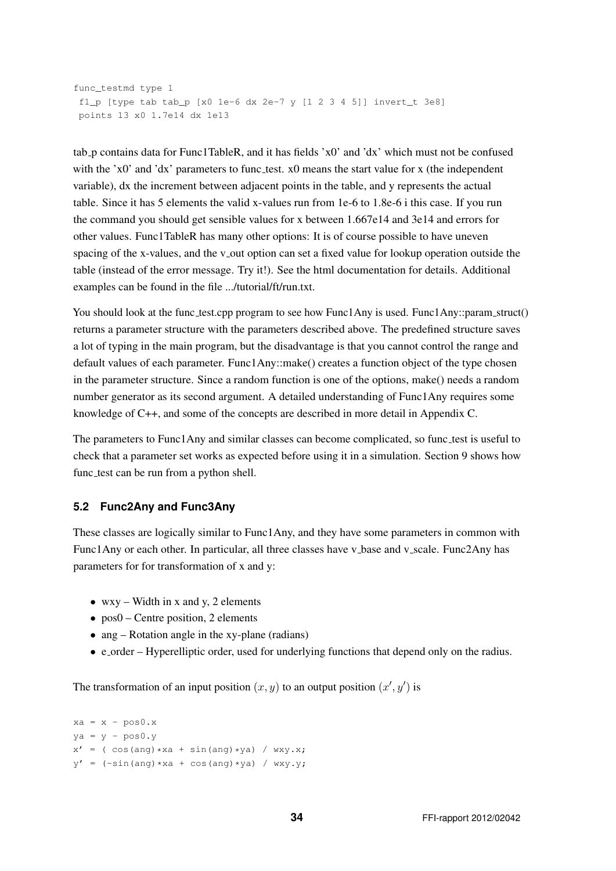```
func_testmd type 1
f1 p [type tab tab p [x0 1e-6 dx 2e-7 y 1 2 3 4 5]] invert t 3e8]
points 13 x0 1.7e14 dx 1e13
```
tab p contains data for Func1TableR, and it has fields 'x0' and 'dx' which must not be confused with the ' $x0$ ' and ' $dx$ ' parameters to func test.  $x0$  means the start value for x (the independent variable), dx the increment between adjacent points in the table, and y represents the actual table. Since it has 5 elements the valid x-values run from 1e-6 to 1.8e-6 i this case. If you run the command you should get sensible values for x between 1.667e14 and 3e14 and errors for other values. Func1TableR has many other options: It is of course possible to have uneven spacing of the x-values, and the v<sub>-</sub>out option can set a fixed value for lookup operation outside the table (instead of the error message. Try it!). See the html documentation for details. Additional examples can be found in the file .../tutorial/ft/run.txt.

You should look at the func test.cpp program to see how Func1Any is used. Func1Any::param\_struct() returns a parameter structure with the parameters described above. The predefined structure saves a lot of typing in the main program, but the disadvantage is that you cannot control the range and default values of each parameter. Func1Any::make() creates a function object of the type chosen in the parameter structure. Since a random function is one of the options, make() needs a random number generator as its second argument. A detailed understanding of Func1Any requires some knowledge of C++, and some of the concepts are described in more detail in Appendix C.

The parameters to Func1Any and similar classes can become complicated, so func test is useful to check that a parameter set works as expected before using it in a simulation. Section 9 shows how func test can be run from a python shell.

### **5.2 Func2Any and Func3Any**

These classes are logically similar to Func1Any, and they have some parameters in common with Func1Any or each other. In particular, all three classes have v base and v scale. Func2Any has parameters for for transformation of x and y:

- wxy Width in x and y, 2 elements
- pos0 Centre position, 2 elements
- ang Rotation angle in the xy-plane (radians)
- e\_order Hyperelliptic order, used for underlying functions that depend only on the radius.

The transformation of an input position  $(x, y)$  to an output position  $(x', y')$  is

```
xa = x - pos0.xya = y - pos0.yx' = ( \cos(\text{ang}) * xa + \sin(\text{ang}) * ya ) / wxy.x;
y' = (-\sin(\text{ang}) * xa + \cos(\text{ang}) * ya) / wxy.y;
```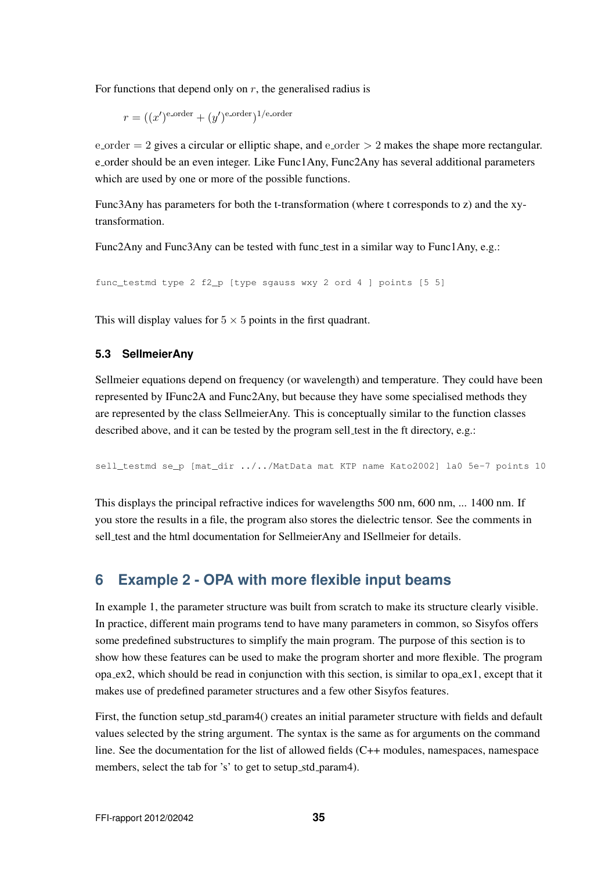For functions that depend only on  $r$ , the generalised radius is

$$
r = ((x')^{\text{e-order}} + (y')^{\text{e-order}})^{1/\text{e-order}}
$$

 $\epsilon$ -order = 2 gives a circular or elliptic shape, and  $\epsilon$ -order > 2 makes the shape more rectangular. e order should be an even integer. Like Func1Any, Func2Any has several additional parameters which are used by one or more of the possible functions.

Func3Any has parameters for both the t-transformation (where t corresponds to z) and the xytransformation.

Func2Any and Func3Any can be tested with func test in a similar way to Func1Any, e.g.:

```
func_testmd type 2 f2_p [type sgauss wxy 2 ord 4 ] points [5 5]
```
This will display values for  $5 \times 5$  points in the first quadrant.

#### **5.3 SellmeierAny**

Sellmeier equations depend on frequency (or wavelength) and temperature. They could have been represented by IFunc2A and Func2Any, but because they have some specialised methods they are represented by the class SellmeierAny. This is conceptually similar to the function classes described above, and it can be tested by the program sell\_test in the ft directory, e.g.:

sell\_testmd se\_p [mat\_dir ../../MatData mat KTP name Kato2002] la0 5e-7 points 10

This displays the principal refractive indices for wavelengths 500 nm, 600 nm, ... 1400 nm. If you store the results in a file, the program also stores the dielectric tensor. See the comments in sell test and the html documentation for SellmeierAny and ISellmeier for details.

# **6 Example 2 - OPA with more flexible input beams**

In example 1, the parameter structure was built from scratch to make its structure clearly visible. In practice, different main programs tend to have many parameters in common, so Sisyfos offers some predefined substructures to simplify the main program. The purpose of this section is to show how these features can be used to make the program shorter and more flexible. The program opa ex2, which should be read in conjunction with this section, is similar to opa ex1, except that it makes use of predefined parameter structures and a few other Sisyfos features.

First, the function setup std param4() creates an initial parameter structure with fields and default values selected by the string argument. The syntax is the same as for arguments on the command line. See the documentation for the list of allowed fields (C++ modules, namespaces, namespace members, select the tab for 's' to get to setup\_std\_param4).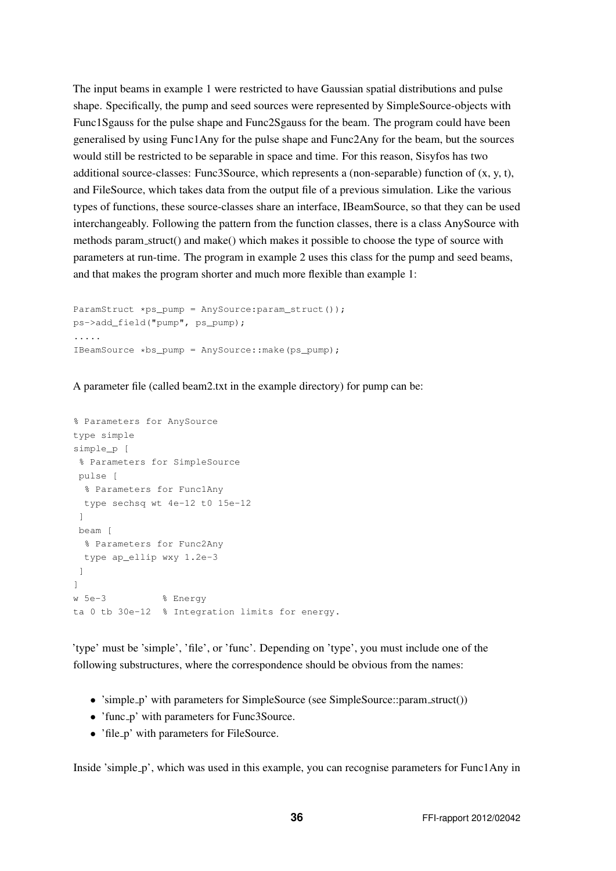The input beams in example 1 were restricted to have Gaussian spatial distributions and pulse shape. Specifically, the pump and seed sources were represented by SimpleSource-objects with Func1Sgauss for the pulse shape and Func2Sgauss for the beam. The program could have been generalised by using Func1Any for the pulse shape and Func2Any for the beam, but the sources would still be restricted to be separable in space and time. For this reason, Sisyfos has two additional source-classes: Func3Source, which represents a (non-separable) function of  $(x, y, t)$ , and FileSource, which takes data from the output file of a previous simulation. Like the various types of functions, these source-classes share an interface, IBeamSource, so that they can be used interchangeably. Following the pattern from the function classes, there is a class AnySource with methods param struct() and make() which makes it possible to choose the type of source with parameters at run-time. The program in example 2 uses this class for the pump and seed beams, and that makes the program shorter and much more flexible than example 1:

```
ParamStruct *ps_pump = AnySource:param_struct());
ps->add_field("pump", ps_pump);
.....
IBeamSource *bs_pump = AnySource::make(ps_pump);
```
A parameter file (called beam2.txt in the example directory) for pump can be:

```
% Parameters for AnySource
type simple
simple_p [
% Parameters for SimpleSource
 pulse [
 % Parameters for Func1Any
 type sechsq wt 4e-12 t0 15e-12
 ]
 beam [
 % Parameters for Func2Any
 type ap_ellip wxy 1.2e-3
]
]
w 5e-3 % Energy
ta 0 tb 30e-12 % Integration limits for energy.
```
'type' must be 'simple', 'file', or 'func'. Depending on 'type', you must include one of the following substructures, where the correspondence should be obvious from the names:

- 'simple\_p' with parameters for SimpleSource (see SimpleSource::param\_struct())
- 'func\_p' with parameters for Func3Source.
- 'file\_p' with parameters for FileSource.

Inside 'simple p', which was used in this example, you can recognise parameters for Func1Any in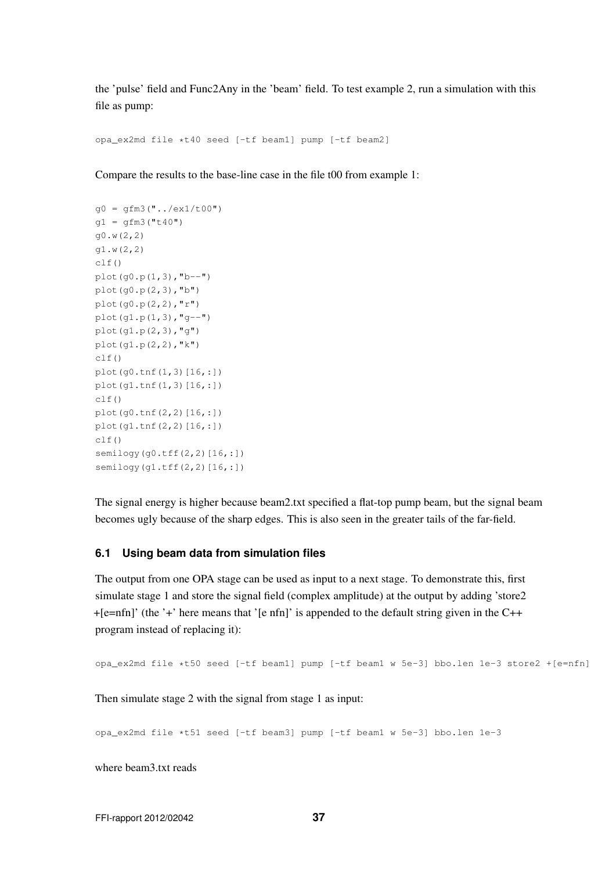the 'pulse' field and Func2Any in the 'beam' field. To test example 2, run a simulation with this file as pump:

opa\_ex2md file \*t40 seed [-tf beam1] pump [-tf beam2]

Compare the results to the base-line case in the file t00 from example 1:

```
g0 = gfm3("../ex1/t00")q1 = qfm3("t40")g0.w(2,2)
g1.w(2,2)
clf()
plot(g0.p(1,3), "b--")plot(g0.p(2,3),"b")
plot(q0.p(2,2), "r")plot(g1.p(1,3),"g--")
plot(g1.p(2,3),"g")
plot(g1.p(2,2),"k")
clf()
plot(g0.tnf(1,3)[16,:])
plot(g1.tnf(1,3)[16,:])
clf()
plot(g0.tnf(2,2)[16,:])
plot(g1.tnf(2,2)[16,:])
clf()semilogy(g0.tff(2,2)[16,:])
semilogy(g1.tff(2,2)[16,:])
```
The signal energy is higher because beam2.txt specified a flat-top pump beam, but the signal beam becomes ugly because of the sharp edges. This is also seen in the greater tails of the far-field.

### **6.1 Using beam data from simulation files**

The output from one OPA stage can be used as input to a next stage. To demonstrate this, first simulate stage 1 and store the signal field (complex amplitude) at the output by adding 'store2 +[e=nfn]' (the '+' here means that '[e nfn]' is appended to the default string given in the C++ program instead of replacing it):

opa\_ex2md file \*t50 seed [-tf beam1] pump [-tf beam1 w 5e-3] bbo.len 1e-3 store2 +[e=nfn]

Then simulate stage 2 with the signal from stage 1 as input:

opa\_ex2md file \*t51 seed [-tf beam3] pump [-tf beam1 w 5e-3] bbo.len 1e-3

where beam3.txt reads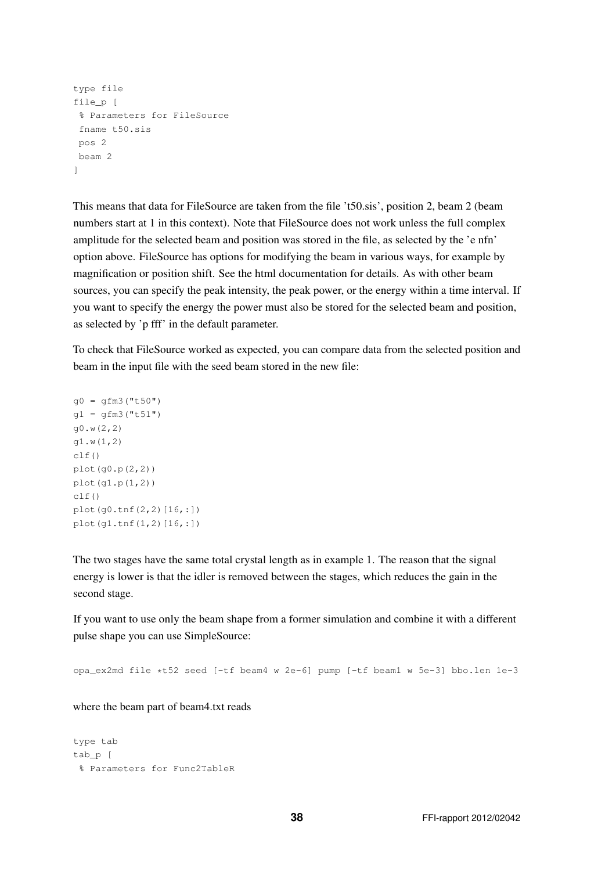```
type file
file_p [
 % Parameters for FileSource
 fname t50.sis
pos 2
 beam 2
]
```
This means that data for FileSource are taken from the file 't50.sis', position 2, beam 2 (beam numbers start at 1 in this context). Note that FileSource does not work unless the full complex amplitude for the selected beam and position was stored in the file, as selected by the 'e nfn' option above. FileSource has options for modifying the beam in various ways, for example by magnification or position shift. See the html documentation for details. As with other beam sources, you can specify the peak intensity, the peak power, or the energy within a time interval. If you want to specify the energy the power must also be stored for the selected beam and position, as selected by 'p fff' in the default parameter.

To check that FileSource worked as expected, you can compare data from the selected position and beam in the input file with the seed beam stored in the new file:

```
g0 = gfm3("t50")g1 = gfm3("t51")g0.w(2,2)
g1.w(1,2)
clf()plot(g0.p(2,2))
plot(g1.p(1,2))
clf()plot(g0.tnf(2,2)[16,:])
plot(g1.tnf(1,2)[16,:])
```
The two stages have the same total crystal length as in example 1. The reason that the signal energy is lower is that the idler is removed between the stages, which reduces the gain in the second stage.

If you want to use only the beam shape from a former simulation and combine it with a different pulse shape you can use SimpleSource:

opa\_ex2md file \*t52 seed [-tf beam4 w 2e-6] pump [-tf beam1 w 5e-3] bbo.len 1e-3

where the beam part of beam4.txt reads

```
type tab
tab p [
 % Parameters for Func2TableR
```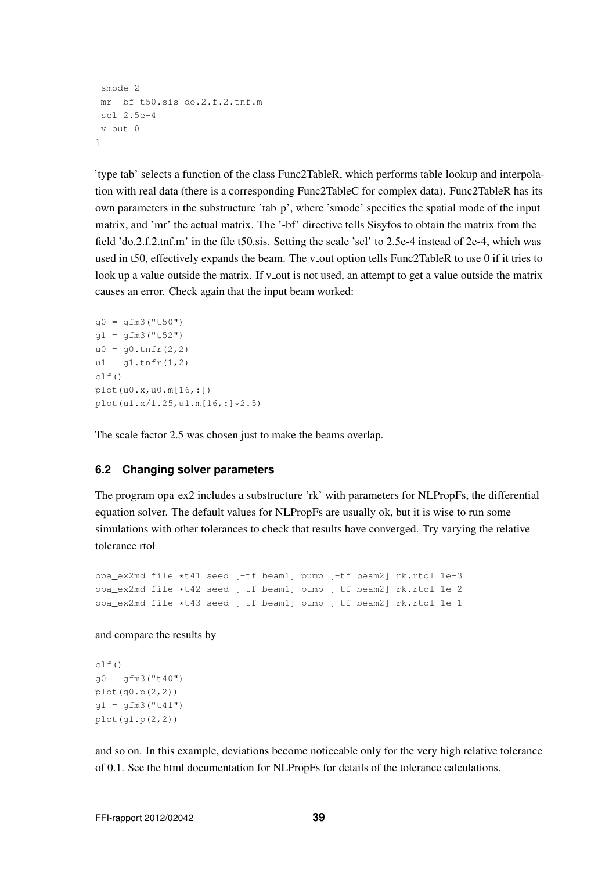```
smode 2
mr -bf t50.sis do.2.f.2.tnf.m
 scl 2.5e-4
v_out 0
]
```
'type tab' selects a function of the class Func2TableR, which performs table lookup and interpolation with real data (there is a corresponding Func2TableC for complex data). Func2TableR has its own parameters in the substructure 'tab p', where 'smode' specifies the spatial mode of the input matrix, and 'mr' the actual matrix. The '-bf' directive tells Sisyfos to obtain the matrix from the field 'do.2.f.2.tnf.m' in the file t50.sis. Setting the scale 'scl' to 2.5e-4 instead of 2e-4, which was used in t50, effectively expands the beam. The v<sub>-</sub>out option tells Func2TableR to use 0 if it tries to look up a value outside the matrix. If v\_out is not used, an attempt to get a value outside the matrix causes an error. Check again that the input beam worked:

```
q0 = qfm3("t50")q1 = qfm3("t52")u0 = q0.tnfr(2, 2)ul = q1.tnfr(1,2)clf()
plot(u0.x,u0.m[16,:])
plot(u1.x/1.25,u1.m[16,:]*2.5)
```
The scale factor 2.5 was chosen just to make the beams overlap.

### **6.2 Changing solver parameters**

The program opa\_ex2 includes a substructure 'rk' with parameters for NLPropFs, the differential equation solver. The default values for NLPropFs are usually ok, but it is wise to run some simulations with other tolerances to check that results have converged. Try varying the relative tolerance rtol

```
opa_ex2md file *t41 seed [-tf beam1] pump [-tf beam2] rk.rtol 1e-3
opa_ex2md file *t42 seed [-tf beam1] pump [-tf beam2] rk.rtol 1e-2
opa_ex2md file *t43 seed [-tf beam1] pump [-tf beam2] rk.rtol 1e-1
```
and compare the results by

```
clf()
q0 = qfm3("t40")plot(g0.p(2,2))
q1 = qfm3("t41")plot(g1.p(2,2))
```
and so on. In this example, deviations become noticeable only for the very high relative tolerance of 0.1. See the html documentation for NLPropFs for details of the tolerance calculations.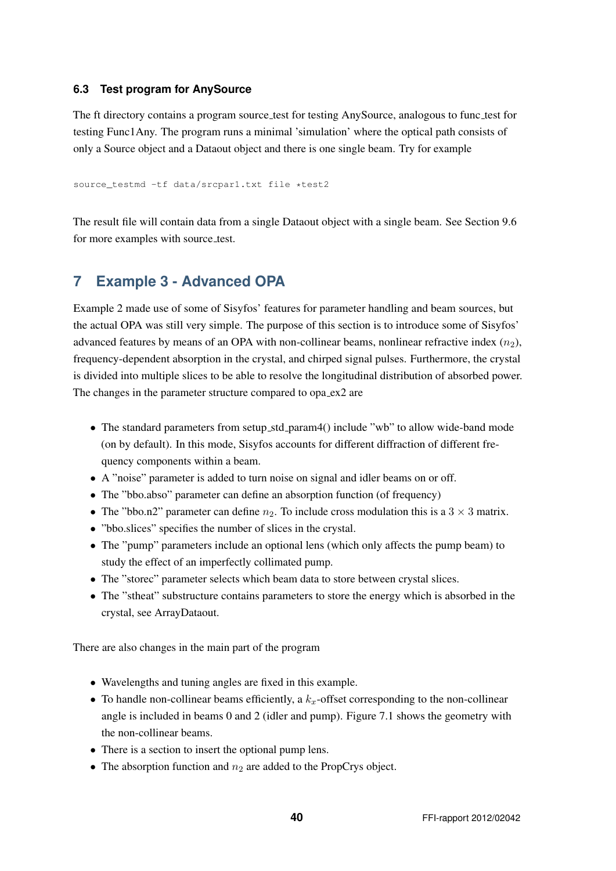### **6.3 Test program for AnySource**

The ft directory contains a program source test for testing AnySource, analogous to func test for testing Func1Any. The program runs a minimal 'simulation' where the optical path consists of only a Source object and a Dataout object and there is one single beam. Try for example

source\_testmd -tf data/srcpar1.txt file \*test2

The result file will contain data from a single Dataout object with a single beam. See Section 9.6 for more examples with source\_test.

# **7 Example 3 - Advanced OPA**

Example 2 made use of some of Sisyfos' features for parameter handling and beam sources, but the actual OPA was still very simple. The purpose of this section is to introduce some of Sisyfos' advanced features by means of an OPA with non-collinear beams, nonlinear refractive index  $(n_2)$ , frequency-dependent absorption in the crystal, and chirped signal pulses. Furthermore, the crystal is divided into multiple slices to be able to resolve the longitudinal distribution of absorbed power. The changes in the parameter structure compared to opa ex2 are

- The standard parameters from setup\_std\_param4() include "wb" to allow wide-band mode (on by default). In this mode, Sisyfos accounts for different diffraction of different frequency components within a beam.
- A "noise" parameter is added to turn noise on signal and idler beams on or off.
- The "bbo.abso" parameter can define an absorption function (of frequency)
- The "bbo.n2" parameter can define  $n_2$ . To include cross modulation this is a 3  $\times$  3 matrix.
- "bbo.slices" specifies the number of slices in the crystal.
- The "pump" parameters include an optional lens (which only affects the pump beam) to study the effect of an imperfectly collimated pump.
- The "storec" parameter selects which beam data to store between crystal slices.
- The "stheat" substructure contains parameters to store the energy which is absorbed in the crystal, see ArrayDataout.

There are also changes in the main part of the program

- Wavelengths and tuning angles are fixed in this example.
- To handle non-collinear beams efficiently, a  $k_x$ -offset corresponding to the non-collinear angle is included in beams 0 and 2 (idler and pump). Figure 7.1 shows the geometry with the non-collinear beams.
- There is a section to insert the optional pump lens.
- The absorption function and  $n_2$  are added to the PropCrys object.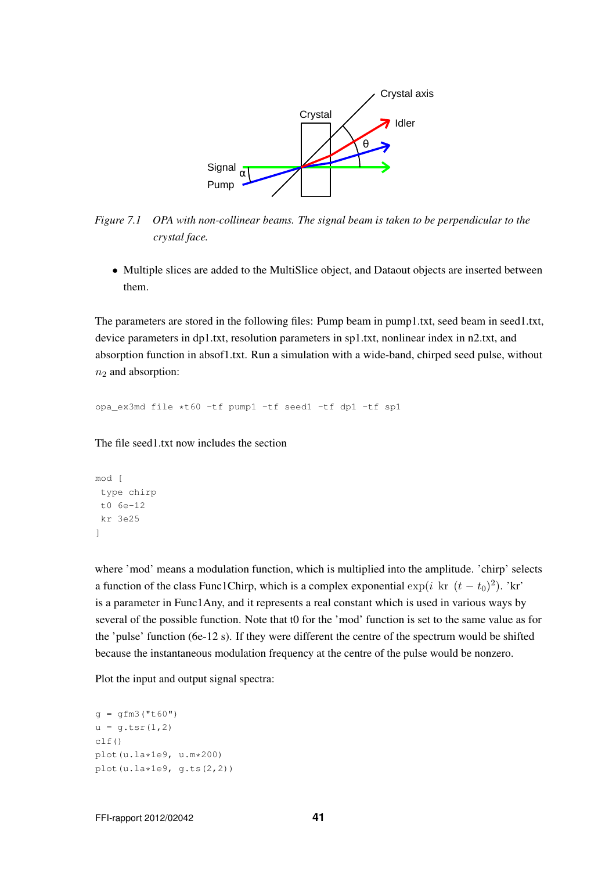

*Figure 7.1 OPA with non-collinear beams. The signal beam is taken to be perpendicular to the crystal face.*

• Multiple slices are added to the MultiSlice object, and Dataout objects are inserted between them.

The parameters are stored in the following files: Pump beam in pump1.txt, seed beam in seed1.txt, device parameters in dp1.txt, resolution parameters in sp1.txt, nonlinear index in n2.txt, and absorption function in absof1.txt. Run a simulation with a wide-band, chirped seed pulse, without  $n<sub>2</sub>$  and absorption:

opa\_ex3md file \*t60 -tf pump1 -tf seed1 -tf dp1 -tf sp1

The file seed1.txt now includes the section

```
mod [
 type chirp
 t0 6e-12
 kr 3e25
]
```
where 'mod' means a modulation function, which is multiplied into the amplitude. 'chirp' selects a function of the class Func1Chirp, which is a complex exponential  $\exp(i \text{ kr } (t-t_0)^2)$ . 'kr' is a parameter in Func1Any, and it represents a real constant which is used in various ways by several of the possible function. Note that t0 for the 'mod' function is set to the same value as for the 'pulse' function (6e-12 s). If they were different the centre of the spectrum would be shifted because the instantaneous modulation frequency at the centre of the pulse would be nonzero.

Plot the input and output signal spectra:

```
q = qfm3("t60")u = g.tsr(1,2)clf()
plot(u.la*1e9, u.m*200)
plot(u.la*1e9, q.ts(2,2))
```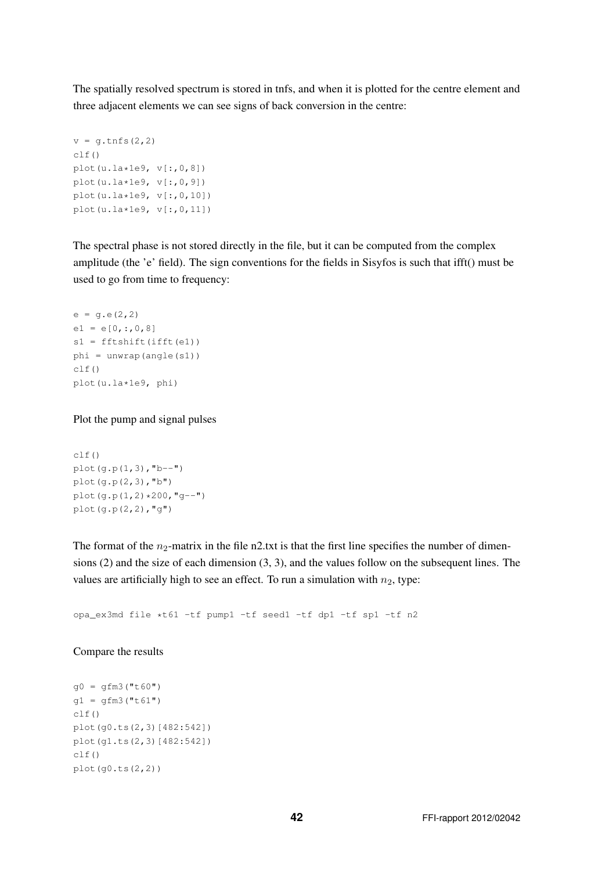The spatially resolved spectrum is stored in tnfs, and when it is plotted for the centre element and three adjacent elements we can see signs of back conversion in the centre:

```
v = g.tnfs(2, 2)clf()
plot(u.la*1e9, v[:, 0, 8])plot(u.la*1e9, v[:,0,9])
plot(u.la*1e9, v[:,0,10])
plot(u.la*1e9, v[:, 0, 11])
```
The spectral phase is not stored directly in the file, but it can be computed from the complex amplitude (the 'e' field). The sign conventions for the fields in Sisyfos is such that ifft() must be used to go from time to frequency:

```
e = q.e(2, 2)e1 = e[0, 1, 0, 8]s1 = fftshift(ifft(e1))phi = unwrap(angle(s1))
clf()plot(u.la*1e9, phi)
```
Plot the pump and signal pulses

```
clf()
plot(g.p(1,3), "b--")plot(q.p(2,3), "b")plot(g.p(1,2)*200,"g--")
plot(g.p(2,2),"g")
```
The format of the  $n_2$ -matrix in the file n2.txt is that the first line specifies the number of dimensions (2) and the size of each dimension (3, 3), and the values follow on the subsequent lines. The values are artificially high to see an effect. To run a simulation with  $n_2$ , type:

opa\_ex3md file \*t61 -tf pump1 -tf seed1 -tf dp1 -tf sp1 -tf n2

#### Compare the results

```
q0 = qfm3("t60")g1 = gfm3("t61")clf()plot(g0.ts(2,3)[482:542])
plot(g1.ts(2,3)[482:542])
clf()plot(g0.ts(2,2))
```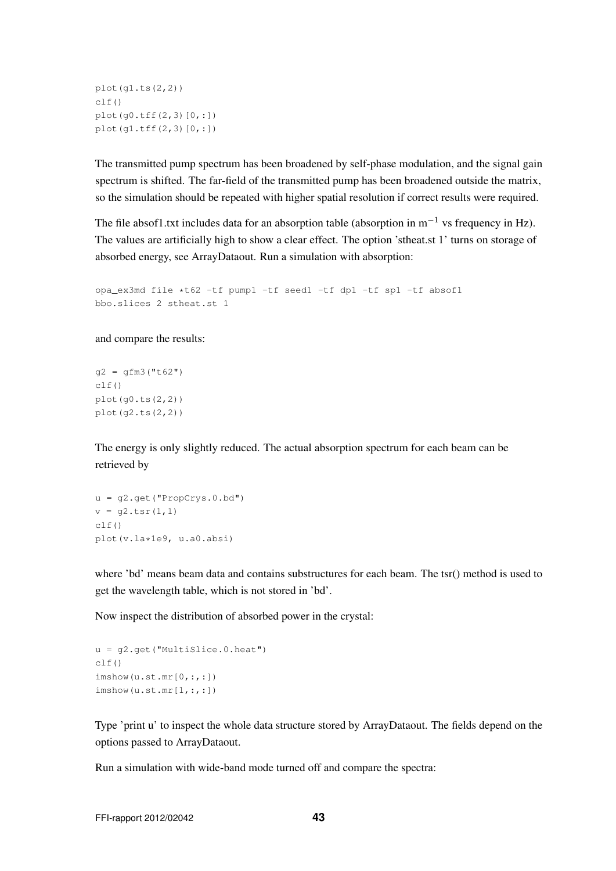```
plot(g1.ts(2,2))
clf()
plot(q0.tff(2,3)[0,:])plot(g1.tff(2,3)[0,:])
```
The transmitted pump spectrum has been broadened by self-phase modulation, and the signal gain spectrum is shifted. The far-field of the transmitted pump has been broadened outside the matrix, so the simulation should be repeated with higher spatial resolution if correct results were required.

The file absof1.txt includes data for an absorption table (absorption in  $m^{-1}$  vs frequency in Hz). The values are artificially high to show a clear effect. The option 'stheat.st 1' turns on storage of absorbed energy, see ArrayDataout. Run a simulation with absorption:

```
opa_ex3md file *t62 -tf pump1 -tf seed1 -tf dp1 -tf sp1 -tf absof1
bbo.slices 2 stheat.st 1
```
and compare the results:

```
q2 = qfm3("t62")clf()plot(g0.ts(2,2))
plot(g2.ts(2,2))
```
The energy is only slightly reduced. The actual absorption spectrum for each beam can be retrieved by

```
u = g2.get("PropCrys.0.bd")
v = q2.tsr(1,1)clf()plot(v.la*1e9, u.a0.absi)
```
where 'bd' means beam data and contains substructures for each beam. The tsr() method is used to get the wavelength table, which is not stored in 'bd'.

Now inspect the distribution of absorbed power in the crystal:

```
u = g2.get("MultiSlice.0.heat")
clf()imshow(u.st.mr[0,:,:])
\text{imshow}(u.st.mr[1,:,:])
```
Type 'print u' to inspect the whole data structure stored by ArrayDataout. The fields depend on the options passed to ArrayDataout.

Run a simulation with wide-band mode turned off and compare the spectra: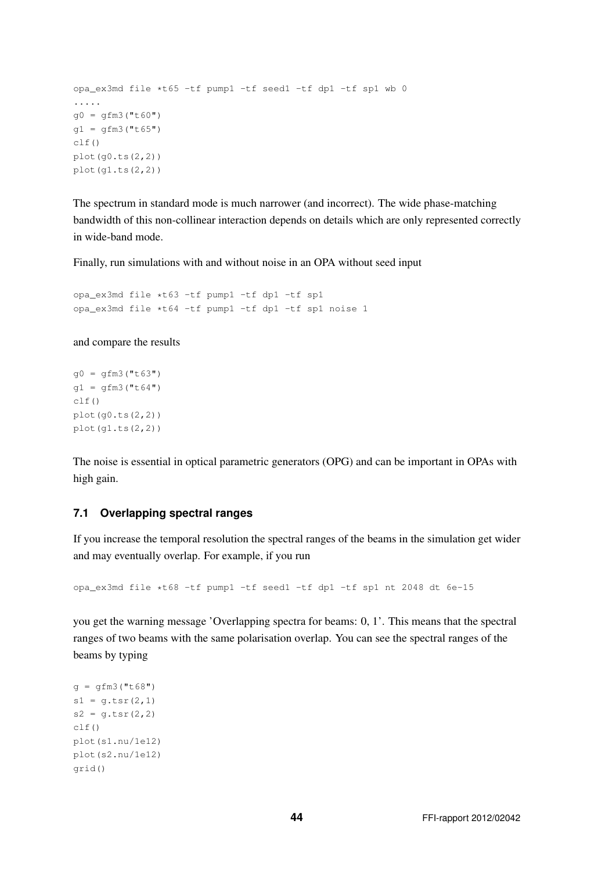```
opa_ex3md file *t65 -tf pump1 -tf seed1 -tf dp1 -tf sp1 wb 0
.....
g0 = gfm3("t60")g1 = gfm3("t65")
clf()plot(q0.ts(2,2))plot(g1.ts(2,2))
```
The spectrum in standard mode is much narrower (and incorrect). The wide phase-matching bandwidth of this non-collinear interaction depends on details which are only represented correctly in wide-band mode.

Finally, run simulations with and without noise in an OPA without seed input

opa\_ex3md file \*t63 -tf pump1 -tf dp1 -tf sp1 opa\_ex3md file \*t64 -tf pump1 -tf dp1 -tf sp1 noise 1

and compare the results

```
g0 = gfm3("t63")g1 = gfm3("t64")clf()
plot(q0.ts(2,2))plot(q1.ts(2,2))
```
The noise is essential in optical parametric generators (OPG) and can be important in OPAs with high gain.

#### **7.1 Overlapping spectral ranges**

If you increase the temporal resolution the spectral ranges of the beams in the simulation get wider and may eventually overlap. For example, if you run

opa\_ex3md file \*t68 -tf pump1 -tf seed1 -tf dp1 -tf sp1 nt 2048 dt 6e-15

you get the warning message 'Overlapping spectra for beams: 0, 1'. This means that the spectral ranges of two beams with the same polarisation overlap. You can see the spectral ranges of the beams by typing

```
q = qfm3("t68")s1 = g.tsr(2,1)s2 = q.tsr(2, 2)clf()plot(s1.nu/1e12)
plot(s2.nu/1e12)
grid()
```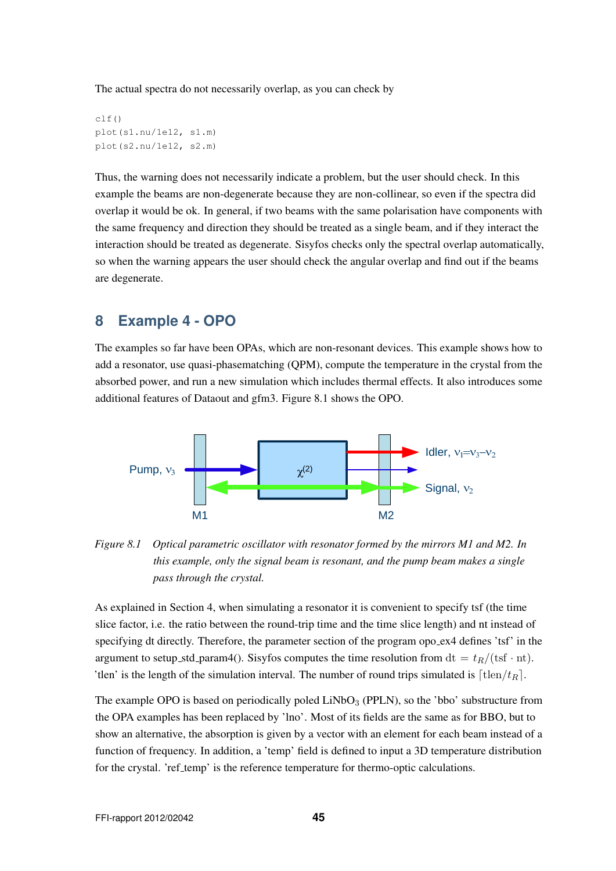The actual spectra do not necessarily overlap, as you can check by

clf() plot(s1.nu/1e12, s1.m) plot(s2.nu/1e12, s2.m)

Thus, the warning does not necessarily indicate a problem, but the user should check. In this example the beams are non-degenerate because they are non-collinear, so even if the spectra did overlap it would be ok. In general, if two beams with the same polarisation have components with the same frequency and direction they should be treated as a single beam, and if they interact the interaction should be treated as degenerate. Sisyfos checks only the spectral overlap automatically, so when the warning appears the user should check the angular overlap and find out if the beams are degenerate.

# **8 Example 4 - OPO**

The examples so far have been OPAs, which are non-resonant devices. This example shows how to add a resonator, use quasi-phasematching (QPM), compute the temperature in the crystal from the absorbed power, and run a new simulation which includes thermal effects. It also introduces some additional features of Dataout and gfm3. Figure 8.1 shows the OPO.



*Figure 8.1 Optical parametric oscillator with resonator formed by the mirrors M1 and M2. In this example, only the signal beam is resonant, and the pump beam makes a single pass through the crystal.*

As explained in Section 4, when simulating a resonator it is convenient to specify tsf (the time slice factor, i.e. the ratio between the round-trip time and the time slice length) and nt instead of specifying dt directly. Therefore, the parameter section of the program opo ex4 defines 'tsf' in the argument to setup std param4(). Sisyfos computes the time resolution from  $dt = t_R/(tsf \cdot nt)$ . 'tlen' is the length of the simulation interval. The number of round trips simulated is  $\lceil \text{tlen}/t_R \rceil$ .

The example OPO is based on periodically poled  $LiNbO<sub>3</sub>$  (PPLN), so the 'bbo' substructure from the OPA examples has been replaced by 'lno'. Most of its fields are the same as for BBO, but to show an alternative, the absorption is given by a vector with an element for each beam instead of a function of frequency. In addition, a 'temp' field is defined to input a 3D temperature distribution for the crystal. 'ref\_temp' is the reference temperature for thermo-optic calculations.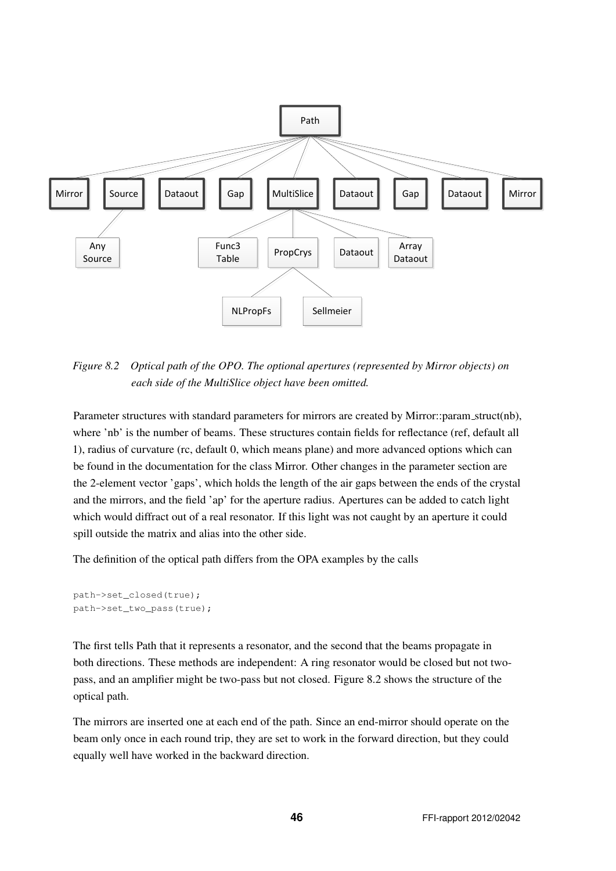

*Figure 8.2 Optical path of the OPO. The optional apertures (represented by Mirror objects) on each side of the MultiSlice object have been omitted.*

Parameter structures with standard parameters for mirrors are created by Mirror::param struct(nb), where 'nb' is the number of beams. These structures contain fields for reflectance (ref, default all 1), radius of curvature (rc, default 0, which means plane) and more advanced options which can be found in the documentation for the class Mirror. Other changes in the parameter section are the 2-element vector 'gaps', which holds the length of the air gaps between the ends of the crystal and the mirrors, and the field 'ap' for the aperture radius. Apertures can be added to catch light which would diffract out of a real resonator. If this light was not caught by an aperture it could spill outside the matrix and alias into the other side.

The definition of the optical path differs from the OPA examples by the calls

```
path->set_closed(true);
path->set_two_pass(true);
```
The first tells Path that it represents a resonator, and the second that the beams propagate in both directions. These methods are independent: A ring resonator would be closed but not twopass, and an amplifier might be two-pass but not closed. Figure 8.2 shows the structure of the optical path.

The mirrors are inserted one at each end of the path. Since an end-mirror should operate on the beam only once in each round trip, they are set to work in the forward direction, but they could equally well have worked in the backward direction.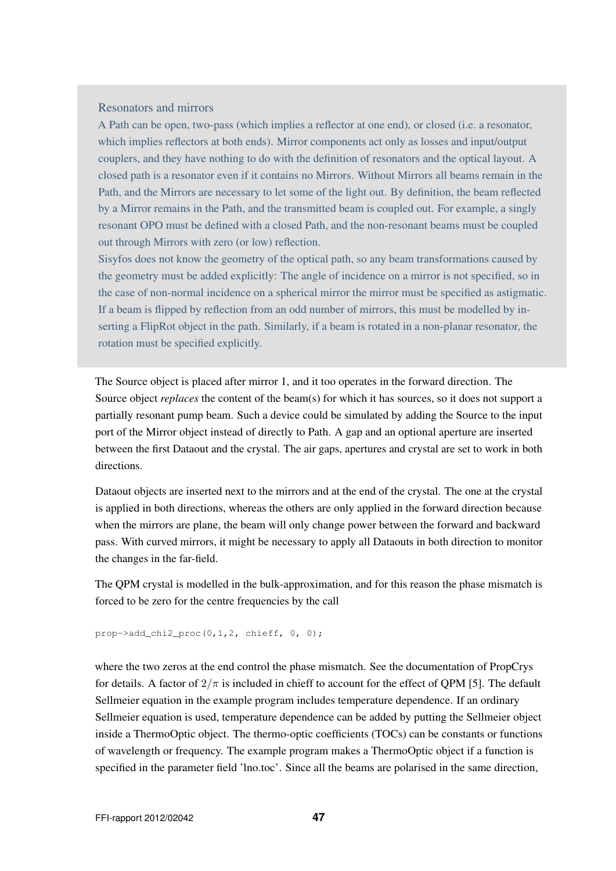#### Resonators and mirrors

A Path can be open, two-pass (which implies a reflector at one end), or closed (i.e. a resonator, which implies reflectors at both ends). Mirror components act only as losses and input/output couplers, and they have nothing to do with the definition of resonators and the optical layout. A closed path is a resonator even if it contains no Mirrors. Without Mirrors all beams remain in the Path, and the Mirrors are necessary to let some of the light out. By definition, the beam reflected by a Mirror remains in the Path, and the transmitted beam is coupled out. For example, a singly resonant OPO must be defined with a closed Path, and the non-resonant beams must be coupled out through Mirrors with zero (or low) reflection.

Sisyfos does not know the geometry of the optical path, so any beam transformations caused by the geometry must be added explicitly: The angle of incidence on a mirror is not specified, so in the case of non-normal incidence on a spherical mirror the mirror must be specified as astigmatic. If a beam is flipped by reflection from an odd number of mirrors, this must be modelled by inserting a FlipRot object in the path. Similarly, if a beam is rotated in a non-planar resonator, the rotation must be specified explicitly.

The Source object is placed after mirror 1, and it too operates in the forward direction. The Source object *replaces* the content of the beam(s) for which it has sources, so it does not support a partially resonant pump beam. Such a device could be simulated by adding the Source to the input port of the Mirror object instead of directly to Path. A gap and an optional aperture are inserted between the first Dataout and the crystal. The air gaps, apertures and crystal are set to work in both directions.

Dataout objects are inserted next to the mirrors and at the end of the crystal. The one at the crystal is applied in both directions, whereas the others are only applied in the forward direction because when the mirrors are plane, the beam will only change power between the forward and backward pass. With curved mirrors, it might be necessary to apply all Dataouts in both direction to monitor the changes in the far-field.

The QPM crystal is modelled in the bulk-approximation, and for this reason the phase mismatch is forced to be zero for the centre frequencies by the call

prop->add\_chi2\_proc(0,1,2, chieff, 0, 0);

where the two zeros at the end control the phase mismatch. See the documentation of PropCrys for details. A factor of  $2/\pi$  is included in chieff to account for the effect of QPM [5]. The default Sellmeier equation in the example program includes temperature dependence. If an ordinary Sellmeier equation is used, temperature dependence can be added by putting the Sellmeier object inside a ThermoOptic object. The thermo-optic coefficients (TOCs) can be constants or functions of wavelength or frequency. The example program makes a ThermoOptic object if a function is specified in the parameter field 'lno.toc'. Since all the beams are polarised in the same direction,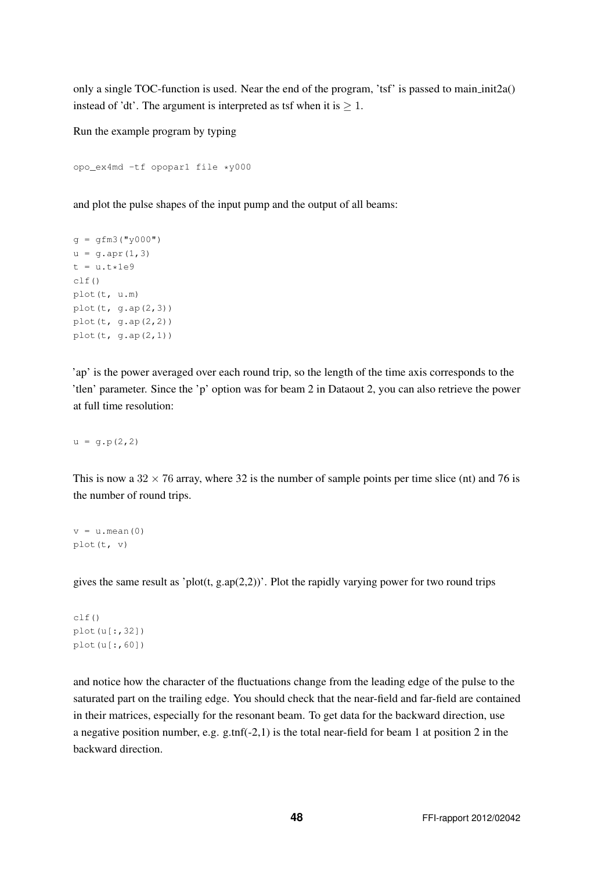only a single TOC-function is used. Near the end of the program, 'tsf' is passed to main init2a() instead of 'dt'. The argument is interpreted as tsf when it is  $\geq 1$ .

Run the example program by typing

```
opo_ex4md -tf opopar1 file *y000
```
and plot the pulse shapes of the input pump and the output of all beams:

```
q = qfm3("y000")u = q.\text{apr}(1, 3)t = u.t*1e9clf()
plot(t, u.m)
plot(t, g.ap(2,3))
plot(t, g.ap(2,2))
plot(t, g.ap(2,1))
```
'ap' is the power averaged over each round trip, so the length of the time axis corresponds to the 'tlen' parameter. Since the 'p' option was for beam 2 in Dataout 2, you can also retrieve the power at full time resolution:

 $u = q.p(2,2)$ 

This is now a  $32 \times 76$  array, where 32 is the number of sample points per time slice (nt) and 76 is the number of round trips.

 $v = u \cdot \text{mean}(0)$ plot(t, v)

gives the same result as 'plot(t, g.ap $(2,2)$ )'. Plot the rapidly varying power for two round trips

```
clf()
plot(u[:,32])plot(u[:,60])
```
and notice how the character of the fluctuations change from the leading edge of the pulse to the saturated part on the trailing edge. You should check that the near-field and far-field are contained in their matrices, especially for the resonant beam. To get data for the backward direction, use a negative position number, e.g. g.tnf(-2,1) is the total near-field for beam 1 at position 2 in the backward direction.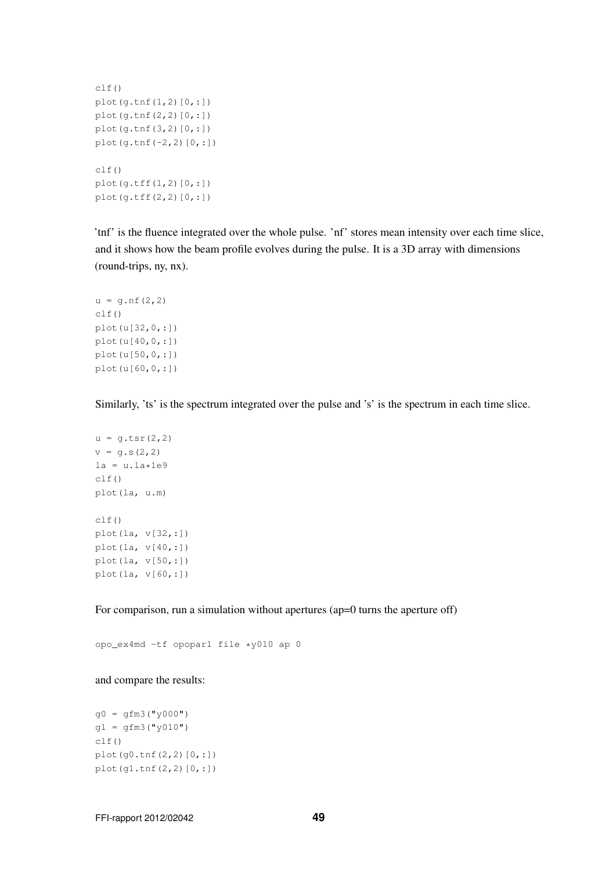```
clf()
plot(q,tnf(1,2)[0,:])plot(g.tnf(2,2)[0,:])
plot(g.tnf(3,2)[0,:])
plot(q,tnf(-2,2)[0,:])clf()plot(g.tff(1,2)[0,:])
plot(g.tff(2,2)[0,:])
```
'tnf' is the fluence integrated over the whole pulse. 'nf' stores mean intensity over each time slice, and it shows how the beam profile evolves during the pulse. It is a 3D array with dimensions (round-trips, ny, nx).

```
u = g.nf(2,2)clf()plot(u[32,0,:])
plot(u[40,0,:])
plot(u[50,0,:])
plot(u[60,0,:])
```
Similarly, 'ts' is the spectrum integrated over the pulse and 's' is the spectrum in each time slice.

```
u = g.tsr(2,2)v = q.s(2, 2)la = u.la * 1e9clf()plot(la, u.m)
clf()
plot(la, v[32,:])
plot(la, v[40,:])
plot(la, v[50,:])
plot(la, v[60,:])
```
For comparison, run a simulation without apertures (ap=0 turns the aperture off)

opo\_ex4md -tf opopar1 file \*y010 ap 0

and compare the results:

```
q0 = qfm3("y000")g1 = gfm3("y010")clf()plot(g0.tnf(2,2)[0,:])
plot(g1.tnf(2,2)[0,:])
```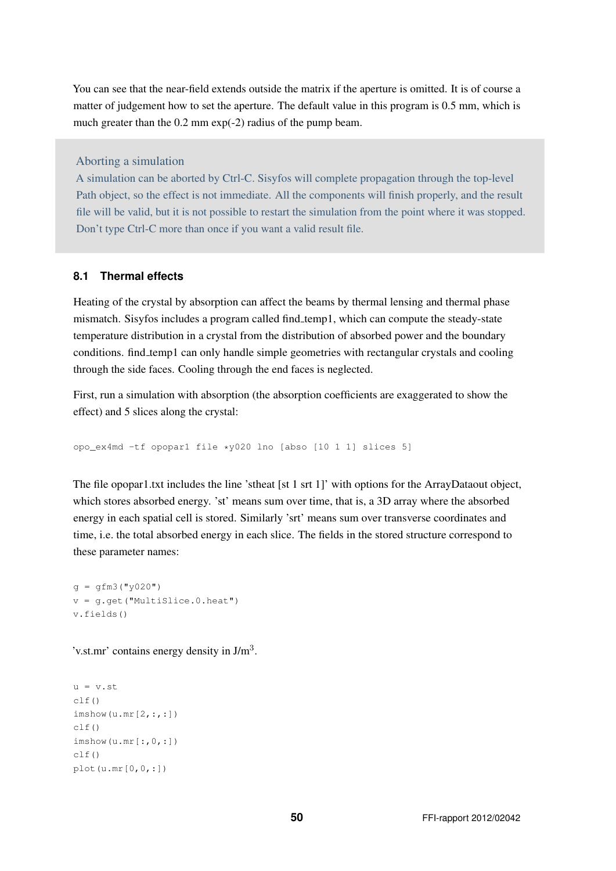You can see that the near-field extends outside the matrix if the aperture is omitted. It is of course a matter of judgement how to set the aperture. The default value in this program is 0.5 mm, which is much greater than the 0.2 mm exp(-2) radius of the pump beam.

Aborting a simulation

A simulation can be aborted by Ctrl-C. Sisyfos will complete propagation through the top-level Path object, so the effect is not immediate. All the components will finish properly, and the result file will be valid, but it is not possible to restart the simulation from the point where it was stopped. Don't type Ctrl-C more than once if you want a valid result file.

### **8.1 Thermal effects**

Heating of the crystal by absorption can affect the beams by thermal lensing and thermal phase mismatch. Sisyfos includes a program called find temp1, which can compute the steady-state temperature distribution in a crystal from the distribution of absorbed power and the boundary conditions. find temp1 can only handle simple geometries with rectangular crystals and cooling through the side faces. Cooling through the end faces is neglected.

First, run a simulation with absorption (the absorption coefficients are exaggerated to show the effect) and 5 slices along the crystal:

opo\_ex4md -tf opopar1 file \*y020 lno [abso [10 1 1] slices 5]

The file opopar1.txt includes the line 'stheat [st 1 srt 1]' with options for the ArrayDataout object, which stores absorbed energy. 'st' means sum over time, that is, a 3D array where the absorbed energy in each spatial cell is stored. Similarly 'srt' means sum over transverse coordinates and time, i.e. the total absorbed energy in each slice. The fields in the stored structure correspond to these parameter names:

 $q = qfm3('v020")$ v = g.get("MultiSlice.0.heat") v.fields()

'v.st.mr' contains energy density in  $J/m<sup>3</sup>$ .

```
u = v \cdot stc1f()imshow(u.mr[2,:,:])clf()
\text{imshow}(u.mr[:,0,:])c]f()plot(u.mr[0,0,:])
```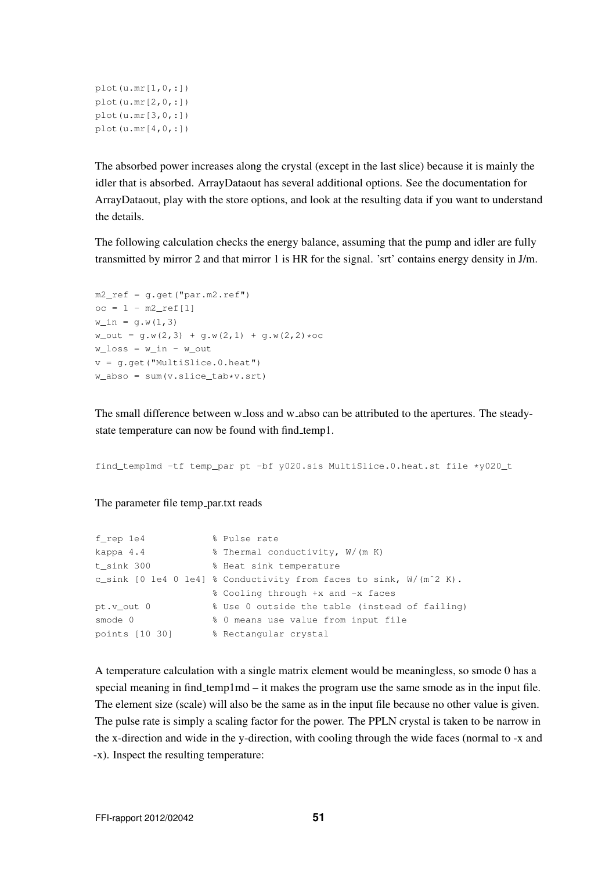```
plot(u.mr[1,0,:])
plot(u.mr[2,0,:])
plot(u.mr[3,0,:])
plot(u.mr[4,0,:])
```
The absorbed power increases along the crystal (except in the last slice) because it is mainly the idler that is absorbed. ArrayDataout has several additional options. See the documentation for ArrayDataout, play with the store options, and look at the resulting data if you want to understand the details.

The following calculation checks the energy balance, assuming that the pump and idler are fully transmitted by mirror 2 and that mirror 1 is HR for the signal. 'srt' contains energy density in J/m.

```
m2_ref = q.get("par.m2.ref")oc = 1 - m2_ref[1]w_{\text{in}} = g.w(1,3)w_{out} = g.w(2,3) + g.w(2,1) + g.w(2,2)*ocw_lloss = w_lin - w_lout
v = q.get("MultiSlice.0.heat")w\_abso = sum(v.slice\_tab*v.srt)
```
The small difference between w loss and w abso can be attributed to the apertures. The steadystate temperature can now be found with find\_temp1.

find\_temp1md -tf temp\_par pt -bf y020.sis MultiSlice.0.heat.st file \*y020\_t

The parameter file temp\_par.txt reads

```
f_rep 1e4 % Pulse rate
kappa 4.4 % Thermal conductivity, W/(m K)<br>t_sink 300 % Heat sink temperature
                   % Heat sink temperature
c_sink [0 1e4 0 1e4] % Conductivity from faces to sink, W/(mˆ2 K).
                   % Cooling through +x and -x faces
pt.v_out 0 % Use 0 outside the table (instead of failing)
smode 0 % 0 means use value from input file
points [10 30] % Rectangular crystal
```
A temperature calculation with a single matrix element would be meaningless, so smode 0 has a special meaning in find temp1md – it makes the program use the same smode as in the input file. The element size (scale) will also be the same as in the input file because no other value is given. The pulse rate is simply a scaling factor for the power. The PPLN crystal is taken to be narrow in the x-direction and wide in the y-direction, with cooling through the wide faces (normal to -x and -x). Inspect the resulting temperature: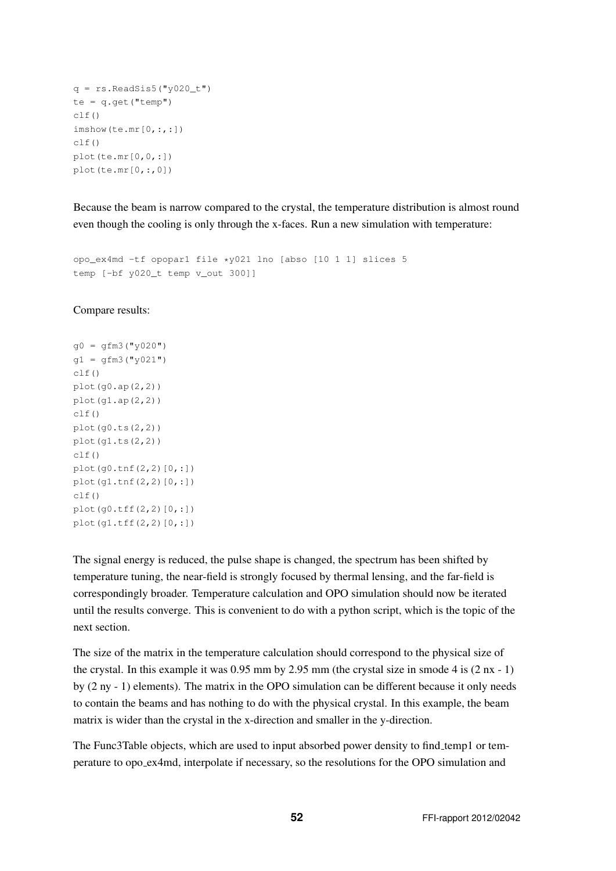```
q = rs.FeadSis5('y020_t")te = q.get("temp")clf()imshow(te.mr[0,:,:])
clf()
plot(te.mr[0,0,:])plot(te.mr[0,:,0])
```
Because the beam is narrow compared to the crystal, the temperature distribution is almost round even though the cooling is only through the x-faces. Run a new simulation with temperature:

```
opo_ex4md -tf opopar1 file *y021 lno [abso [10 1 1] slices 5
temp [-bf y020_t temp v_out 300]]
```
Compare results:

```
g0 = gfm3("y020")q1 = qfm3("y021")clf()plot(q0(ap(2,2))plot(g1.ap(2,2))
clf()plot(g0.ts(2,2))
plot(q1.ts(2,2))c]f()plot(g0.tnf(2,2)[0,:])
plot(g1.tnf(2,2)[0,:])
clf()plot(g0.tff(2,2)[0,:])
plot(g1.tff(2,2)[0,:])
```
The signal energy is reduced, the pulse shape is changed, the spectrum has been shifted by temperature tuning, the near-field is strongly focused by thermal lensing, and the far-field is correspondingly broader. Temperature calculation and OPO simulation should now be iterated until the results converge. This is convenient to do with a python script, which is the topic of the next section.

The size of the matrix in the temperature calculation should correspond to the physical size of the crystal. In this example it was 0.95 mm by 2.95 mm (the crystal size in smode 4 is (2 nx - 1) by (2 ny - 1) elements). The matrix in the OPO simulation can be different because it only needs to contain the beams and has nothing to do with the physical crystal. In this example, the beam matrix is wider than the crystal in the x-direction and smaller in the y-direction.

The Func3Table objects, which are used to input absorbed power density to find temp1 or temperature to opo ex4md, interpolate if necessary, so the resolutions for the OPO simulation and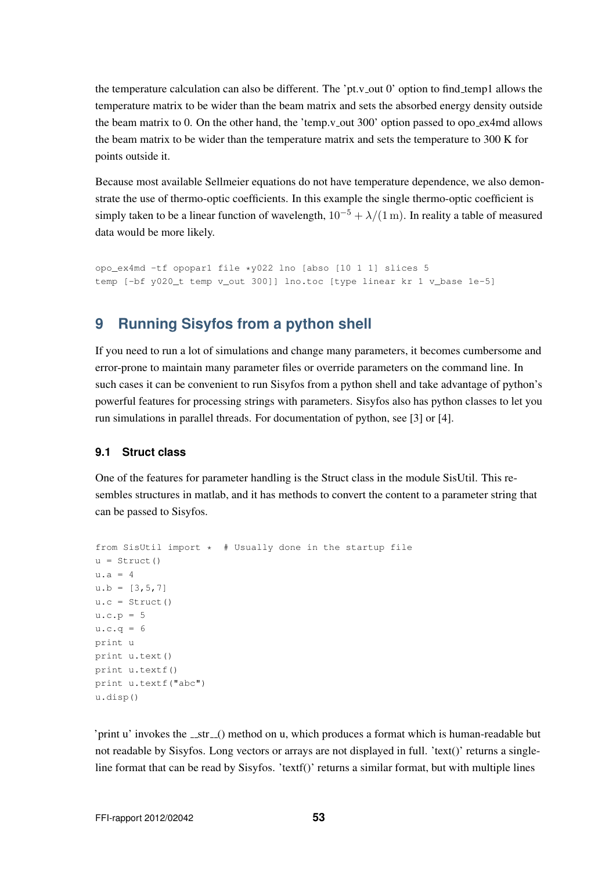the temperature calculation can also be different. The 'pt.v\_out 0' option to find\_temp1 allows the temperature matrix to be wider than the beam matrix and sets the absorbed energy density outside the beam matrix to 0. On the other hand, the 'temp.v\_out  $300'$  option passed to opo\_ex4md allows the beam matrix to be wider than the temperature matrix and sets the temperature to 300 K for points outside it.

Because most available Sellmeier equations do not have temperature dependence, we also demonstrate the use of thermo-optic coefficients. In this example the single thermo-optic coefficient is simply taken to be a linear function of wavelength,  $10^{-5} + \lambda/(1 \text{ m})$ . In reality a table of measured data would be more likely.

opo\_ex4md -tf opopar1 file \*y022 lno [abso [10 1 1] slices 5 temp [-bf y020\_t temp v\_out 300]] lno.toc [type linear kr 1 v\_base 1e-5]

# **9 Running Sisyfos from a python shell**

If you need to run a lot of simulations and change many parameters, it becomes cumbersome and error-prone to maintain many parameter files or override parameters on the command line. In such cases it can be convenient to run Sisyfos from a python shell and take advantage of python's powerful features for processing strings with parameters. Sisyfos also has python classes to let you run simulations in parallel threads. For documentation of python, see [3] or [4].

### **9.1 Struct class**

One of the features for parameter handling is the Struct class in the module SisUtil. This resembles structures in matlab, and it has methods to convert the content to a parameter string that can be passed to Sisyfos.

```
from SisUtil import * # Usually done in the startup file
u = Struct()
u.a = 4u.b = [3, 5, 7]u.c = Struct()
u.c.p = 5u.c.q = 6print u
print u.text()
print u.textf()
print u.textf("abc")
u.disp()
```
'print u' invokes the  $\text{Istr}(n)$  method on u, which produces a format which is human-readable but not readable by Sisyfos. Long vectors or arrays are not displayed in full. 'text()' returns a singleline format that can be read by Sisyfos. 'textf()' returns a similar format, but with multiple lines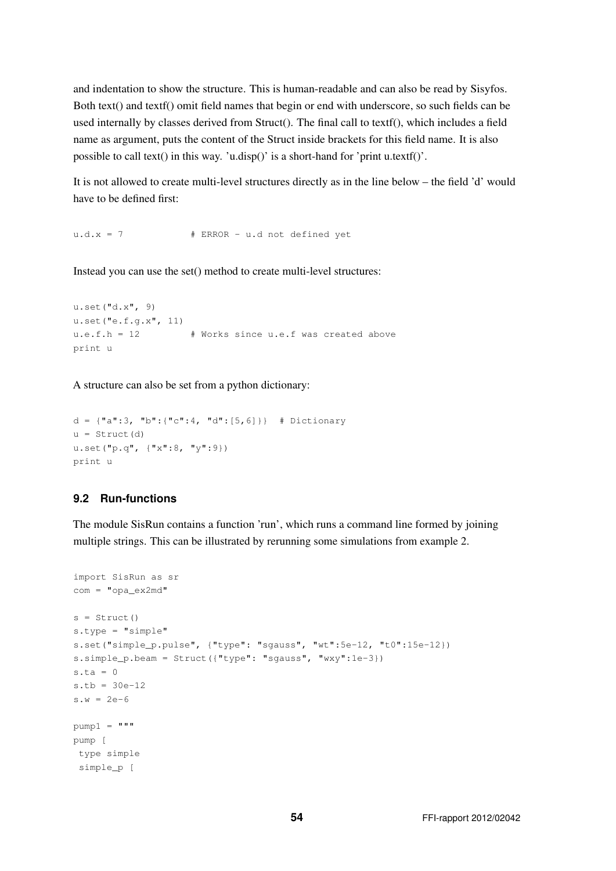and indentation to show the structure. This is human-readable and can also be read by Sisyfos. Both text() and textf() omit field names that begin or end with underscore, so such fields can be used internally by classes derived from Struct(). The final call to textf(), which includes a field name as argument, puts the content of the Struct inside brackets for this field name. It is also possible to call text() in this way. 'u.disp()' is a short-hand for 'print u.textf()'.

It is not allowed to create multi-level structures directly as in the line below – the field 'd' would have to be defined first:

 $u.d.x = 7$  # ERROR - u.d not defined yet

Instead you can use the set() method to create multi-level structures:

```
u.set("d.x", 9)
u.set("e.f.g.x", 11)
u.e.f.h = 12 # Works since u.e.f was created above
print u
```
A structure can also be set from a python dictionary:

```
d = {\lceil "a":3, "b":\lceil "c":4, "d":[5, 6]\rceil} # Dictionary
u = Struct(d)
u.set("p.q", {"x":8, "y":9})
print u
```
### **9.2 Run-functions**

The module SisRun contains a function 'run', which runs a command line formed by joining multiple strings. This can be illustrated by rerunning some simulations from example 2.

```
import SisRun as sr
com = "opa\_ex2md"s = Struct()
s.type = "simple"
s.set("simple_p.pulse", {"type": "sgauss", "wt":5e-12, "t0":15e-12})
s.simple_p.beam = Struct({"type": "sgauss", "wxy":1e-3})
s.ta = 0s.tb = 30e-12
s.w = 2e-6pump1 = """pump [
type simple
simple_p [
```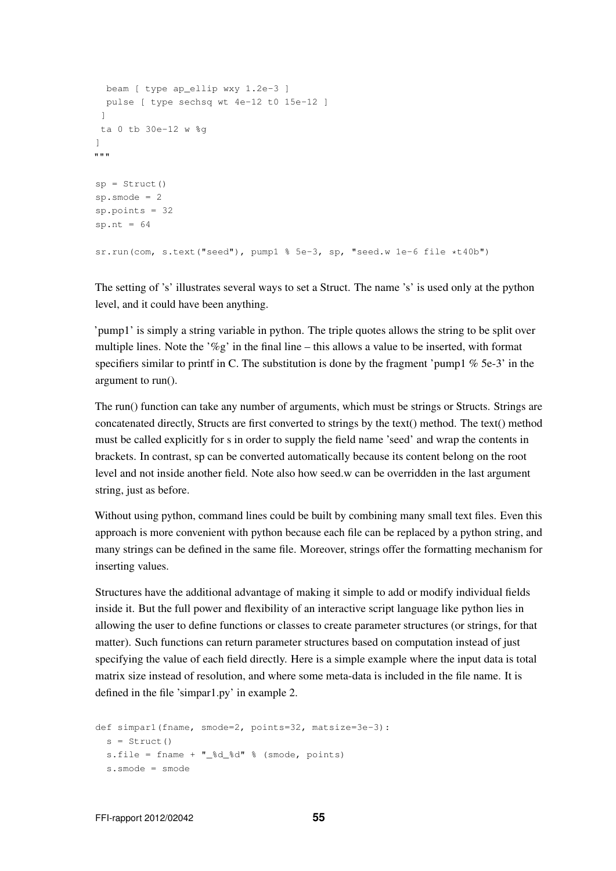```
beam [ type ap_ellip wxy 1.2e-3 ]
 pulse [ type sechsq wt 4e-12 t0 15e-12 ]
 \mathbb{R}ta 0 tb 30e-12 w %g
]
"" "
sp = Struct()
sp.smode = 2
sp.points = 32
sp.nt = 64sr.run(com, s.text("seed"), pump1 % 5e-3, sp, "seed.w 1e-6 file *t40b")
```
The setting of 's' illustrates several ways to set a Struct. The name 's' is used only at the python level, and it could have been anything.

'pump1' is simply a string variable in python. The triple quotes allows the string to be split over multiple lines. Note the '%g' in the final line – this allows a value to be inserted, with format specifiers similar to printf in C. The substitution is done by the fragment 'pump1  $\%$  5e-3' in the argument to run().

The run() function can take any number of arguments, which must be strings or Structs. Strings are concatenated directly, Structs are first converted to strings by the text() method. The text() method must be called explicitly for s in order to supply the field name 'seed' and wrap the contents in brackets. In contrast, sp can be converted automatically because its content belong on the root level and not inside another field. Note also how seed.w can be overridden in the last argument string, just as before.

Without using python, command lines could be built by combining many small text files. Even this approach is more convenient with python because each file can be replaced by a python string, and many strings can be defined in the same file. Moreover, strings offer the formatting mechanism for inserting values.

Structures have the additional advantage of making it simple to add or modify individual fields inside it. But the full power and flexibility of an interactive script language like python lies in allowing the user to define functions or classes to create parameter structures (or strings, for that matter). Such functions can return parameter structures based on computation instead of just specifying the value of each field directly. Here is a simple example where the input data is total matrix size instead of resolution, and where some meta-data is included in the file name. It is defined in the file 'simpar1.py' in example 2.

```
def simpar1(fname, smode=2, points=32, matsize=3e-3):
 s =Struct()
 s.file = fname + " %d %d" % (smode, points)
 s.smode = smode
```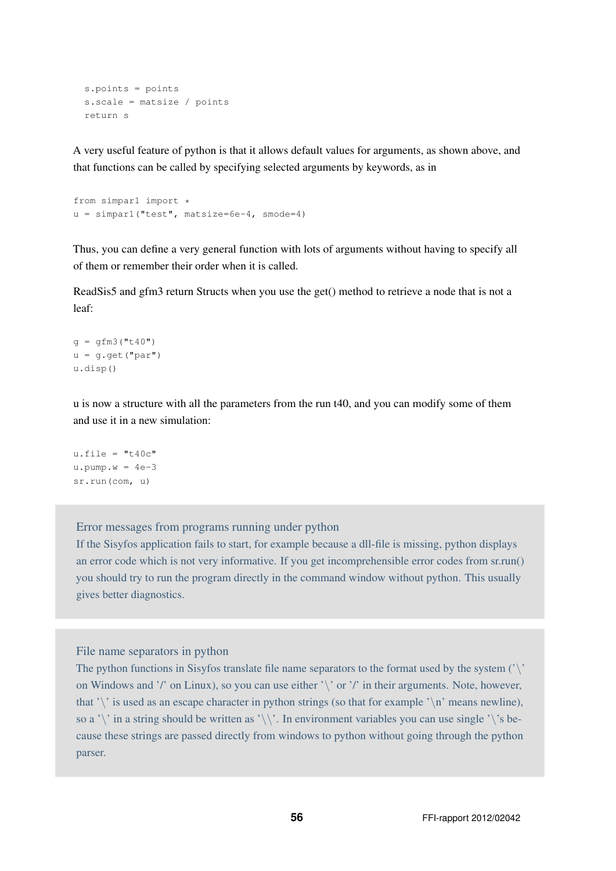```
s.points = points
s.scale = matsize / points
return s
```
A very useful feature of python is that it allows default values for arguments, as shown above, and that functions can be called by specifying selected arguments by keywords, as in

```
from simpar1 import *
u = simpar1("test", matsize=6e-4, smode=4)
```
Thus, you can define a very general function with lots of arguments without having to specify all of them or remember their order when it is called.

ReadSis5 and gfm3 return Structs when you use the get() method to retrieve a node that is not a leaf:

```
q = qfm3("t40")u = g.get("par")
u.disp()
```
u is now a structure with all the parameters from the run t40, and you can modify some of them and use it in a new simulation:

```
u.file = "t40c"u.pump.w = 4e-3sr.run(com, u)
```
Error messages from programs running under python

If the Sisyfos application fails to start, for example because a dll-file is missing, python displays an error code which is not very informative. If you get incomprehensible error codes from sr.run() you should try to run the program directly in the command window without python. This usually gives better diagnostics.

#### File name separators in python

The python functions in Sisyfos translate file name separators to the format used by the system  $\langle \cdot \rangle$ . on Windows and '/' on Linux), so you can use either '\' or '/' in their arguments. Note, however, that '\' is used as an escape character in python strings (so that for example '\n' means newline), so a '\' in a string should be written as '\\'. In environment variables you can use single '\'s because these strings are passed directly from windows to python without going through the python parser.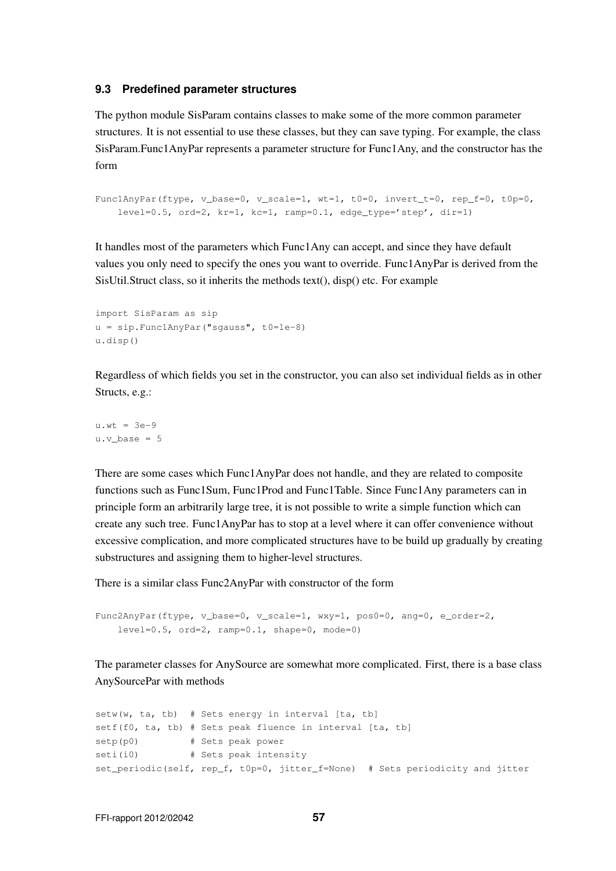#### **9.3 Predefined parameter structures**

The python module SisParam contains classes to make some of the more common parameter structures. It is not essential to use these classes, but they can save typing. For example, the class SisParam.Func1AnyPar represents a parameter structure for Func1Any, and the constructor has the form

```
Func1AnyPar(ftype, v_base=0, v_scale=1, wt=1, t0=0, invert_t=0, rep_f=0, t0p=0,
    level=0.5, ord=2, kr=1, kc=1, ramp=0.1, edge type='step', dir=1)
```
It handles most of the parameters which Func1Any can accept, and since they have default values you only need to specify the ones you want to override. Func1AnyPar is derived from the SisUtil.Struct class, so it inherits the methods text(), disp() etc. For example

```
import SisParam as sip
u = sip.Func1AnyPar("sgauss", t0=1e-8)
u.disp()
```
Regardless of which fields you set in the constructor, you can also set individual fields as in other Structs, e.g.:

 $u.wt = 3e-9$ u.v base =  $5$ 

There are some cases which Func1AnyPar does not handle, and they are related to composite functions such as Func1Sum, Func1Prod and Func1Table. Since Func1Any parameters can in principle form an arbitrarily large tree, it is not possible to write a simple function which can create any such tree. Func1AnyPar has to stop at a level where it can offer convenience without excessive complication, and more complicated structures have to be build up gradually by creating substructures and assigning them to higher-level structures.

There is a similar class Func2AnyPar with constructor of the form

```
Func2AnyPar(ftype, v_base=0, v_scale=1, wxy=1, pos0=0, ang=0, e_order=2,
   level=0.5, ord=2, ramp=0.1, shape=0, model=0)
```
The parameter classes for AnySource are somewhat more complicated. First, there is a base class AnySourcePar with methods

 $setw(w, ta, tb)$  # Sets energy in interval [ta, tb] setf(f0, ta, tb) # Sets peak fluence in interval [ta, tb] setp(p0) # Sets peak power seti(i0) # Sets peak intensity set\_periodic(self, rep\_f, t0p=0, jitter\_f=None) # Sets periodicity and jitter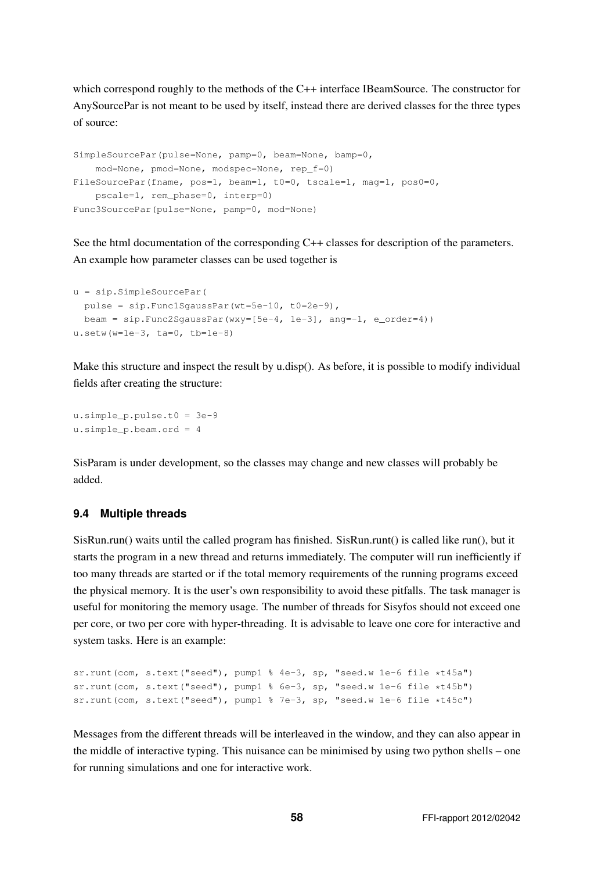which correspond roughly to the methods of the C++ interface IBeamSource. The constructor for AnySourcePar is not meant to be used by itself, instead there are derived classes for the three types of source:

```
SimpleSourcePar(pulse=None, pamp=0, beam=None, bamp=0,
    mod=None, pmod=None, modspec=None, rep_f=0)
FileSourcePar(fname, pos=1, beam=1, t0=0, tscale=1, mag=1, pos0=0,
   pscale=1, rem_phase=0, interp=0)
Func3SourcePar(pulse=None, pamp=0, mod=None)
```
See the html documentation of the corresponding C++ classes for description of the parameters. An example how parameter classes can be used together is

```
u = sip.SimpleSourcePar(
 pulse = sip.Func1SgaussPar(wt=5e-10, t0=2e-9),
 beam = sip.Func2SgaussPar(wxy=[5e-4, 1e-3], ang=-1, e-order=4)u.setw(w=1e-3, ta=0, tb=1e-8)
```
Make this structure and inspect the result by u.disp(). As before, it is possible to modify individual fields after creating the structure:

```
u.simple_p.pulse.t0 = 3e-9
u.simple_p.beam.ord = 4
```
SisParam is under development, so the classes may change and new classes will probably be added.

### **9.4 Multiple threads**

SisRun.run() waits until the called program has finished. SisRun.runt() is called like run(), but it starts the program in a new thread and returns immediately. The computer will run inefficiently if too many threads are started or if the total memory requirements of the running programs exceed the physical memory. It is the user's own responsibility to avoid these pitfalls. The task manager is useful for monitoring the memory usage. The number of threads for Sisyfos should not exceed one per core, or two per core with hyper-threading. It is advisable to leave one core for interactive and system tasks. Here is an example:

```
sr.runt(com, s.text("seed"), pump1 % 4e-3, sp, "seed.w 1e-6 file *t45a")
sr.runt(com, s.text("seed"), pump1 % 6e-3, sp, "seed.w 1e-6 file *t45b")
sr.runt(com, s.text("seed"), pump1 % 7e-3, sp, "seed.w 1e-6 file *t45c")
```
Messages from the different threads will be interleaved in the window, and they can also appear in the middle of interactive typing. This nuisance can be minimised by using two python shells – one for running simulations and one for interactive work.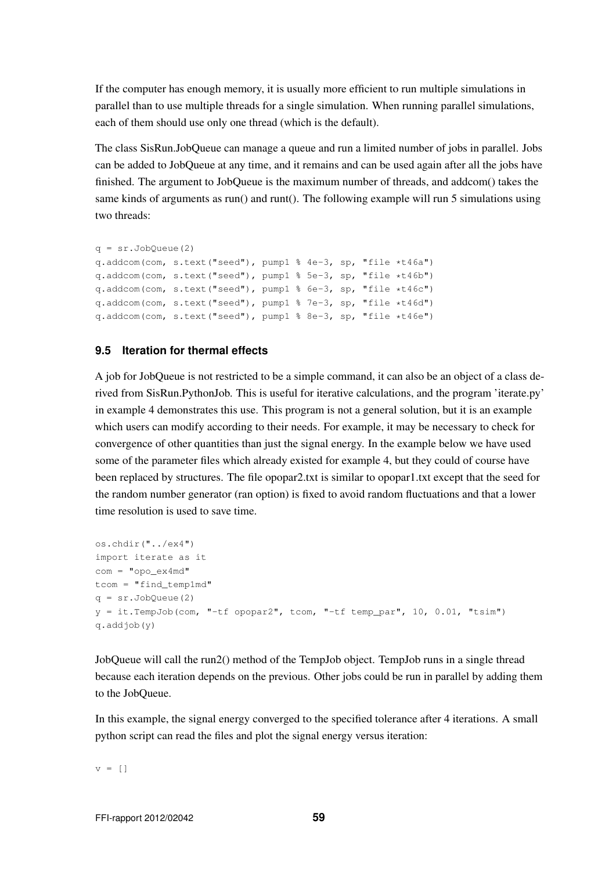If the computer has enough memory, it is usually more efficient to run multiple simulations in parallel than to use multiple threads for a single simulation. When running parallel simulations, each of them should use only one thread (which is the default).

The class SisRun.JobQueue can manage a queue and run a limited number of jobs in parallel. Jobs can be added to JobQueue at any time, and it remains and can be used again after all the jobs have finished. The argument to JobQueue is the maximum number of threads, and addcom() takes the same kinds of arguments as run() and runt(). The following example will run 5 simulations using two threads:

```
q = sr.JobQueue(2)q.addcom(com, s.text("seed"), pump1 % 4e-3, sp, "file *t46a")
q.addcom(com, s.text("seed"), pump1 % 5e-3, sp, "file *t46b")
q.addcom(com, s.text("seed"), pump1 % 6e-3, sp, "file *t46c")
q.addcom(com, s.text("seed"), pump1 % 7e-3, sp, "file *t46d")
q.addcom(com, s.text("seed"), pump1 % 8e-3, sp, "file *t46e")
```
### **9.5 Iteration for thermal effects**

A job for JobQueue is not restricted to be a simple command, it can also be an object of a class derived from SisRun.PythonJob. This is useful for iterative calculations, and the program 'iterate.py' in example 4 demonstrates this use. This program is not a general solution, but it is an example which users can modify according to their needs. For example, it may be necessary to check for convergence of other quantities than just the signal energy. In the example below we have used some of the parameter files which already existed for example 4, but they could of course have been replaced by structures. The file opopar2.txt is similar to opopar1.txt except that the seed for the random number generator (ran option) is fixed to avoid random fluctuations and that a lower time resolution is used to save time.

```
os.chdir("../ex4")
import iterate as it
com = "opo_ex4md"
tcom = "find temp1md"q = sr.JobQueue(2)y = it.TempJob(com, "-tf opppar2", town, "-tf temp par", 10, 0.01, "tsim")q.addjob(y)
```
JobQueue will call the run2() method of the TempJob object. TempJob runs in a single thread because each iteration depends on the previous. Other jobs could be run in parallel by adding them to the JobQueue.

In this example, the signal energy converged to the specified tolerance after 4 iterations. A small python script can read the files and plot the signal energy versus iteration:

 $v = [$ ]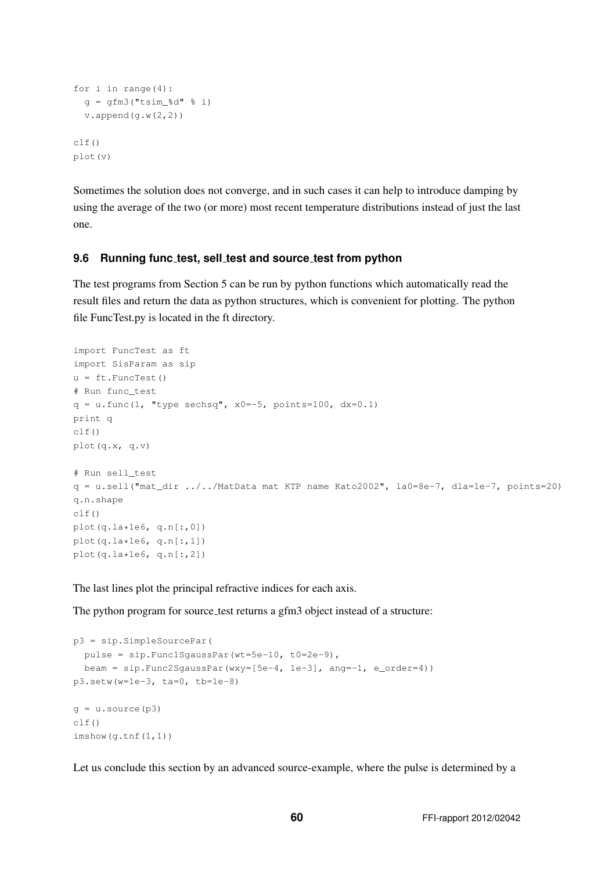```
for i in range(4):
 q = qfm3("tsim_{8d" \text{ s i})v.append(g.w(2,2))clf()plot(v)
```
Sometimes the solution does not converge, and in such cases it can help to introduce damping by using the average of the two (or more) most recent temperature distributions instead of just the last one.

### **9.6 Running func test, sell test and source test from python**

The test programs from Section 5 can be run by python functions which automatically read the result files and return the data as python structures, which is convenient for plotting. The python file FuncTest.py is located in the ft directory.

```
import FuncTest as ft
import SisParam as sip
u = ft.FuncTest()# Run func_test
q = u.func(1, "type sechsq", x0 = - 5, points=100, dx=0.1)
print q
clf()
plot(q.x, q.v)
# Run sell_test
q = u.\text{sell}("mat\_dir ../../MatData mat KTP name Kato2002", l.a0=8e-7, dla=1e-7, points=20)q.n.shape
clf()
plot(q, la*1e6, q.n[:, 0])plot(q.la*1e6, q.n[:,1])plot(q.la * 1e6, q.n[:, 2])
```
The last lines plot the principal refractive indices for each axis.

The python program for source test returns a gfm3 object instead of a structure:

```
p3 = sip.SimpleSourcePar(
 pulse = sip.Func1SgaussPar(wt=5e-10, t0=2e-9),
 beam = sip.Func2SgaussPar(wxy=[5e-4, 1e-3], ang=-1, e_order=4))
p3.setw(w=1e-3, ta=0, tb=1e-8)
q = u. source (p3)clf()imshow(g.tnf(1,1))
```
Let us conclude this section by an advanced source-example, where the pulse is determined by a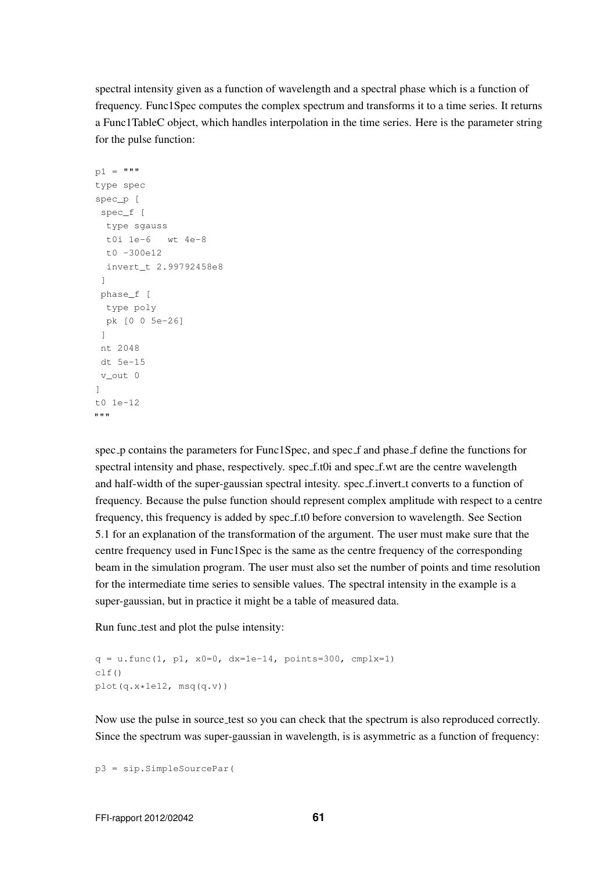spectral intensity given as a function of wavelength and a spectral phase which is a function of frequency. Func1Spec computes the complex spectrum and transforms it to a time series. It returns a Func1TableC object, which handles interpolation in the time series. Here is the parameter string for the pulse function:

```
p1 = """type spec
spec_p [
spec_f [
 type sgauss
 t0i 1e-6 wt 4e-8
 t0 -300e12
 invert_t 2.99792458e8
 ]
phase_f [
 type poly
 pk [0 0 5e-26]
 ]
nt 2048
dt 5e-15
v_out 0
]
t0 1e-12
"""
```
spec p contains the parameters for Func1Spec, and spec f and phase f define the functions for spectral intensity and phase, respectively. spec f.t0i and spec f.wt are the centre wavelength and half-width of the super-gaussian spectral intesity. spec\_f.invert\_t converts to a function of frequency. Because the pulse function should represent complex amplitude with respect to a centre frequency, this frequency is added by spec f.t0 before conversion to wavelength. See Section 5.1 for an explanation of the transformation of the argument. The user must make sure that the centre frequency used in Func1Spec is the same as the centre frequency of the corresponding beam in the simulation program. The user must also set the number of points and time resolution for the intermediate time series to sensible values. The spectral intensity in the example is a super-gaussian, but in practice it might be a table of measured data.

Run func test and plot the pulse intensity:

```
q = u.func(1, p1, x0=0, dx=1e-14, points=300, cmplx=1)
c1f()plot(q.x*1e12, msq(q.v))
```
Now use the pulse in source test so you can check that the spectrum is also reproduced correctly. Since the spectrum was super-gaussian in wavelength, is is asymmetric as a function of frequency:

p3 = sip.SimpleSourcePar(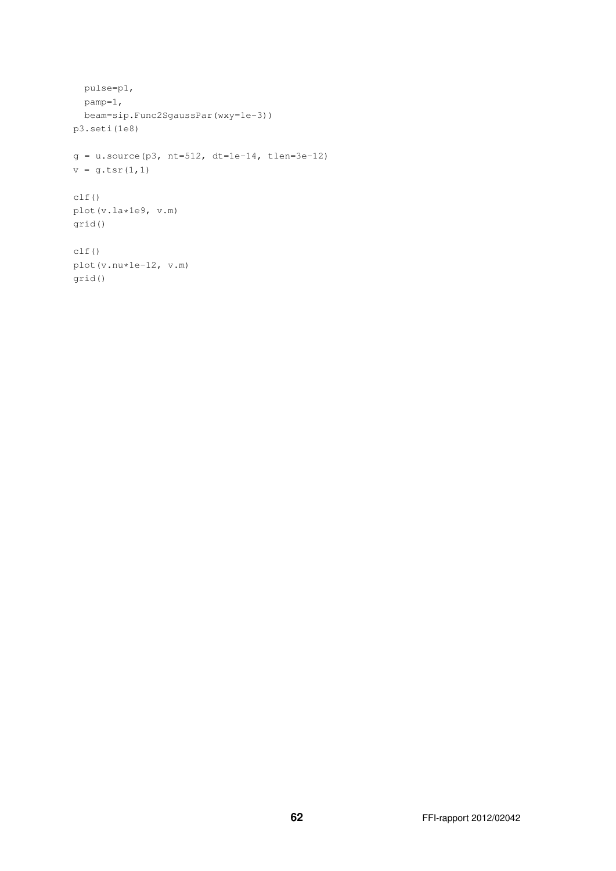```
pulse=p1,
 pamp=1,
 beam=sip.Func2SgaussPar(wxy=1e-3))
p3.seti(1e8)
g = u.source(p3, nt=512, dt=1e-14, then=3e-12)v = g.tsr(1, 1)clf()
plot(v.la*1e9, v.m)
grid()
clf()
plot(v.nu*1e-12, v.m)
grid()
```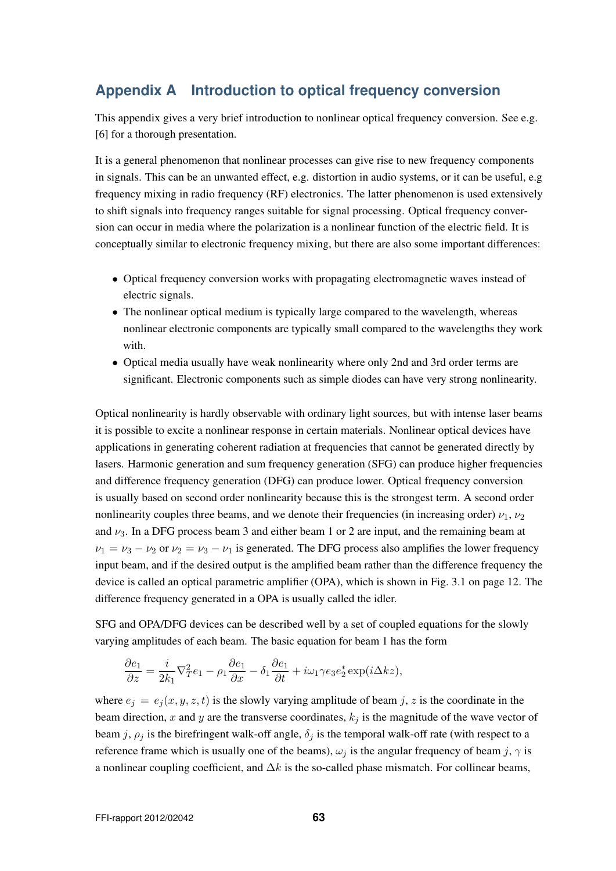# **Appendix A Introduction to optical frequency conversion**

This appendix gives a very brief introduction to nonlinear optical frequency conversion. See e.g. [6] for a thorough presentation.

It is a general phenomenon that nonlinear processes can give rise to new frequency components in signals. This can be an unwanted effect, e.g. distortion in audio systems, or it can be useful, e.g frequency mixing in radio frequency (RF) electronics. The latter phenomenon is used extensively to shift signals into frequency ranges suitable for signal processing. Optical frequency conversion can occur in media where the polarization is a nonlinear function of the electric field. It is conceptually similar to electronic frequency mixing, but there are also some important differences:

- Optical frequency conversion works with propagating electromagnetic waves instead of electric signals.
- The nonlinear optical medium is typically large compared to the wavelength, whereas nonlinear electronic components are typically small compared to the wavelengths they work with.
- Optical media usually have weak nonlinearity where only 2nd and 3rd order terms are significant. Electronic components such as simple diodes can have very strong nonlinearity.

Optical nonlinearity is hardly observable with ordinary light sources, but with intense laser beams it is possible to excite a nonlinear response in certain materials. Nonlinear optical devices have applications in generating coherent radiation at frequencies that cannot be generated directly by lasers. Harmonic generation and sum frequency generation (SFG) can produce higher frequencies and difference frequency generation (DFG) can produce lower. Optical frequency conversion is usually based on second order nonlinearity because this is the strongest term. A second order nonlinearity couples three beams, and we denote their frequencies (in increasing order)  $\nu_1, \nu_2$ and  $\nu_3$ . In a DFG process beam 3 and either beam 1 or 2 are input, and the remaining beam at  $\nu_1 = \nu_3 - \nu_2$  or  $\nu_2 = \nu_3 - \nu_1$  is generated. The DFG process also amplifies the lower frequency input beam, and if the desired output is the amplified beam rather than the difference frequency the device is called an optical parametric amplifier (OPA), which is shown in Fig. 3.1 on page 12. The difference frequency generated in a OPA is usually called the idler.

SFG and OPA/DFG devices can be described well by a set of coupled equations for the slowly varying amplitudes of each beam. The basic equation for beam 1 has the form

$$
\frac{\partial e_1}{\partial z} = \frac{i}{2k_1} \nabla_T^2 e_1 - \rho_1 \frac{\partial e_1}{\partial x} - \delta_1 \frac{\partial e_1}{\partial t} + i\omega_1 \gamma e_3 e_2^* \exp(i\Delta kz),
$$

where  $e_i = e_i(x, y, z, t)$  is the slowly varying amplitude of beam j, z is the coordinate in the beam direction, x and y are the transverse coordinates,  $k_j$  is the magnitude of the wave vector of beam j,  $\rho_j$  is the birefringent walk-off angle,  $\delta_j$  is the temporal walk-off rate (with respect to a reference frame which is usually one of the beams),  $\omega_j$  is the angular frequency of beam j,  $\gamma$  is a nonlinear coupling coefficient, and  $\Delta k$  is the so-called phase mismatch. For collinear beams,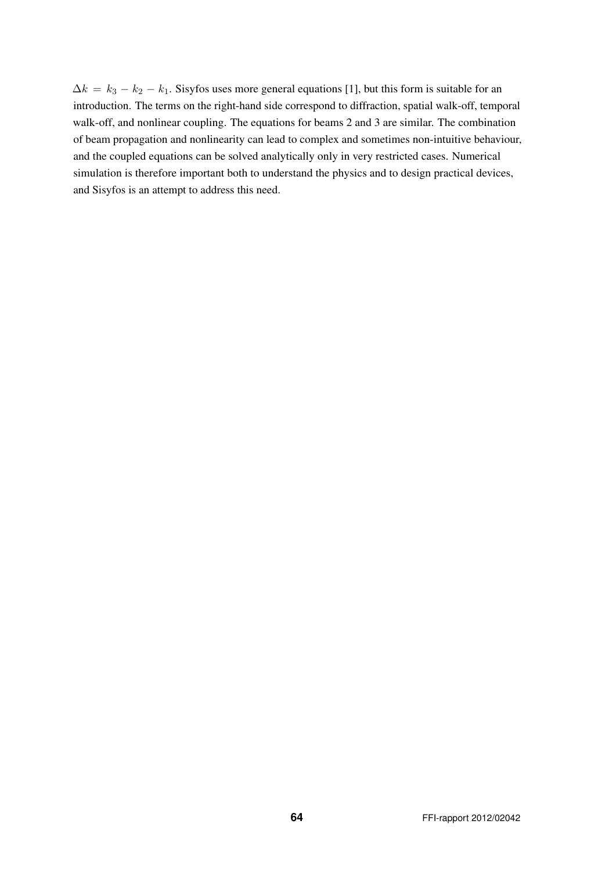$\Delta k = k_3 - k_2 - k_1$ . Sisyfos uses more general equations [1], but this form is suitable for an introduction. The terms on the right-hand side correspond to diffraction, spatial walk-off, temporal walk-off, and nonlinear coupling. The equations for beams 2 and 3 are similar. The combination of beam propagation and nonlinearity can lead to complex and sometimes non-intuitive behaviour, and the coupled equations can be solved analytically only in very restricted cases. Numerical simulation is therefore important both to understand the physics and to design practical devices, and Sisyfos is an attempt to address this need.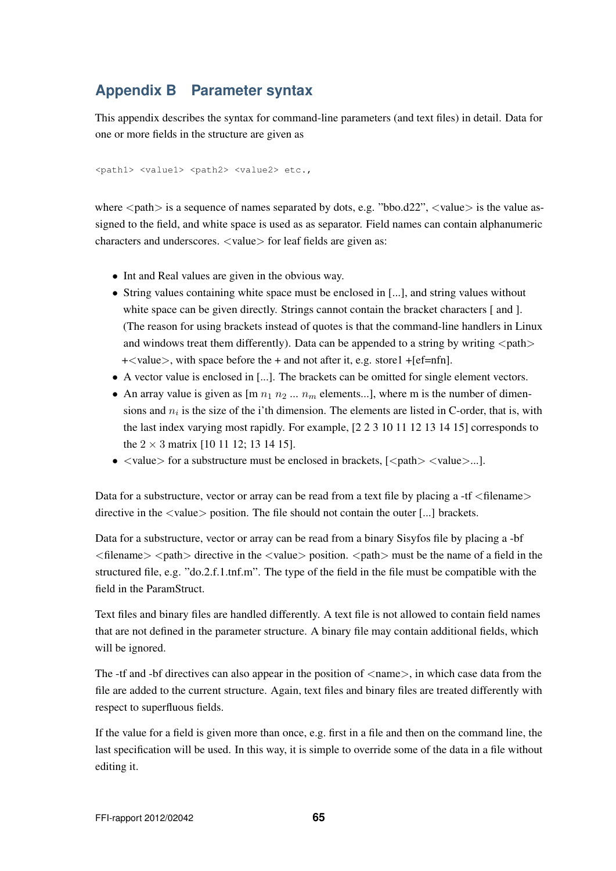# **Appendix B Parameter syntax**

This appendix describes the syntax for command-line parameters (and text files) in detail. Data for one or more fields in the structure are given as

<path1> <value1> <path2> <value2> etc.,

where  $\langle$  path $\rangle$  is a sequence of names separated by dots, e.g. "bbo.d22",  $\langle$ value $\rangle$  is the value assigned to the field, and white space is used as as separator. Field names can contain alphanumeric characters and underscores.  $\langle$ value $\rangle$  for leaf fields are given as:

- Int and Real values are given in the obvious way.
- String values containing white space must be enclosed in [...], and string values without white space can be given directly. Strings cannot contain the bracket characters [ and ]. (The reason for using brackets instead of quotes is that the command-line handlers in Linux and windows treat them differently). Data can be appended to a string by writing  $\langle$  path $\rangle$  $+\langle$  value $\rangle$ , with space before the  $+$  and not after it, e.g. store1  $+[ef=nfn]$ .
- A vector value is enclosed in [...]. The brackets can be omitted for single element vectors.
- An array value is given as  $\left[\text{m } n_1 n_2 \dots n_m\right]$  elements...], where m is the number of dimensions and  $n_i$  is the size of the i'th dimension. The elements are listed in C-order, that is, with the last index varying most rapidly. For example, [2 2 3 10 11 12 13 14 15] corresponds to the  $2 \times 3$  matrix [10 11 12; 13 14 15].
- $\langle$  value $\rangle$  for a substructure must be enclosed in brackets,  $\langle$   $\langle$  path $\rangle$   $\langle$  value $\rangle$ ...].

Data for a substructure, vector or array can be read from a text file by placing a -tf  $\langle$  filename $\rangle$ directive in the  $\langle$ value $\rangle$  position. The file should not contain the outer [...] brackets.

Data for a substructure, vector or array can be read from a binary Sisyfos file by placing a -bf  $\langle$  filename $>$   $\langle$  path $>$  directive in the  $\langle$  value $>$  position.  $\langle$  path $>$  must be the name of a field in the structured file, e.g. "do.2.f.1.tnf.m". The type of the field in the file must be compatible with the field in the ParamStruct.

Text files and binary files are handled differently. A text file is not allowed to contain field names that are not defined in the parameter structure. A binary file may contain additional fields, which will be ignored.

The -tf and -bf directives can also appear in the position of  $\langle$ name $\rangle$ , in which case data from the file are added to the current structure. Again, text files and binary files are treated differently with respect to superfluous fields.

If the value for a field is given more than once, e.g. first in a file and then on the command line, the last specification will be used. In this way, it is simple to override some of the data in a file without editing it.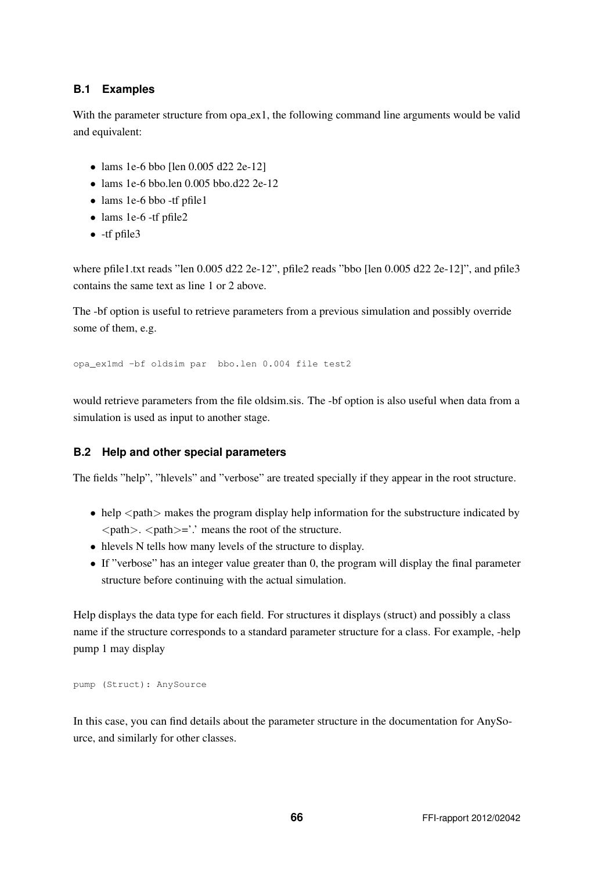## **B.1 Examples**

With the parameter structure from opa<sub>c</sub> ex 1, the following command line arguments would be valid and equivalent:

- lams 1e-6 bbo [len 0.005 d22 2e-12]
- lams 1e-6 bbo.len  $0.005$  bbo.d22 2e-12
- lams 1e-6 bbo -tf pfile1
- lams 1e-6 -tf pfile2
- -tf pfile3

where pfile1.txt reads "len 0.005 d22 2e-12", pfile2 reads "bbo [len 0.005 d22 2e-12]", and pfile3 contains the same text as line 1 or 2 above.

The -bf option is useful to retrieve parameters from a previous simulation and possibly override some of them, e.g.

opa\_ex1md -bf oldsim par bbo.len 0.004 file test2

would retrieve parameters from the file oldsim.sis. The -bf option is also useful when data from a simulation is used as input to another stage.

## **B.2 Help and other special parameters**

The fields "help", "hlevels" and "verbose" are treated specially if they appear in the root structure.

- $\bullet$  help  $\leq$  path $\geq$  makes the program display help information for the substructure indicated by  $\langle$ path $>$ .  $\langle$ path $>$ ='.' means the root of the structure.
- hlevels N tells how many levels of the structure to display.
- If "verbose" has an integer value greater than 0, the program will display the final parameter structure before continuing with the actual simulation.

Help displays the data type for each field. For structures it displays (struct) and possibly a class name if the structure corresponds to a standard parameter structure for a class. For example, -help pump 1 may display

```
pump (Struct): AnySource
```
In this case, you can find details about the parameter structure in the documentation for AnySource, and similarly for other classes.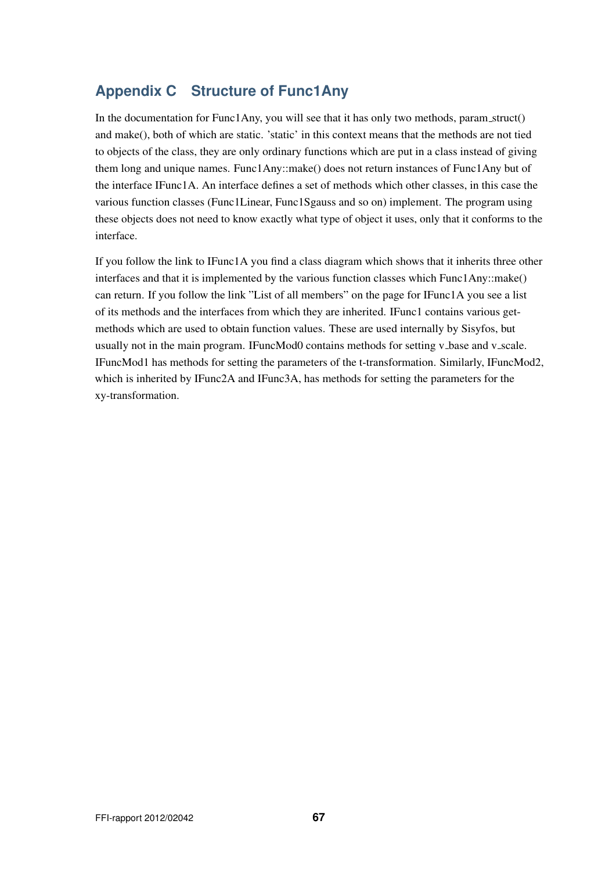# **Appendix C Structure of Func1Any**

In the documentation for Func1Any, you will see that it has only two methods, param struct() and make(), both of which are static. 'static' in this context means that the methods are not tied to objects of the class, they are only ordinary functions which are put in a class instead of giving them long and unique names. Func1Any::make() does not return instances of Func1Any but of the interface IFunc1A. An interface defines a set of methods which other classes, in this case the various function classes (Func1Linear, Func1Sgauss and so on) implement. The program using these objects does not need to know exactly what type of object it uses, only that it conforms to the interface.

If you follow the link to IFunc1A you find a class diagram which shows that it inherits three other interfaces and that it is implemented by the various function classes which Func1Any::make() can return. If you follow the link "List of all members" on the page for IFunc1A you see a list of its methods and the interfaces from which they are inherited. IFunc1 contains various getmethods which are used to obtain function values. These are used internally by Sisyfos, but usually not in the main program. IFuncMod0 contains methods for setting v base and v scale. IFuncMod1 has methods for setting the parameters of the t-transformation. Similarly, IFuncMod2, which is inherited by IFunc2A and IFunc3A, has methods for setting the parameters for the xy-transformation.